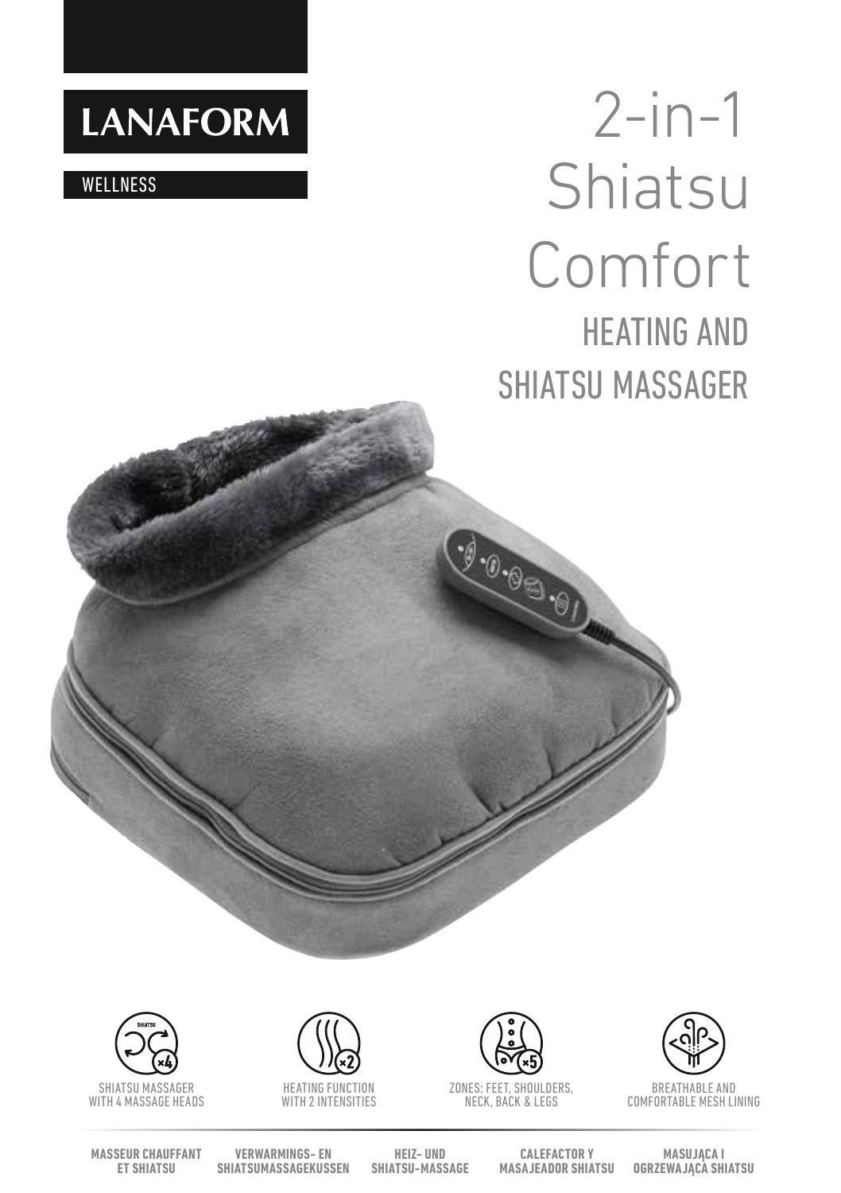# **LANAFORM**

**WELLNESS** 

# 2-in-1 **Shiatsu** Comfort HEATING AND SHIATSU MASSAGER



SHIATSU MASSAGER WITH 4 MASSAGE HEADS



WITH 2 INTENSITIES



 $9.0.05.01$ 

ZONES: FEET, SHOULDERS, NECK, BACK & LEGS



BREATHABLE AND COMFORTABLE MESH LINING

**MASSEUR CHAUFFANT ET SHIATSU**

**VERWARMINGS- EN SHIATSUMASSAGEKUSSEN**

**HEIZ- UND SHIATSU-MASSAGE**

**CALEFACTOR Y MASAJEADOR SHIATSU** **MASUJĄCA I OGRZEWAJĄCA SHIATSU**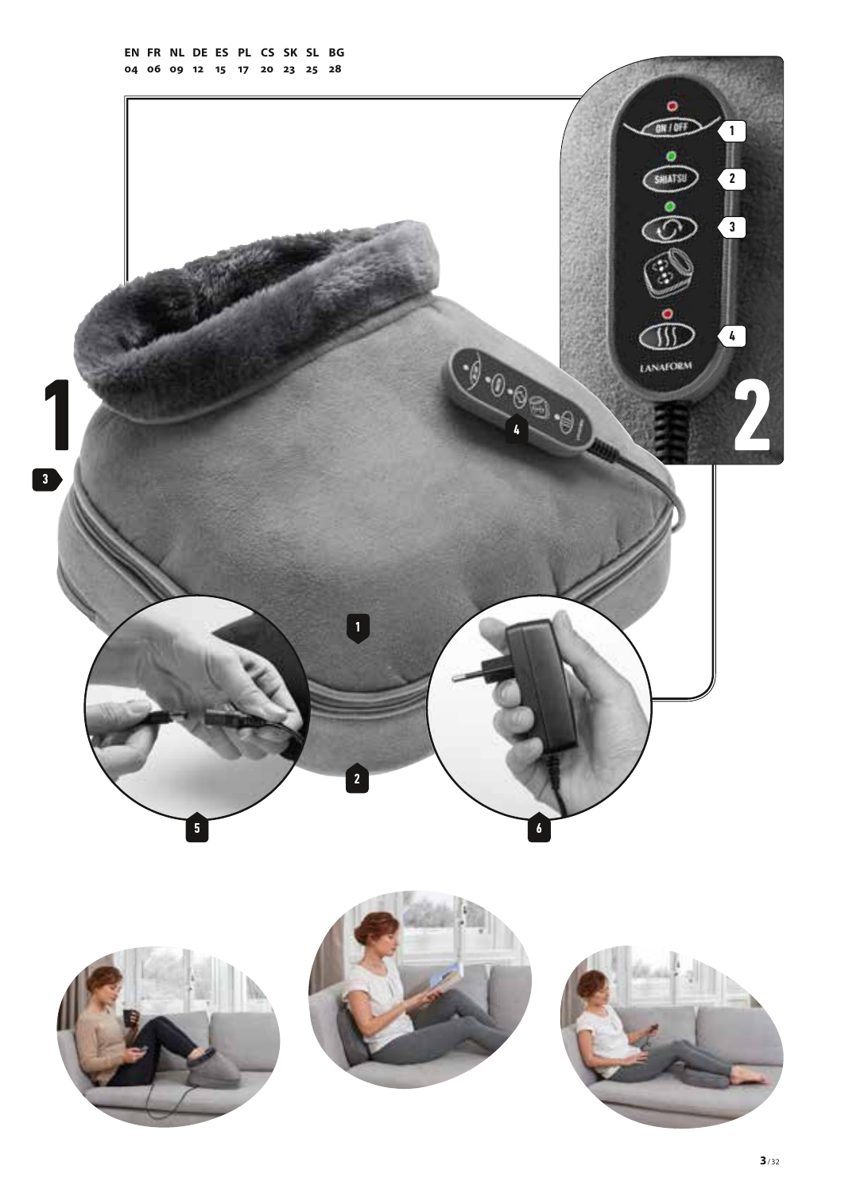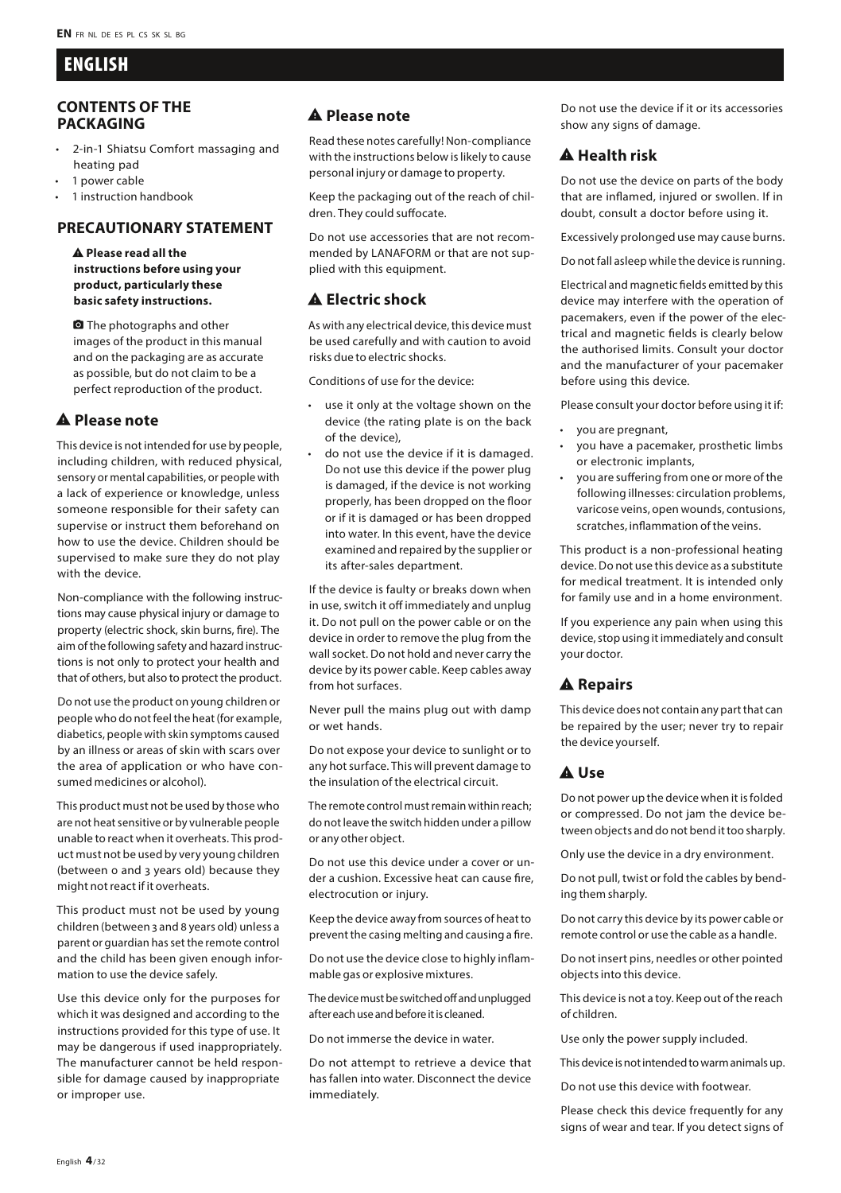# ENGLISH

#### **CONTENTS OF THE PACKAGING**

- 2-in-1 Shiatsu Comfort massaging and heating pad
- 1 power cable
- 1 instruction handbook

# **PRECAUTIONARY STATEMENT**

report\_problem **Please read all the instructions before using your product, particularly these basic safety instructions.**

**Q** The photographs and other images of the product in this manual and on the packaging are as accurate as possible, but do not claim to be a perfect reproduction of the product.

# report\_problem **Please note**

This device is not intended for use by people, including children, with reduced physical, sensory or mental capabilities, or people with a lack of experience or knowledge, unless someone responsible for their safety can supervise or instruct them beforehand on how to use the device. Children should be supervised to make sure they do not play with the device

Non-compliance with the following instructions may cause physical injury or damage to property (electric shock, skin burns, fire). The aim of the following safety and hazard instructions is not only to protect your health and that of others, but also to protect the product.

Do not use the product on young children or people who do not feel the heat (for example, diabetics, people with skin symptoms caused by an illness or areas of skin with scars over the area of application or who have consumed medicines or alcohol).

This product must not be used by those who are not heat sensitive or by vulnerable people unable to react when it overheats. This product must not be used by very young children (between 0 and 3 years old) because they might not react if it overheats.

This product must not be used by young children (between 3 and 8 years old) unless a parent or guardian has set the remote control and the child has been given enough information to use the device safely.

Use this device only for the purposes for which it was designed and according to the instructions provided for this type of use. It may be dangerous if used inappropriately. The manufacturer cannot be held responsible for damage caused by inappropriate or improper use.

#### A Please note

Read these notes carefully! Non-compliance with the instructions below is likely to cause personal injury or damage to property.

Keep the packaging out of the reach of children. They could suffocate.

Do not use accessories that are not recommended by LANAFORM or that are not supplied with this equipment.

# **A Electric shock**

As with any electrical device, this device must be used carefully and with caution to avoid risks due to electric shocks.

Conditions of use for the device:

- use it only at the voltage shown on the device (the rating plate is on the back of the device),
- do not use the device if it is damaged. Do not use this device if the power plug is damaged, if the device is not working properly, has been dropped on the floor or if it is damaged or has been dropped into water. In this event, have the device examined and repaired by the supplier or its after-sales department.

If the device is faulty or breaks down when in use, switch it off immediately and unplug it. Do not pull on the power cable or on the device in order to remove the plug from the wall socket. Do not hold and never carry the device by its power cable. Keep cables away from hot surfaces.

Never pull the mains plug out with damp or wet hands.

Do not expose your device to sunlight or to any hot surface. This will prevent damage to the insulation of the electrical circuit.

The remote control must remain within reach; do not leave the switch hidden under a pillow or any other object.

Do not use this device under a cover or under a cushion. Excessive heat can cause fire, electrocution or injury.

Keep the device away from sources of heat to prevent the casing melting and causing a fire.

Do not use the device close to highly inflammable gas or explosive mixtures.

The device must be switched off and unplugged after each use and before it is cleaned.

Do not immerse the device in water.

Do not attempt to retrieve a device that has fallen into water. Disconnect the device immediately.

Do not use the device if it or its accessories show any signs of damage.

# **A** Health risk

Do not use the device on parts of the body that are inflamed, injured or swollen. If in doubt, consult a doctor before using it.

Excessively prolonged use may cause burns.

Do not fall asleep while the device is running.

Electrical and magnetic fields emitted by this device may interfere with the operation of pacemakers, even if the power of the electrical and magnetic fields is clearly below the authorised limits. Consult your doctor and the manufacturer of your pacemaker before using this device.

Please consult your doctor before using it if:

- you are pregnant,
- you have a pacemaker, prosthetic limbs or electronic implants,
- you are suffering from one or more of the following illnesses: circulation problems, varicose veins, open wounds, contusions, scratches, inflammation of the veins.

This product is a non-professional heating device. Do not use this device as a substitute for medical treatment. It is intended only for family use and in a home environment.

If you experience any pain when using this device, stop using it immediately and consult your doctor.

# A Repairs

This device does not contain any part that can be repaired by the user; never try to repair the device yourself.

#### A Use

Do not power up the device when it is folded or compressed. Do not jam the device between objects and do not bend it too sharply.

Only use the device in a dry environment.

Do not pull, twist or fold the cables by bending them sharply.

Do not carry this device by its power cable or remote control or use the cable as a handle.

Do not insert pins, needles or other pointed objects into this device.

This device is not a toy. Keep out of the reach of children.

Use only the power supply included.

This device is not intended to warm animals up.

Do not use this device with footwear.

Please check this device frequently for any signs of wear and tear. If you detect signs of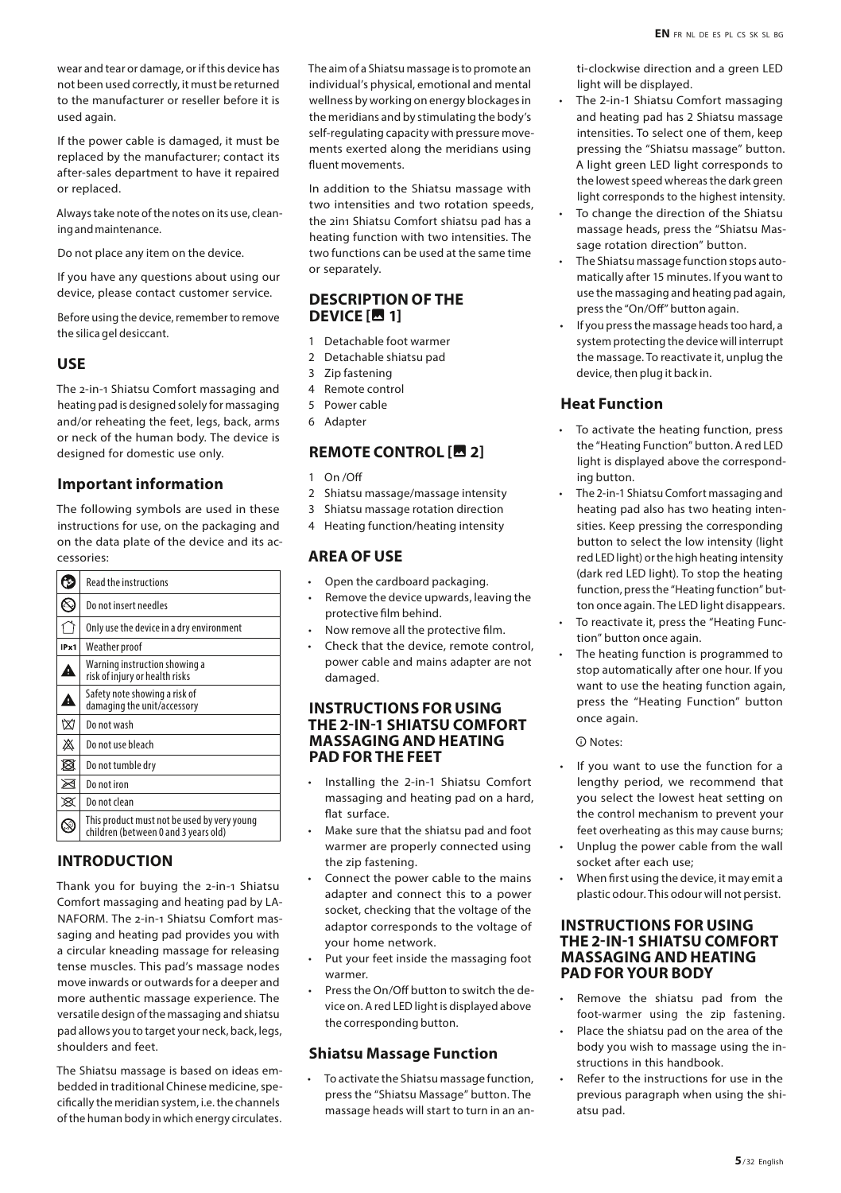wear and tear or damage, or if this device has not been used correctly, it must be returned to the manufacturer or reseller before it is used again.

If the power cable is damaged, it must be replaced by the manufacturer; contact its after-sales department to have it repaired or replaced.

Always take note of the notes on its use, cleaning and maintenance.

Do not place any item on the device.

If you have any questions about using our device, please contact customer service.

Before using the device, remember to remove the silica gel desiccant.

#### **USE**

The 2-in-1 Shiatsu Comfort massaging and heating pad is designed solely for massaging and/or reheating the feet, legs, back, arms or neck of the human body. The device is designed for domestic use only.

#### **Important information**

The following symbols are used in these instructions for use, on the packaging and on the data plate of the device and its accessories:

| ь    | <b>Read the instructions</b>                                                        |  |
|------|-------------------------------------------------------------------------------------|--|
|      | Do not insert needles                                                               |  |
|      | Only use the device in a dry environment                                            |  |
| IPx1 | Weather proof                                                                       |  |
| A    | Warning instruction showing a<br>risk of injury or health risks                     |  |
| Â    | Safety note showing a risk of<br>damaging the unit/accessory                        |  |
| 囟    | Do not wash                                                                         |  |
| 凇    | Do not use bleach                                                                   |  |
| 図    | Do not tumble dry                                                                   |  |
| ⊠    | Do not iron                                                                         |  |
| ⊠    | Do not clean                                                                        |  |
|      | This product must not be used by very young<br>children (between 0 and 3 vears old) |  |
|      |                                                                                     |  |

#### **INTRODUCTION**

Thank you for buying the 2-in-1 Shiatsu Comfort massaging and heating pad by LA-NAFORM. The 2-in-1 Shiatsu Comfort massaging and heating pad provides you with a circular kneading massage for releasing tense muscles. This pad's massage nodes move inwards or outwards for a deeper and more authentic massage experience. The versatile design of the massaging and shiatsu pad allows you to target your neck, back, legs, shoulders and feet.

The Shiatsu massage is based on ideas embedded in traditional Chinese medicine, specifically the meridian system, i.e. the channels of the human body in which energy circulates. The aim of a Shiatsu massage is to promote an individual's physical, emotional and mental wellness by working on energy blockages in the meridians and by stimulating the body's self-regulating capacity with pressure movements exerted along the meridians using fluent movements.

In addition to the Shiatsu massage with two intensities and two rotation speeds, the 2in1 Shiatsu Comfort shiatsu pad has a heating function with two intensities. The two functions can be used at the same time or separately.

#### **DESCRIPTION OF THE DEVICE [四 1]**

- 1 Detachable foot warmer
- 2 Detachable shiatsu pad
- 3 Zip fastening
- 4 Remote control
- 5 Power cable
- 6 Adapter

#### **REMOTE CONTROL [图 2]**

- $On /Off$
- 2 Shiatsu massage/massage intensity
- 3 Shiatsu massage rotation direction
- 4 Heating function/heating intensity

#### **AREA OF USE**

- Open the cardboard packaging.
- Remove the device upwards, leaving the protective film behind.
- Now remove all the protective film.
- Check that the device, remote control, power cable and mains adapter are not damaged.

#### **INSTRUCTIONS FOR USING THE 2-IN-1 SHIATSU COMFORT MASSAGING AND HEATING PAD FOR THE FEET**

- Installing the 2-in-1 Shiatsu Comfort massaging and heating pad on a hard, flat surface.
- Make sure that the shiatsu pad and foot warmer are properly connected using the zip fastening.
- Connect the power cable to the mains adapter and connect this to a power socket, checking that the voltage of the adaptor corresponds to the voltage of your home network.
- Put your feet inside the massaging foot warmer.
- Press the On/Off button to switch the device on. A red LED light is displayed above the corresponding button.

#### **Shiatsu Massage Function**

• To activate the Shiatsu massage function, press the "Shiatsu Massage" button. The massage heads will start to turn in an anti-clockwise direction and a green LED light will be displayed.

- The 2-in-1 Shiatsu Comfort massaging and heating pad has 2 Shiatsu massage intensities. To select one of them, keep pressing the "Shiatsu massage" button. A light green LED light corresponds to the lowest speed whereas the dark green light corresponds to the highest intensity.
- To change the direction of the Shiatsu massage heads, press the "Shiatsu Massage rotation direction" button.
- The Shiatsu massage function stops automatically after 15 minutes. If you want to use the massaging and heating pad again, press the "On/Off" button again.
- If you press the massage heads too hard, a system protecting the device will interrupt the massage. To reactivate it, unplug the device, then plug it back in.

# **Heat Function**

- To activate the heating function, press the "Heating Function" button. A red LED light is displayed above the corresponding button.
- The 2-in-1 Shiatsu Comfort massaging and heating pad also has two heating intensities. Keep pressing the corresponding button to select the low intensity (light red LED light) or the high heating intensity (dark red LED light). To stop the heating function, press the "Heating function" button once again. The LED light disappears.
- To reactivate it, press the "Heating Function" button once again.
- The heating function is programmed to stop automatically after one hour. If you want to use the heating function again, press the "Heating Function" button once again.

#### $\Omega$  Notes:

- If you want to use the function for a lengthy period, we recommend that you select the lowest heat setting on the control mechanism to prevent your feet overheating as this may cause burns;
- Unplug the power cable from the wall socket after each use;
- When first using the device, it may emit a plastic odour. This odour will not persist.

#### **INSTRUCTIONS FOR USING THE 2-IN-1 SHIATSU COMFORT MASSAGING AND HEATING PAD FOR YOUR BODY**

- Remove the shiatsu pad from the foot-warmer using the zip fastening.
- Place the shiatsu pad on the area of the body you wish to massage using the instructions in this handbook.
- Refer to the instructions for use in the previous paragraph when using the shiatsu pad.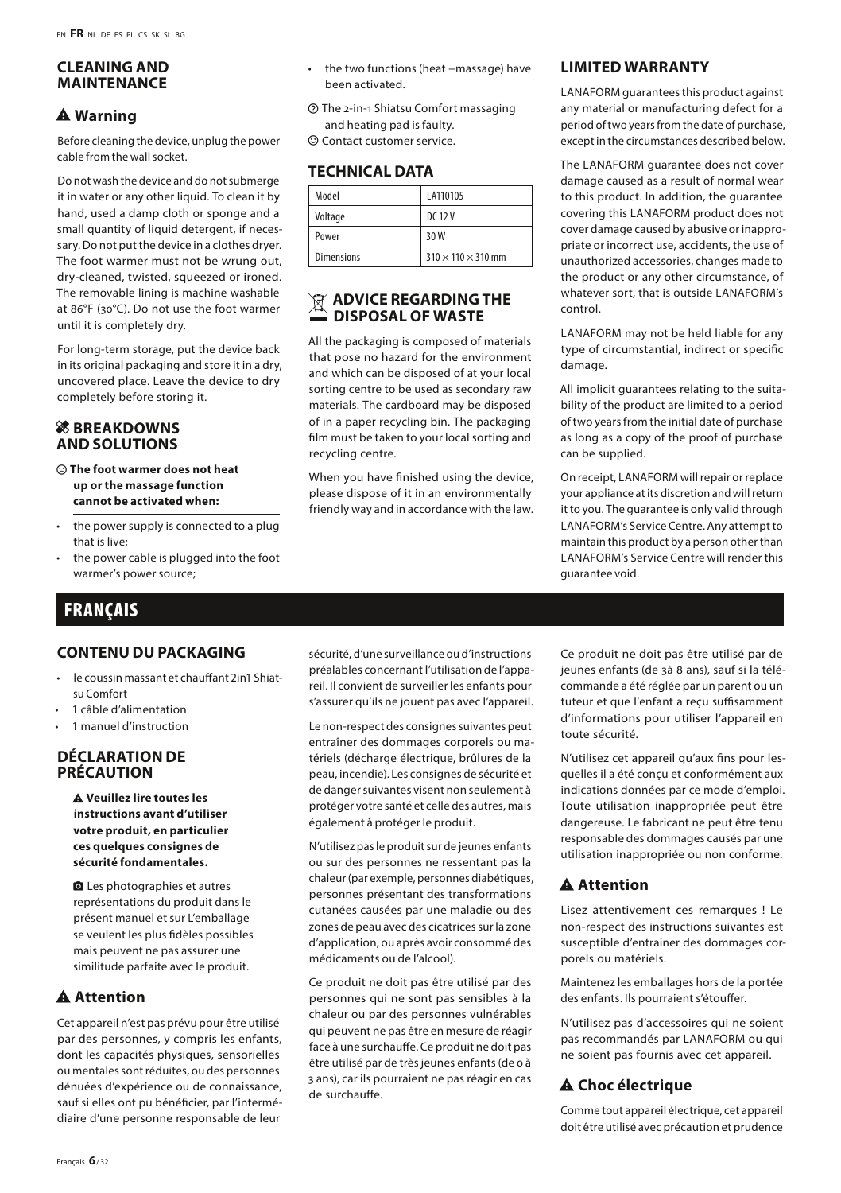#### **CLEANING AND MAINTENANCE**

# **A** Warning

Before cleaning the device, unplug the power cable from the wall socket.

Do not wash the device and do not submerge it in water or any other liquid. To clean it by hand, used a damp cloth or sponge and a small quantity of liquid detergent, if necessary. Do not put the device in a clothes dryer. The foot warmer must not be wrung out, dry-cleaned, twisted, squeezed or ironed. The removable lining is machine washable at 86°F (30°C). Do not use the foot warmer until it is completely dry.

For long-term storage, put the device back in its original packaging and store it in a dry, uncovered place. Leave the device to dry completely before storing it.

#### **& BREAKDOWNS AND SOLUTIONS**

#### $\odot$  The foot warmer does not heat **up or the massage function cannot be activated when:**

- the power supply is connected to a plug that is live;
- the power cable is plugged into the foot warmer's power source;

# **FRANCAIS**

#### **CONTENU DU PACKAGING**

- le coussin massant et chauffant 2in1 Shiatsu Comfort
- 1 câble d'alimentation
- 1 manuel d'instruction

#### **DÉCLARATION DE PRÉCAUTION**

report\_problem **Veuillez lire toutes les instructions avant d'utiliser votre produit, en particulier ces quelques consignes de sécurité fondamentales.**

**Q** Les photographies et autres représentations du produit dans le présent manuel et sur L'emballage se veulent les plus fidèles possibles mais peuvent ne pas assurer une similitude parfaite avec le produit.

# A Attention

Cet appareil n'est pas prévu pour être utilisé par des personnes, y compris les enfants, dont les capacités physiques, sensorielles ou mentales sont réduites, ou des personnes dénuées d'expérience ou de connaissance, sauf si elles ont pu bénéficier, par l'intermédiaire d'une personne responsable de leur

- the two functions (heat +massage) have been activated.
- $@$  The 2-in-1 Shiatsu Comfort massaging and heating pad is faulty.
- $\odot$  Contact customer service.

# **TECHNICAL DATA**

| Model             | LA110105                       |
|-------------------|--------------------------------|
| Voltage           | DC 12 V                        |
| Power             | 30 W                           |
| <b>Dimensions</b> | $310 \times 110 \times 310$ mm |

#### **ADVICE REGARDING THE DISPOSAL OF WASTE**

All the packaging is composed of materials that pose no hazard for the environment and which can be disposed of at your local sorting centre to be used as secondary raw materials. The cardboard may be disposed of in a paper recycling bin. The packaging film must be taken to your local sorting and recycling centre.

When you have finished using the device, please dispose of it in an environmentally friendly way and in accordance with the law.

# **LIMITED WARRANTY**

LANAFORM guarantees this product against any material or manufacturing defect for a period of two years from the date of purchase, except in the circumstances described below.

The LANAFORM guarantee does not cover damage caused as a result of normal wear to this product. In addition, the guarantee covering this LANAFORM product does not cover damage caused by abusive or inappropriate or incorrect use, accidents, the use of unauthorized accessories, changes made to the product or any other circumstance, of whatever sort, that is outside LANAFORM's control.

LANAFORM may not be held liable for any type of circumstantial, indirect or specific damage.

All implicit guarantees relating to the suitability of the product are limited to a period of two years from the initial date of purchase as long as a copy of the proof of purchase can be supplied.

On receipt, LANAFORM will repair or replace your appliance at its discretion and will return it to you. The guarantee is only valid through LANAFORM's Service Centre. Any attempt to maintain this product by a person other than LANAFORM's Service Centre will render this guarantee void.

sécurité, d'une surveillance ou d'instructions préalables concernant l'utilisation de l'appareil. Il convient de surveiller les enfants pour s'assurer qu'ils ne jouent pas avec l'appareil.

Le non-respect des consignes suivantes peut entraîner des dommages corporels ou matériels (décharge électrique, brûlures de la peau, incendie). Les consignes de sécurité et de danger suivantes visent non seulement à protéger votre santé et celle des autres, mais également à protéger le produit.

N'utilisez pas le produit sur de jeunes enfants ou sur des personnes ne ressentant pas la chaleur (par exemple, personnes diabétiques, personnes présentant des transformations cutanées causées par une maladie ou des zones de peau avec des cicatrices sur la zone d'application, ou après avoir consommé des médicaments ou de l'alcool).

Ce produit ne doit pas être utilisé par des personnes qui ne sont pas sensibles à la chaleur ou par des personnes vulnérables qui peuvent ne pas être en mesure de réagir face à une surchauffe. Ce produit ne doit pas être utilisé par de très jeunes enfants (de 0 à 3 ans), car ils pourraient ne pas réagir en cas de surchauffe.

Ce produit ne doit pas être utilisé par de jeunes enfants (de 3à 8 ans), sauf si la télécommande a été réglée par un parent ou un tuteur et que l'enfant a reçu suffisamment d'informations pour utiliser l'appareil en toute sécurité.

N'utilisez cet appareil qu'aux fins pour lesquelles il a été conçu et conformément aux indications données par ce mode d'emploi. Toute utilisation inappropriée peut être dangereuse. Le fabricant ne peut être tenu responsable des dommages causés par une utilisation inappropriée ou non conforme.

# A Attention

Lisez attentivement ces remarques ! Le non-respect des instructions suivantes est susceptible d'entrainer des dommages corporels ou matériels.

Maintenez les emballages hors de la portée des enfants. Ils pourraient s'étouffer.

N'utilisez pas d'accessoires qui ne soient pas recommandés par LANAFORM ou qui ne soient pas fournis avec cet appareil.

# $\triangle$  Choc électrique

Comme tout appareil électrique, cet appareil doit être utilisé avec précaution et prudence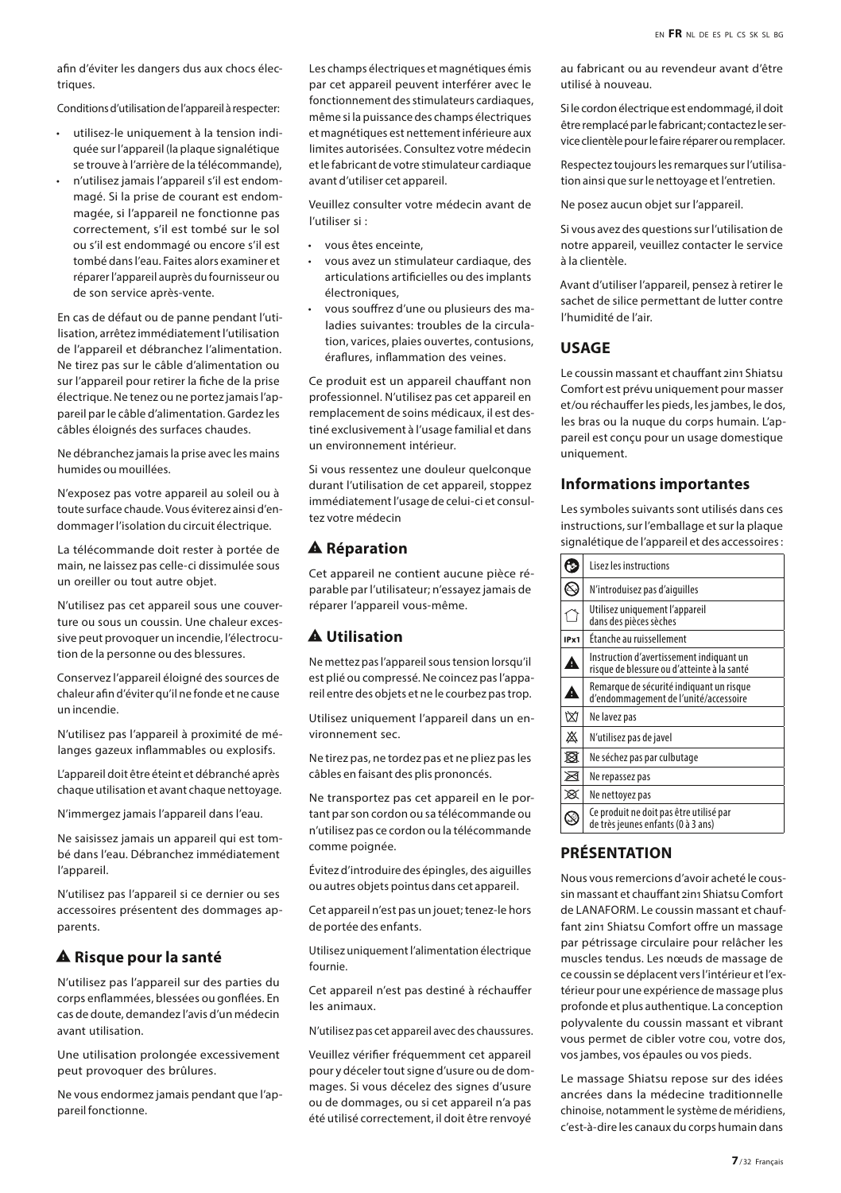afin d'éviter les dangers dus aux chocs électriques.

Conditions d'utilisation de l'appareil à respecter:

- utilisez-le uniquement à la tension indiquée sur l'appareil (la plaque signalétique se trouve à l'arrière de la télécommande),
- n'utilisez jamais l'appareil s'il est endommagé. Si la prise de courant est endommagée, si l'appareil ne fonctionne pas correctement, s'il est tombé sur le sol ou s'il est endommagé ou encore s'il est tombé dans l'eau. Faites alors examiner et réparer l'appareil auprès du fournisseur ou de son service après-vente.

En cas de défaut ou de panne pendant l'utilisation, arrêtez immédiatement l'utilisation de l'appareil et débranchez l'alimentation. Ne tirez pas sur le câble d'alimentation ou sur l'appareil pour retirer la fiche de la prise électrique. Ne tenez ou ne portez jamais l'appareil par le câble d'alimentation. Gardez les câbles éloignés des surfaces chaudes.

Ne débranchez jamais la prise avec les mains humides ou mouillées.

N'exposez pas votre appareil au soleil ou à toute surface chaude. Vous éviterez ainsi d'endommager l'isolation du circuit électrique.

La télécommande doit rester à portée de main, ne laissez pas celle-ci dissimulée sous un oreiller ou tout autre objet.

N'utilisez pas cet appareil sous une couverture ou sous un coussin. Une chaleur excessive peut provoquer un incendie, l'électrocution de la personne ou des blessures.

Conservez l'appareil éloigné des sources de chaleur afin d'éviter qu'il ne fonde et ne cause un incendie.

N'utilisez pas l'appareil à proximité de mélanges gazeux inflammables ou explosifs.

L'appareil doit être éteint et débranché après chaque utilisation et avant chaque nettoyage.

N'immergez jamais l'appareil dans l'eau.

Ne saisissez jamais un appareil qui est tombé dans l'eau. Débranchez immédiatement l'appareil.

N'utilisez pas l'appareil si ce dernier ou ses accessoires présentent des dommages apparents.

#### **A** Risque pour la santé

N'utilisez pas l'appareil sur des parties du corps enflammées, blessées ou gonflées. En cas de doute, demandez l'avis d'un médecin avant utilisation.

Une utilisation prolongée excessivement peut provoquer des brûlures.

Ne vous endormez jamais pendant que l'appareil fonctionne.

Les champs électriques et magnétiques émis par cet appareil peuvent interférer avec le fonctionnement des stimulateurs cardiaques, même si la puissance des champs électriques et magnétiques est nettement inférieure aux limites autorisées. Consultez votre médecin et le fabricant de votre stimulateur cardiaque avant d'utiliser cet appareil.

Veuillez consulter votre médecin avant de l'utiliser si :

- vous êtes enceinte,
- vous avez un stimulateur cardiaque, des articulations artificielles ou des implants électroniques,
- vous souffrez d'une ou plusieurs des maladies suivantes: troubles de la circulation, varices, plaies ouvertes, contusions, éraflures, inflammation des veines.

Ce produit est un appareil chauffant non professionnel. N'utilisez pas cet appareil en remplacement de soins médicaux, il est destiné exclusivement à l'usage familial et dans un environnement intérieur.

Si vous ressentez une douleur quelconque durant l'utilisation de cet appareil, stoppez immédiatement l'usage de celui-ci et consultez votre médecin

#### **A** Réparation

Cet appareil ne contient aucune pièce réparable par l'utilisateur; n'essayez jamais de réparer l'appareil vous-même.

#### **A** Utilisation

Ne mettez pas l'appareil sous tension lorsqu'il est plié ou compressé. Ne coincez pas l'appareil entre des objets et ne le courbez pas trop.

Utilisez uniquement l'appareil dans un environnement sec.

Ne tirez pas, ne tordez pas et ne pliez pas les câbles en faisant des plis prononcés.

Ne transportez pas cet appareil en le portant par son cordon ou sa télécommande ou n'utilisez pas ce cordon ou la télécommande comme poignée.

Évitez d'introduire des épingles, des aiguilles ou autres objets pointus dans cet appareil.

Cet appareil n'est pas un jouet; tenez-le hors de portée des enfants.

Utilisez uniquement l'alimentation électrique fournie.

Cet appareil n'est pas destiné à réchauffer les animaux.

N'utilisez pas cet appareil avec des chaussures.

Veuillez vérifier fréquemment cet appareil pour y déceler tout signe d'usure ou de dommages. Si vous décelez des signes d'usure ou de dommages, ou si cet appareil n'a pas été utilisé correctement, il doit être renvoyé

au fabricant ou au revendeur avant d'être utilisé à nouveau.

Si le cordon électrique est endommagé, il doit être remplacé par le fabricant; contactez le service clientèle pour le faire réparer ou remplacer.

Respectez toujours les remarques sur l'utilisation ainsi que sur le nettoyage et l'entretien.

Ne posez aucun objet sur l'appareil.

Si vous avez des questions sur l'utilisation de notre appareil, veuillez contacter le service à la clientèle.

Avant d'utiliser l'appareil, pensez à retirer le sachet de silice permettant de lutter contre l'humidité de l'air.

#### **USAGE**

Le coussin massant et chauffant 2in1 Shiatsu Comfort est prévu uniquement pour masser et/ou réchauffer les pieds, les jambes, le dos, les bras ou la nuque du corps humain. L'appareil est conçu pour un usage domestique uniquement.

#### **Informations importantes**

Les symboles suivants sont utilisés dans ces instructions, sur l'emballage et sur la plaque signalétique de l'appareil et des accessoires :

|      | <b>Lisez les instructions</b>                                                           |
|------|-----------------------------------------------------------------------------------------|
| R    | N'introduisez pas d'aiquilles                                                           |
|      | Utilisez uniquement l'appareil<br>dans des pièces sèches                                |
| IPx1 | Étanche au ruissellement                                                                |
| Δ    | Instruction d'avertissement indiquant un<br>risque de blessure ou d'atteinte à la santé |
| ▲    | Remarque de sécurité indiquant un risque<br>d'endommagement de l'unité/accessoire       |
| ឃ    | Ne lavez pas                                                                            |
| Ă    | N'utilisez pas de javel                                                                 |
| Ø    | Ne séchez pas par culbutage                                                             |
| ⊠    | Ne repassez pas                                                                         |
| ×    | Ne nettoyez pas                                                                         |
|      | Ce produit ne doit pas être utilisé par<br>de très jeunes enfants (0 à 3 ans)           |

# **PRÉSENTATION**

Nous vous remercions d'avoir acheté le coussin massant et chauffant 2in1 Shiatsu Comfort de LANAFORM. Le coussin massant et chauffant 2in1 Shiatsu Comfort offre un massage par pétrissage circulaire pour relâcher les muscles tendus. Les nœuds de massage de ce coussin se déplacent vers l'intérieur et l'extérieur pour une expérience de massage plus profonde et plus authentique. La conception polyvalente du coussin massant et vibrant vous permet de cibler votre cou, votre dos, vos jambes, vos épaules ou vos pieds.

Le massage Shiatsu repose sur des idées ancrées dans la médecine traditionnelle chinoise, notamment le système de méridiens, c'est-à-dire les canaux du corps humain dans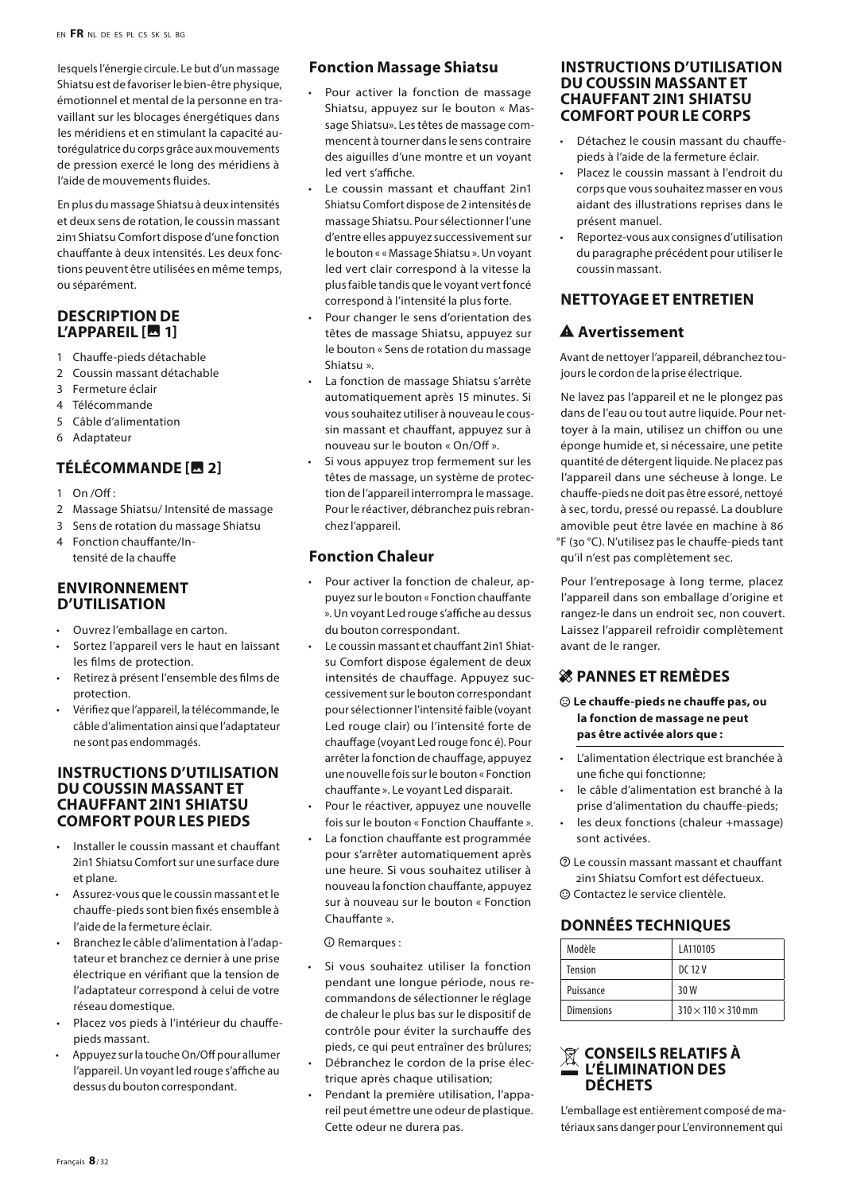lesquels l'énergie circule. Le but d'un massage Shiatsu est de favoriser le bien-être physique, émotionnel et mental de la personne en travaillant sur les blocages énergétiques dans les méridiens et en stimulant la capacité autorégulatrice du corps grâce aux mouvements de pression exercé le long des méridiens à l'aide de mouvements fluides.

En plus du massage Shiatsu à deux intensités et deux sens de rotation, le coussin massant 2in1 Shiatsu Comfort dispose d'une fonction chauffante à deux intensités. Les deux fonctions peuvent être utilisées en même temps, ou séparément.

#### **DESCRIPTION DE L'APPAREIL [M 1]**

- 1 Chauffe-pieds détachable
- 2 Coussin massant détachable
- 3 Fermeture éclair
- 4 Télécommande
- 5 Câble d'alimentation
- 6 Adaptateur

#### **TÉLÉCOMMANDE [图 2]**

- 1 On /Off :
- 2 Massage Shiatsu/ Intensité de massage
- 3 Sens de rotation du massage Shiatsu
- 4 Fonction chauffante/Intensité de la chauffe

#### **ENVIRONNEMENT D'UTILISATION**

- Ouvrez l'emballage en carton.
- Sortez l'appareil vers le haut en laissant les films de protection.
- Retirez à présent l'ensemble des films de protection.
- Vérifiez que l'appareil, la télécommande, le câble d'alimentation ainsi que l'adaptateur ne sont pas endommagés.

#### **INSTRUCTIONS D'UTILISATION DU COUSSIN MASSANT ET CHAUFFANT 2IN1 SHIATSU COMFORT POUR LES PIEDS**

- Installer le coussin massant et chauffant 2in1 Shiatsu Comfort sur une surface dure et plane.
- Assurez-vous que le coussin massant et le chauffe-pieds sont bien fixés ensemble à l'aide de la fermeture éclair.
- Branchez le câble d'alimentation à l'adaptateur et branchez ce dernier à une prise électrique en vérifiant que la tension de l'adaptateur correspond à celui de votre réseau domestique.
- Placez vos pieds à l'intérieur du chauffepieds massant.
- Appuyez sur la touche On/Off pour allumer l'appareil. Un voyant led rouge s'affiche au dessus du bouton correspondant.

#### **Fonction Massage Shiatsu**

- Pour activer la fonction de massage Shiatsu, appuyez sur le bouton « Massage Shiatsu». Les têtes de massage commencent à tourner dans le sens contraire des aiguilles d'une montre et un voyant led vert s'affiche.
- Le coussin massant et chauffant 2in1 Shiatsu Comfort dispose de 2 intensités de massage Shiatsu. Pour sélectionner l'une d'entre elles appuyez successivement sur le bouton « « Massage Shiatsu ». Un voyant led vert clair correspond à la vitesse la plus faible tandis que le voyant vert foncé correspond à l'intensité la plus forte.
- Pour changer le sens d'orientation des têtes de massage Shiatsu, appuyez sur le bouton « Sens de rotation du massage Shiatsu ».
- La fonction de massage Shiatsu s'arrête automatiquement après 15 minutes. Si vous souhaitez utiliser à nouveau le coussin massant et chauffant, appuyez sur à nouveau sur le bouton « On/Off ».
- Si vous appuyez trop fermement sur les têtes de massage, un système de protection de l'appareil interrompra le massage. Pour le réactiver, débranchez puis rebranchez l'appareil.

# **Fonction Chaleur**

- Pour activer la fonction de chaleur, appuyez sur le bouton « Fonction chauffante ». Un voyant Led rouge s'affiche au dessus du bouton correspondant.
- Le coussin massant et chauffant 2in1 Shiatsu Comfort dispose également de deux intensités de chauffage. Appuyez successivement sur le bouton correspondant pour sélectionner l'intensité faible (voyant Led rouge clair) ou l'intensité forte de chauffage (voyant Led rouge fonc é). Pour arrêter la fonction de chauffage, appuyez une nouvelle fois sur le bouton « Fonction chauffante ». Le voyant Led disparait.
- Pour le réactiver, appuyez une nouvelle fois sur le bouton « Fonction Chauffante ».
- La fonction chauffante est programmée pour s'arrêter automatiquement après une heure. Si vous souhaitez utiliser à nouveau la fonction chauffante, appuyez sur à nouveau sur le bouton « Fonction Chauffante ».

 $\Omega$  Remarques :

- Si vous souhaitez utiliser la fonction pendant une longue période, nous recommandons de sélectionner le réglage de chaleur le plus bas sur le dispositif de contrôle pour éviter la surchauffe des pieds, ce qui peut entraîner des brûlures;
- Débranchez le cordon de la prise électrique après chaque utilisation;
- Pendant la première utilisation, l'appareil peut émettre une odeur de plastique. Cette odeur ne durera pas.

#### **INSTRUCTIONS D'UTILISATION DU COUSSIN MASSANT ET CHAUFFANT 2IN1 SHIATSU COMFORT POUR LE CORPS**

- Détachez le cousin massant du chauffepieds à l'aide de la fermeture éclair.
- Placez le coussin massant à l'endroit du corps que vous souhaitez masser en vous aidant des illustrations reprises dans le présent manuel.
- Reportez-vous aux consignes d'utilisation du paragraphe précédent pour utiliser le coussin massant.

# **NETTOYAGE ET ENTRETIEN**

## A Avertissement

Avant de nettoyer l'appareil, débranchez toujours le cordon de la prise électrique.

Ne lavez pas l'appareil et ne le plongez pas dans de l'eau ou tout autre liquide. Pour nettoyer à la main, utilisez un chiffon ou une éponge humide et, si nécessaire, une petite quantité de détergent liquide. Ne placez pas l'appareil dans une sécheuse à longe. Le chauffe-pieds ne doit pas être essoré, nettoyé à sec, tordu, pressé ou repassé. La doublure amovible peut être lavée en machine à 86 °F (30 °C). N'utilisez pas le chauffe-pieds tant qu'il n'est pas complètement sec.

Pour l'entreposage à long terme, placez l'appareil dans son emballage d'origine et rangez-le dans un endroit sec, non couvert. Laissez l'appareil refroidir complètement avant de le ranger.

#### **SRIPANNES ET REMÈDES**

 $\odot$  Le chauffe-pieds ne chauffe pas, ou **la fonction de massage ne peut pas être activée alors que :**

- L'alimentation électrique est branchée à une fiche qui fonctionne;
- le câble d'alimentation est branché à la prise d'alimentation du chauffe-pieds;
- les deux fonctions (chaleur +massage) sont activées.
- $@$  Le coussin massant massant et chauffant 2in1 Shiatsu Comfort est défectueux.
- $\odot$  Contactez le service clientèle.

# **DONNÉES TECHNIQUES**

| Modèle            | LA110105                       |
|-------------------|--------------------------------|
| Tension           | DC 12 V                        |
| Puissance         | 30W                            |
| <b>Dimensions</b> | $310 \times 110 \times 310$ mm |

#### **CONSEILS RELATIFS À L'ÉLIMINATION DES DÉCHETS**

L'emballage est entièrement composé de matériaux sans danger pour L'environnement qui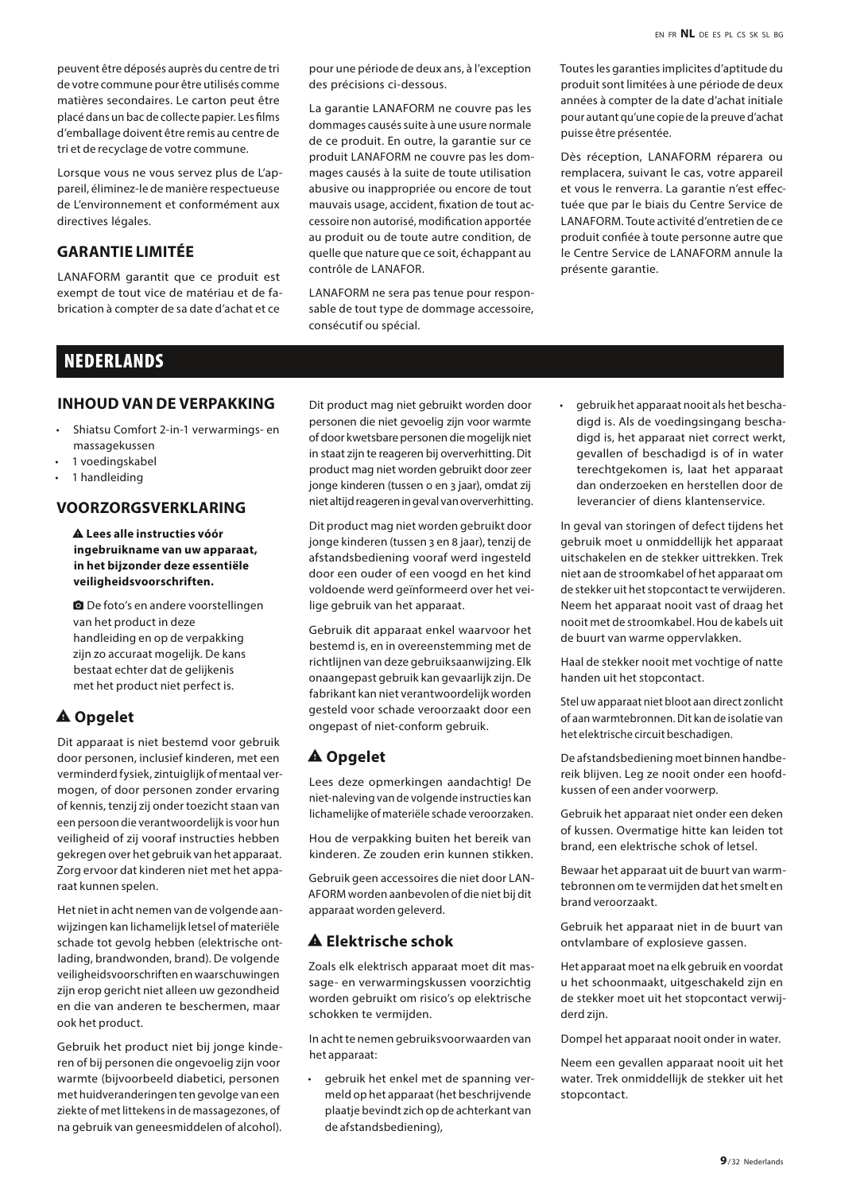peuvent être déposés auprès du centre de tri de votre commune pour être utilisés comme matières secondaires. Le carton peut être placé dans un bac de collecte papier. Les films d'emballage doivent être remis au centre de tri et de recyclage de votre commune.

Lorsque vous ne vous servez plus de L'appareil, éliminez-le de manière respectueuse de L'environnement et conformément aux directives légales.

# **GARANTIE LIMITÉE**

LANAFORM garantit que ce produit est exempt de tout vice de matériau et de fabrication à compter de sa date d'achat et ce

pour une période de deux ans, à l'exception des précisions ci-dessous.

La garantie LANAFORM ne couvre pas les dommages causés suite à une usure normale de ce produit. En outre, la garantie sur ce produit LANAFORM ne couvre pas les dommages causés à la suite de toute utilisation abusive ou inappropriée ou encore de tout mauvais usage, accident, fixation de tout accessoire non autorisé, modification apportée au produit ou de toute autre condition, de quelle que nature que ce soit, échappant au contrôle de LANAFOR.

LANAFORM ne sera pas tenue pour responsable de tout type de dommage accessoire, consécutif ou spécial.

Toutes les garanties implicites d'aptitude du produit sont limitées à une période de deux années à compter de la date d'achat initiale pour autant qu'une copie de la preuve d'achat puisse être présentée.

Dès réception, LANAFORM réparera ou remplacera, suivant le cas, votre appareil et vous le renverra. La garantie n'est effectuée que par le biais du Centre Service de LANAFORM. Toute activité d'entretien de ce produit confiée à toute personne autre que le Centre Service de LANAFORM annule la présente garantie.

# NEDERLANDS

#### **INHOUD VAN DE VERPAKKING**

- Shiatsu Comfort 2-in-1 verwarmings- en massagekussen
- 1 voedingskabel
- 1 handleiding

# **VOORZORGSVERKLARING**

report\_problem **Lees alle instructies vóór ingebruikname van uw apparaat, in het bijzonder deze essentiële veiligheidsvoorschriften.**

**Q** De foto's en andere voorstellingen van het product in deze handleiding en op de verpakking zijn zo accuraat mogelijk. De kans bestaat echter dat de gelijkenis met het product niet perfect is.

#### A Opgelet

Dit apparaat is niet bestemd voor gebruik door personen, inclusief kinderen, met een verminderd fysiek, zintuiglijk of mentaal vermogen, of door personen zonder ervaring of kennis, tenzij zij onder toezicht staan van een persoon die verantwoordelijk is voor hun veiligheid of zij vooraf instructies hebben gekregen over het gebruik van het apparaat. Zorg ervoor dat kinderen niet met het apparaat kunnen spelen.

Het niet in acht nemen van de volgende aanwijzingen kan lichamelijk letsel of materiële schade tot gevolg hebben (elektrische ontlading, brandwonden, brand). De volgende veiligheidsvoorschriften en waarschuwingen zijn erop gericht niet alleen uw gezondheid en die van anderen te beschermen, maar ook het product.

Gebruik het product niet bij jonge kinderen of bij personen die ongevoelig zijn voor warmte (bijvoorbeeld diabetici, personen met huidveranderingen ten gevolge van een ziekte of met littekens in de massagezones, of na gebruik van geneesmiddelen of alcohol).

Dit product mag niet gebruikt worden door personen die niet gevoelig zijn voor warmte of door kwetsbare personen die mogelijk niet in staat zijn te reageren bij oververhitting. Dit product mag niet worden gebruikt door zeer jonge kinderen (tussen 0 en 3 jaar), omdat zij niet altijd reageren in geval van oververhitting.

Dit product mag niet worden gebruikt door jonge kinderen (tussen 3 en 8 jaar), tenzij de afstandsbediening vooraf werd ingesteld door een ouder of een voogd en het kind voldoende werd geïnformeerd over het veilige gebruik van het apparaat.

Gebruik dit apparaat enkel waarvoor het bestemd is, en in overeenstemming met de richtlijnen van deze gebruiksaanwijzing. Elk onaangepast gebruik kan gevaarlijk zijn. De fabrikant kan niet verantwoordelijk worden gesteld voor schade veroorzaakt door een ongepast of niet-conform gebruik.

## A Opgelet

Lees deze opmerkingen aandachtig! De niet-naleving van de volgende instructies kan lichamelijke of materiële schade veroorzaken.

Hou de verpakking buiten het bereik van kinderen. Ze zouden erin kunnen stikken.

Gebruik geen accessoires die niet door LAN-AFORM worden aanbevolen of die niet bij dit apparaat worden geleverd.

#### $A$  Elektrische schok

Zoals elk elektrisch apparaat moet dit massage- en verwarmingskussen voorzichtig worden gebruikt om risico's op elektrische schokken te vermijden.

In acht te nemen gebruiksvoorwaarden van het apparaat:

• gebruik het enkel met de spanning vermeld op het apparaat (het beschrijvende plaatje bevindt zich op de achterkant van de afstandsbediening),

• gebruik het apparaat nooit als het beschadigd is. Als de voedingsingang beschadigd is, het apparaat niet correct werkt, gevallen of beschadigd is of in water terechtgekomen is, laat het apparaat dan onderzoeken en herstellen door de leverancier of diens klantenservice.

In geval van storingen of defect tijdens het gebruik moet u onmiddellijk het apparaat uitschakelen en de stekker uittrekken. Trek niet aan de stroomkabel of het apparaat om de stekker uit het stopcontact te verwijderen. Neem het apparaat nooit vast of draag het nooit met de stroomkabel. Hou de kabels uit de buurt van warme oppervlakken.

Haal de stekker nooit met vochtige of natte handen uit het stopcontact.

Stel uw apparaat niet bloot aan direct zonlicht of aan warmtebronnen. Dit kan de isolatie van het elektrische circuit beschadigen.

De afstandsbediening moet binnen handbereik blijven. Leg ze nooit onder een hoofdkussen of een ander voorwerp.

Gebruik het apparaat niet onder een deken of kussen. Overmatige hitte kan leiden tot brand, een elektrische schok of letsel.

Bewaar het apparaat uit de buurt van warmtebronnen om te vermijden dat het smelt en brand veroorzaakt.

Gebruik het apparaat niet in de buurt van ontvlambare of explosieve gassen.

Het apparaat moet na elk gebruik en voordat u het schoonmaakt, uitgeschakeld zijn en de stekker moet uit het stopcontact verwijderd zijn.

Dompel het apparaat nooit onder in water.

Neem een gevallen apparaat nooit uit het water. Trek onmiddellijk de stekker uit het stopcontact.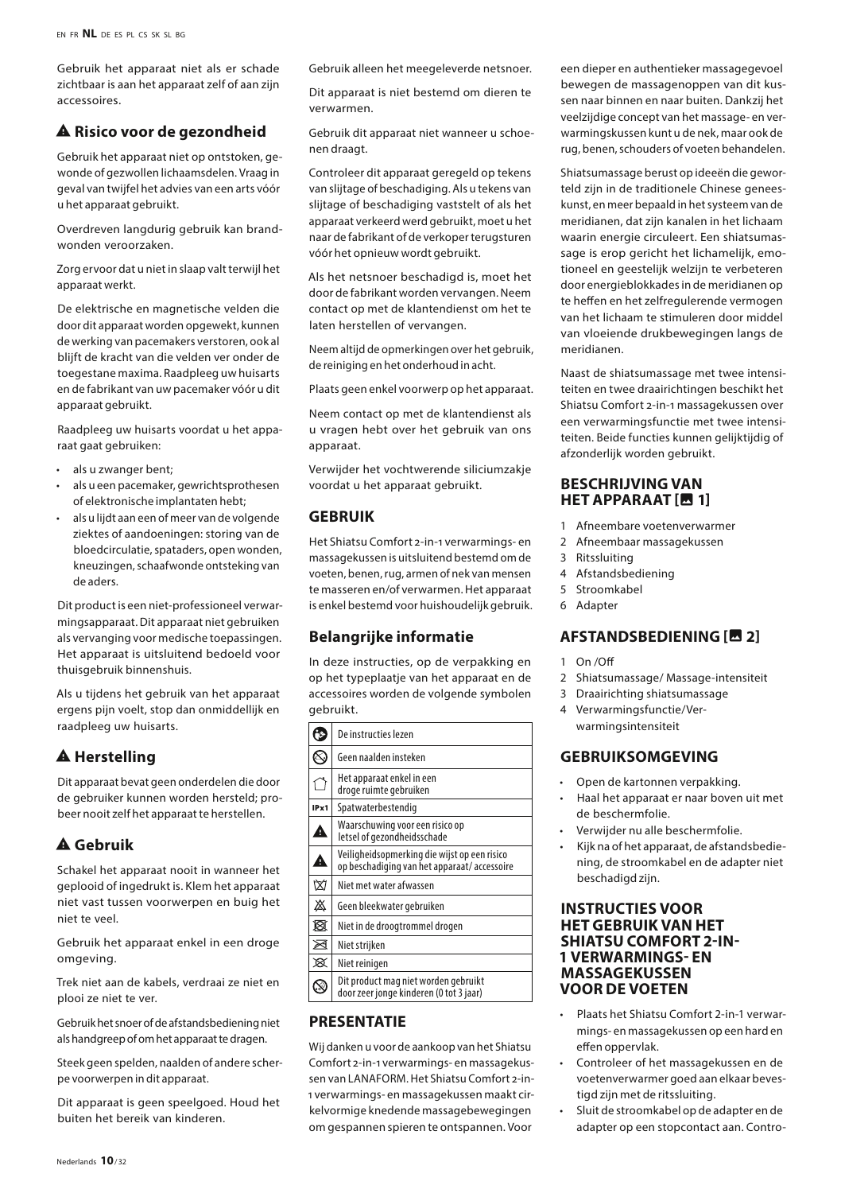Gebruik het apparaat niet als er schade zichtbaar is aan het apparaat zelf of aan zijn accessoires.

#### $\triangle$  Risico voor de gezondheid

Gebruik het apparaat niet op ontstoken, gewonde of gezwollen lichaamsdelen. Vraag in geval van twijfel het advies van een arts vóór u het apparaat gebruikt.

Overdreven langdurig gebruik kan brandwonden veroorzaken.

Zorg ervoor dat u niet in slaap valt terwijl het apparaat werkt.

De elektrische en magnetische velden die door dit apparaat worden opgewekt, kunnen de werking van pacemakers verstoren, ook al blijft de kracht van die velden ver onder de toegestane maxima. Raadpleeg uw huisarts en de fabrikant van uw pacemaker vóór u dit apparaat gebruikt.

Raadpleeg uw huisarts voordat u het apparaat gaat gebruiken:

- als u zwanger bent;
- als u een pacemaker, gewrichtsprothesen of elektronische implantaten hebt;
- als u lijdt aan een of meer van de volgende ziektes of aandoeningen: storing van de bloedcirculatie, spataders, open wonden, kneuzingen, schaafwonde ontsteking van de aders.

Dit product is een niet-professioneel verwarmingsapparaat. Dit apparaat niet gebruiken als vervanging voor medische toepassingen. Het apparaat is uitsluitend bedoeld voor thuisgebruik binnenshuis.

Als u tijdens het gebruik van het apparaat ergens pijn voelt, stop dan onmiddellijk en raadpleeg uw huisarts.

# **A** Herstelling

Dit apparaat bevat geen onderdelen die door de gebruiker kunnen worden hersteld; probeer nooit zelf het apparaat te herstellen.

# report\_problem **Gebruik**

Schakel het apparaat nooit in wanneer het geplooid of ingedrukt is. Klem het apparaat niet vast tussen voorwerpen en buig het niet te veel.

Gebruik het apparaat enkel in een droge omgeving.

Trek niet aan de kabels, verdraai ze niet en plooi ze niet te ver.

Gebruik het snoer of de afstandsbediening niet als handgreep of om het apparaat te dragen.

Steek geen spelden, naalden of andere scherpe voorwerpen in dit apparaat.

Dit apparaat is geen speelgoed. Houd het buiten het bereik van kinderen.

Gebruik alleen het meegeleverde netsnoer.

Dit apparaat is niet bestemd om dieren te verwarmen.

Gebruik dit apparaat niet wanneer u schoenen draagt.

Controleer dit apparaat geregeld op tekens van slijtage of beschadiging. Als u tekens van slijtage of beschadiging vaststelt of als het apparaat verkeerd werd gebruikt, moet u het naar de fabrikant of de verkoper terugsturen vóór het opnieuw wordt gebruikt.

Als het netsnoer beschadigd is, moet het door de fabrikant worden vervangen. Neem contact op met de klantendienst om het te laten herstellen of vervangen.

Neem altijd de opmerkingen over het gebruik, de reiniging en het onderhoud in acht.

Plaats geen enkel voorwerp op het apparaat.

Neem contact op met de klantendienst als u vragen hebt over het gebruik van ons apparaat.

Verwijder het vochtwerende siliciumzakje voordat u het apparaat gebruikt.

#### **GEBRUIK**

Het Shiatsu Comfort 2-in-1 verwarmings- en massagekussen is uitsluitend bestemd om de voeten, benen, rug, armen of nek van mensen te masseren en/of verwarmen. Het apparaat is enkel bestemd voor huishoudelijk gebruik.

#### **Belangrijke informatie**

In deze instructies, op de verpakking en op het typeplaatje van het apparaat en de accessoires worden de volgende symbolen gebruikt.

|      | De instructies lezen                                                                        |
|------|---------------------------------------------------------------------------------------------|
|      | Geen naalden insteken                                                                       |
|      | Het apparaat enkel in een<br>droge ruimte gebruiken                                         |
| IPx1 | Spatwaterbestendig                                                                          |
| Â    | Waarschuwing voor een risico op<br>letsel of gezondheidsschade                              |
| ◬    | Veiligheidsopmerking die wijst op een risico<br>op beschadiging van het apparaat/accessoire |
| ₩    | Niet met water afwassen                                                                     |
| ♨    | Geen bleekwater gebruiken                                                                   |
| Ħ    | Niet in de droogtrommel drogen                                                              |
| ⊠    | Niet strijken                                                                               |
| ⊠    | Niet reinigen                                                                               |
|      | Dit product mag niet worden gebruikt<br>door zeer jonge kinderen (0 tot 3 jaar)             |

# **PRESENTATIE**

Wij danken u voor de aankoop van het Shiatsu Comfort 2-in-1 verwarmings- en massagekussen van LANAFORM. Het Shiatsu Comfort 2-in-1 verwarmings- en massagekussen maakt cirkelvormige knedende massagebewegingen om gespannen spieren te ontspannen. Voor een dieper en authentieker massagegevoel bewegen de massagenoppen van dit kussen naar binnen en naar buiten. Dankzij het veelzijdige concept van het massage- en verwarmingskussen kunt u de nek, maar ook de rug, benen, schouders of voeten behandelen.

Shiatsumassage berust op ideeën die geworteld zijn in de traditionele Chinese geneeskunst, en meer bepaald in het systeem van de meridianen, dat zijn kanalen in het lichaam waarin energie circuleert. Een shiatsumassage is erop gericht het lichamelijk, emotioneel en geestelijk welzijn te verbeteren door energieblokkades in de meridianen op te heffen en het zelfregulerende vermogen van het lichaam te stimuleren door middel van vloeiende drukbewegingen langs de meridianen.

Naast de shiatsumassage met twee intensiteiten en twee draairichtingen beschikt het Shiatsu Comfort 2-in-1 massagekussen over een verwarmingsfunctie met twee intensiteiten. Beide functies kunnen gelijktijdig of afzonderlijk worden gebruikt.

#### **BESCHRIJVING VAN HET APPARAAT [图 1]**

- 1 Afneembare voetenverwarmer
- 2 Afneembaar massagekussen
- 3 Ritssluiting
- 4 Afstandsbediening
- 5 Stroomkabel
- 6 Adapter

#### **AFSTANDSBEDIENING [圖 2]**

- 1 On /Off
- 2 Shiatsumassage/ Massage-intensiteit
- 3 Draairichting shiatsumassage
- 4 Verwarmingsfunctie/Verwarmingsintensiteit

#### **GEBRUIKSOMGEVING**

- Open de kartonnen verpakking.
- Haal het apparaat er naar boven uit met de beschermfolie.
- Verwijder nu alle beschermfolie.
- Kijk na of het apparaat, de afstandsbediening, de stroomkabel en de adapter niet beschadigd zijn.

#### **INSTRUCTIES VOOR HET GEBRUIK VAN HET SHIATSU COMFORT 2-IN-1 VERWARMINGS- EN MASSAGEKUSSEN VOOR DE VOETEN**

- Plaats het Shiatsu Comfort 2-in-1 verwarmings- en massagekussen op een hard en effen oppervlak.
- Controleer of het massagekussen en de voetenverwarmer goed aan elkaar bevestigd zijn met de ritssluiting.
- Sluit de stroomkabel op de adapter en de adapter op een stopcontact aan. Contro-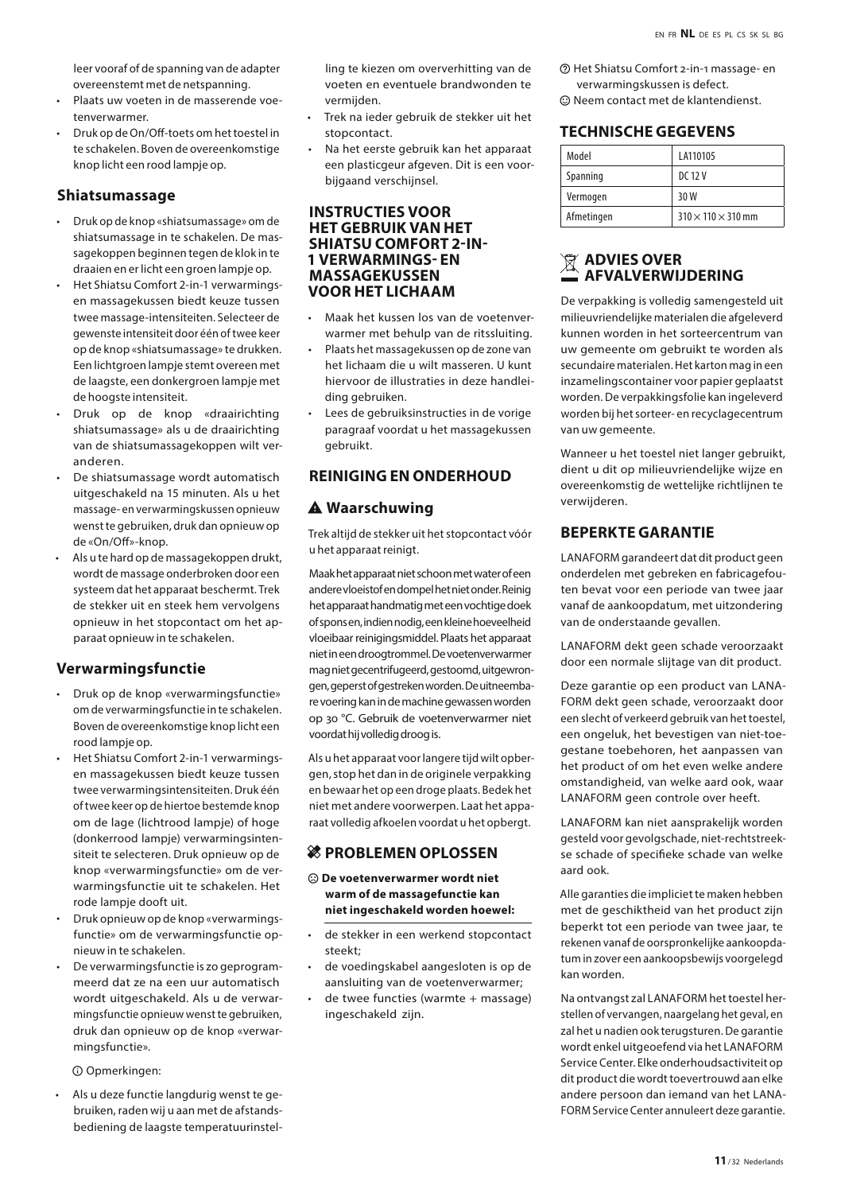leer vooraf of de spanning van de adapter overeenstemt met de netspanning.

- Plaats uw voeten in de masserende voetenverwarmer.
- Druk op de On/Off-toets om het toestel in te schakelen. Boven de overeenkomstige knop licht een rood lampje op.

#### **Shiatsumassage**

- Druk op de knop «shiatsumassage» om de shiatsumassage in te schakelen. De massagekoppen beginnen tegen de klok in te draaien en er licht een groen lampje op.
- Het Shiatsu Comfort 2-in-1 verwarmingsen massagekussen biedt keuze tussen twee massage-intensiteiten. Selecteer de gewenste intensiteit door één of twee keer op de knop «shiatsumassage» te drukken. Een lichtgroen lampje stemt overeen met de laagste, een donkergroen lampje met de hoogste intensiteit.
- Druk op de knop «draairichting shiatsumassage» als u de draairichting van de shiatsumassagekoppen wilt veranderen.
- De shiatsumassage wordt automatisch uitgeschakeld na 15 minuten. Als u het massage- en verwarmingskussen opnieuw wenst te gebruiken, druk dan opnieuw op de «On/Off»-knop.
- Als u te hard op de massagekoppen drukt, wordt de massage onderbroken door een systeem dat het apparaat beschermt. Trek de stekker uit en steek hem vervolgens opnieuw in het stopcontact om het apparaat opnieuw in te schakelen.

#### **Verwarmingsfunctie**

- Druk op de knop «verwarmingsfunctie» om de verwarmingsfunctie in te schakelen. Boven de overeenkomstige knop licht een rood lampje op.
- Het Shiatsu Comfort 2-in-1 verwarmingsen massagekussen biedt keuze tussen twee verwarmingsintensiteiten. Druk één of twee keer op de hiertoe bestemde knop om de lage (lichtrood lampje) of hoge (donkerrood lampje) verwarmingsintensiteit te selecteren. Druk opnieuw op de knop «verwarmingsfunctie» om de verwarmingsfunctie uit te schakelen. Het rode lampje dooft uit.
- Druk opnieuw op de knop «verwarmingsfunctie» om de verwarmingsfunctie opnieuw in te schakelen.
- De verwarmingsfunctie is zo geprogrammeerd dat ze na een uur automatisch wordt uitgeschakeld. Als u de verwarmingsfunctie opnieuw wenst te gebruiken, druk dan opnieuw op de knop «verwarmingsfunctie».

 $O$  Opmerkingen:

• Als u deze functie langdurig wenst te gebruiken, raden wij u aan met de afstandsbediening de laagste temperatuurinstelling te kiezen om oververhitting van de voeten en eventuele brandwonden te vermijden.

- Trek na ieder gebruik de stekker uit het stopcontact.
- Na het eerste gebruik kan het apparaat een plasticgeur afgeven. Dit is een voorbijgaand verschijnsel.

#### **INSTRUCTIES VOOR HET GEBRUIK VAN HET SHIATSU COMFORT 2-IN-1 VERWARMINGS- EN MASSAGEKUSSEN VOOR HET LICHAAM**

- Maak het kussen los van de voetenverwarmer met behulp van de ritssluiting.
- Plaats het massagekussen op de zone van het lichaam die u wilt masseren. U kunt hiervoor de illustraties in deze handleiding gebruiken.
- Lees de gebruiksinstructies in de vorige paragraaf voordat u het massagekussen gebruikt.

#### **REINIGING EN ONDERHOUD**

#### A Waarschuwing

Trek altijd de stekker uit het stopcontact vóór u het apparaat reinigt.

Maak het apparaat niet schoon met water of een andere vloeistof en dompel het niet onder. Reinig het apparaat handmatig met een vochtige doek of spons en, indien nodig, een kleine hoeveelheid vloeibaar reinigingsmiddel. Plaats het apparaat niet in een droogtrommel. De voetenverwarmer mag niet gecentrifugeerd, gestoomd, uitgewrongen, geperst of gestreken worden. De uitneembare voering kan in de machine gewassen worden op 30 °C. Gebruik de voetenverwarmer niet voordat hij volledig droog is.

Als u het apparaat voor langere tijd wilt opbergen, stop het dan in de originele verpakking en bewaar het op een droge plaats. Bedek het niet met andere voorwerpen. Laat het apparaat volledig afkoelen voordat u het opbergt.

#### **然 PROBLEMEN OPLOSSEN**

- $\odot$  De voetenverwarmer wordt niet **warm of de massagefunctie kan niet ingeschakeld worden hoewel:**
- de stekker in een werkend stopcontact steekt;
- de voedingskabel aangesloten is op de aansluiting van de voetenverwarmer;
- de twee functies (warmte + massage) ingeschakeld zijn.

**@ Het Shiatsu Comfort 2-in-1 massage- en** verwarmingskussen is defect.

 $\odot$  Neem contact met de klantendienst.

#### **TECHNISCHE GEGEVENS**

| Model      | LA110105                       |
|------------|--------------------------------|
| Spanning   | DC 12 V                        |
| Vermogen   | 30W                            |
| Afmetingen | $310 \times 110 \times 310$ mm |

#### **ADVIES OVER AFVALVERWIJDERING**

De verpakking is volledig samengesteld uit milieuvriendelijke materialen die afgeleverd kunnen worden in het sorteercentrum van uw gemeente om gebruikt te worden als secundaire materialen. Het karton mag in een inzamelingscontainer voor papier geplaatst worden. De verpakkingsfolie kan ingeleverd worden bij het sorteer- en recyclagecentrum van uw gemeente.

Wanneer u het toestel niet langer gebruikt, dient u dit op milieuvriendelijke wijze en overeenkomstig de wettelijke richtlijnen te verwijderen.

#### **BEPERKTE GARANTIE**

LANAFORM garandeert dat dit product geen onderdelen met gebreken en fabricagefouten bevat voor een periode van twee jaar vanaf de aankoopdatum, met uitzondering van de onderstaande gevallen.

LANAFORM dekt geen schade veroorzaakt door een normale slijtage van dit product.

Deze garantie op een product van LANA-FORM dekt geen schade, veroorzaakt door een slecht of verkeerd gebruik van het toestel, een ongeluk, het bevestigen van niet-toegestane toebehoren, het aanpassen van het product of om het even welke andere omstandigheid, van welke aard ook, waar LANAFORM geen controle over heeft.

LANAFORM kan niet aansprakelijk worden gesteld voor gevolgschade, niet-rechtstreekse schade of specifieke schade van welke aard ook.

Alle garanties die impliciet te maken hebben met de geschiktheid van het product zijn beperkt tot een periode van twee jaar, te rekenen vanaf de oorspronkelijke aankoopdatum in zover een aankoopsbewijs voorgelegd kan worden.

Na ontvangst zal LANAFORM het toestel herstellen of vervangen, naargelang het geval, en zal het u nadien ook terugsturen. De garantie wordt enkel uitgeoefend via het LANAFORM Service Center. Elke onderhoudsactiviteit op dit product die wordt toevertrouwd aan elke andere persoon dan iemand van het LANA-FORM Service Center annuleert deze garantie.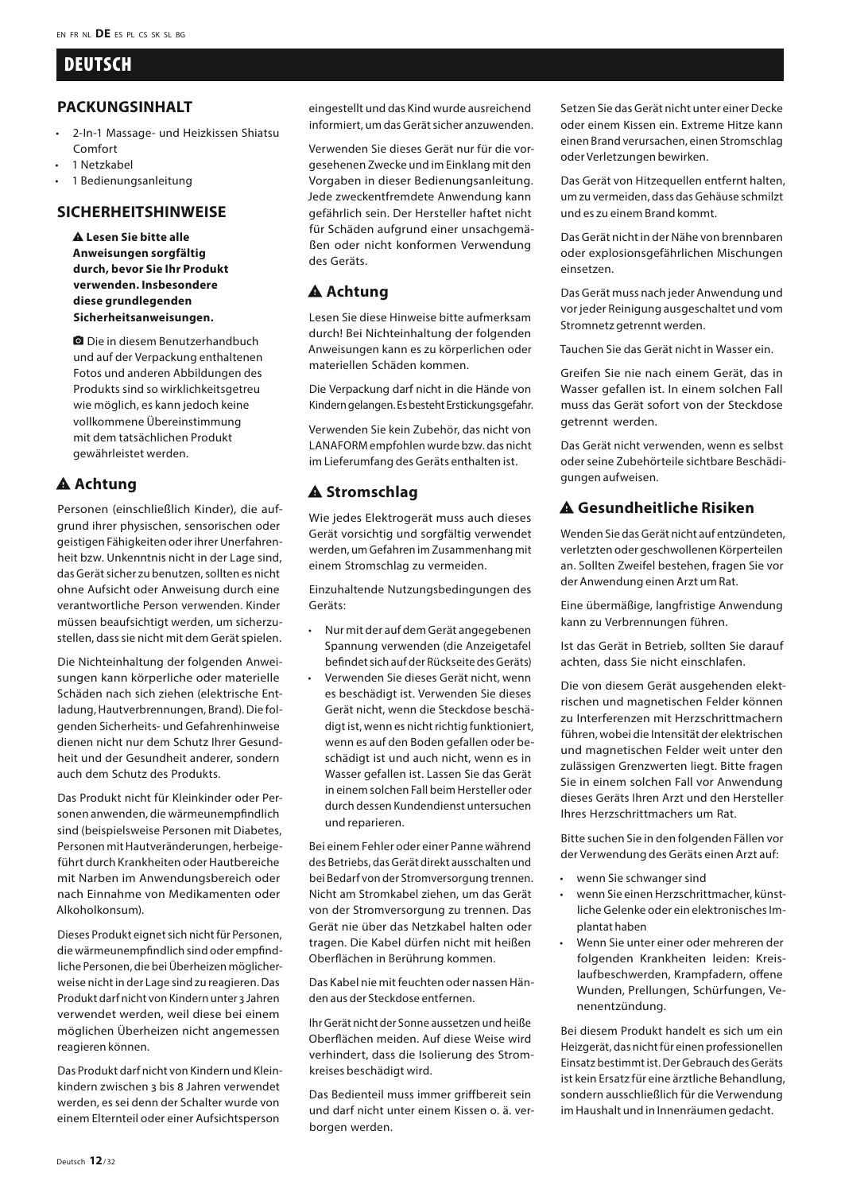# **DEUTSCH**

#### **PACKUNGSINHALT**

- 2-In-1 Massage- und Heizkissen Shiatsu Comfort
- 1 Netzkabel
- 1 Bedienungsanleitung

#### **SICHERHEITSHINWEISE**

**A Lesen Sie bitte alle Anweisungen sorgfältig durch, bevor Sie Ihr Produkt verwenden. Insbesondere diese grundlegenden Sicherheitsanweisungen.**

**Q** Die in diesem Benutzerhandbuch und auf der Verpackung enthaltenen Fotos und anderen Abbildungen des Produkts sind so wirklichkeitsgetreu wie möglich, es kann jedoch keine vollkommene Übereinstimmung mit dem tatsächlichen Produkt gewährleistet werden.

# A Achtung

Personen (einschließlich Kinder), die aufgrund ihrer physischen, sensorischen oder geistigen Fähigkeiten oder ihrer Unerfahrenheit bzw. Unkenntnis nicht in der Lage sind, das Gerät sicher zu benutzen, sollten es nicht ohne Aufsicht oder Anweisung durch eine verantwortliche Person verwenden. Kinder müssen beaufsichtigt werden, um sicherzustellen, dass sie nicht mit dem Gerät spielen.

Die Nichteinhaltung der folgenden Anweisungen kann körperliche oder materielle Schäden nach sich ziehen (elektrische Entladung, Hautverbrennungen, Brand). Die folgenden Sicherheits- und Gefahrenhinweise dienen nicht nur dem Schutz Ihrer Gesundheit und der Gesundheit anderer, sondern auch dem Schutz des Produkts.

Das Produkt nicht für Kleinkinder oder Personen anwenden, die wärmeunempfindlich sind (beispielsweise Personen mit Diabetes, Personen mit Hautveränderungen, herbeigeführt durch Krankheiten oder Hautbereiche mit Narben im Anwendungsbereich oder nach Einnahme von Medikamenten oder Alkoholkonsum).

Dieses Produkt eignet sich nicht für Personen, die wärmeunempfindlich sind oder empfindliche Personen, die bei Überheizen möglicherweise nicht in der Lage sind zu reagieren. Das Produkt darf nicht von Kindern unter 3 Jahren verwendet werden, weil diese bei einem möglichen Überheizen nicht angemessen reagieren können.

Das Produkt darf nicht von Kindern und Kleinkindern zwischen 3 bis 8 Jahren verwendet werden, es sei denn der Schalter wurde von einem Elternteil oder einer Aufsichtsperson

eingestellt und das Kind wurde ausreichend informiert, um das Gerät sicher anzuwenden.

Verwenden Sie dieses Gerät nur für die vorgesehenen Zwecke und im Einklang mit den Vorgaben in dieser Bedienungsanleitung. Jede zweckentfremdete Anwendung kann gefährlich sein. Der Hersteller haftet nicht für Schäden aufgrund einer unsachgemäßen oder nicht konformen Verwendung des Geräts.

# A Achtung

Lesen Sie diese Hinweise bitte aufmerksam durch! Bei Nichteinhaltung der folgenden Anweisungen kann es zu körperlichen oder materiellen Schäden kommen.

Die Verpackung darf nicht in die Hände von Kindern gelangen. Es besteht Erstickungsgefahr.

Verwenden Sie kein Zubehör, das nicht von LANAFORM empfohlen wurde bzw. das nicht im Lieferumfang des Geräts enthalten ist.

#### $A$  Stromschlag

Wie jedes Elektrogerät muss auch dieses Gerät vorsichtig und sorgfältig verwendet werden, um Gefahren im Zusammenhang mit einem Stromschlag zu vermeiden.

Einzuhaltende Nutzungsbedingungen des Geräts:

- Nur mit der auf dem Gerät angegebenen Spannung verwenden (die Anzeigetafel befindet sich auf der Rückseite des Geräts)
- Verwenden Sie dieses Gerät nicht, wenn es beschädigt ist. Verwenden Sie dieses Gerät nicht, wenn die Steckdose beschädigt ist, wenn es nicht richtig funktioniert, wenn es auf den Boden gefallen oder beschädigt ist und auch nicht, wenn es in Wasser gefallen ist. Lassen Sie das Gerät in einem solchen Fall beim Hersteller oder durch dessen Kundendienst untersuchen und reparieren.

Bei einem Fehler oder einer Panne während des Betriebs, das Gerät direkt ausschalten und bei Bedarf von der Stromversorgung trennen. Nicht am Stromkabel ziehen, um das Gerät von der Stromversorgung zu trennen. Das Gerät nie über das Netzkabel halten oder tragen. Die Kabel dürfen nicht mit heißen Oberflächen in Berührung kommen.

Das Kabel nie mit feuchten oder nassen Händen aus der Steckdose entfernen.

Ihr Gerät nicht der Sonne aussetzen und heiße Oberflächen meiden. Auf diese Weise wird verhindert, dass die Isolierung des Stromkreises beschädigt wird.

Das Bedienteil muss immer griffbereit sein und darf nicht unter einem Kissen o. ä. verborgen werden.

Setzen Sie das Gerät nicht unter einer Decke oder einem Kissen ein. Extreme Hitze kann einen Brand verursachen, einen Stromschlag oder Verletzungen bewirken.

Das Gerät von Hitzequellen entfernt halten, um zu vermeiden, dass das Gehäuse schmilzt und es zu einem Brand kommt.

Das Gerät nicht in der Nähe von brennbaren oder explosionsgefährlichen Mischungen einsetzen.

Das Gerät muss nach jeder Anwendung und vor jeder Reinigung ausgeschaltet und vom Stromnetz getrennt werden.

Tauchen Sie das Gerät nicht in Wasser ein.

Greifen Sie nie nach einem Gerät, das in Wasser gefallen ist. In einem solchen Fall muss das Gerät sofort von der Steckdose getrennt werden.

Das Gerät nicht verwenden, wenn es selbst oder seine Zubehörteile sichtbare Beschädigungen aufweisen.

# report\_problem **Gesundheitliche Risiken**

Wenden Sie das Gerät nicht auf entzündeten, verletzten oder geschwollenen Körperteilen an. Sollten Zweifel bestehen, fragen Sie vor der Anwendung einen Arzt um Rat.

Eine übermäßige, langfristige Anwendung kann zu Verbrennungen führen.

Ist das Gerät in Betrieb, sollten Sie darauf achten, dass Sie nicht einschlafen.

Die von diesem Gerät ausgehenden elektrischen und magnetischen Felder können zu Interferenzen mit Herzschrittmachern führen, wobei die Intensität der elektrischen und magnetischen Felder weit unter den zulässigen Grenzwerten liegt. Bitte fragen Sie in einem solchen Fall vor Anwendung dieses Geräts Ihren Arzt und den Hersteller Ihres Herzschrittmachers um Rat.

Bitte suchen Sie in den folgenden Fällen vor der Verwendung des Geräts einen Arzt auf:

- wenn Sie schwanger sind
- wenn Sie einen Herzschrittmacher, künstliche Gelenke oder ein elektronisches Implantat haben
- Wenn Sie unter einer oder mehreren der folgenden Krankheiten leiden: Kreislaufbeschwerden, Krampfadern, offene Wunden, Prellungen, Schürfungen, Venenentzündung.

Bei diesem Produkt handelt es sich um ein Heizgerät, das nicht für einen professionellen Einsatz bestimmt ist. Der Gebrauch des Geräts ist kein Ersatz für eine ärztliche Behandlung, sondern ausschließlich für die Verwendung im Haushalt und in Innenräumen gedacht.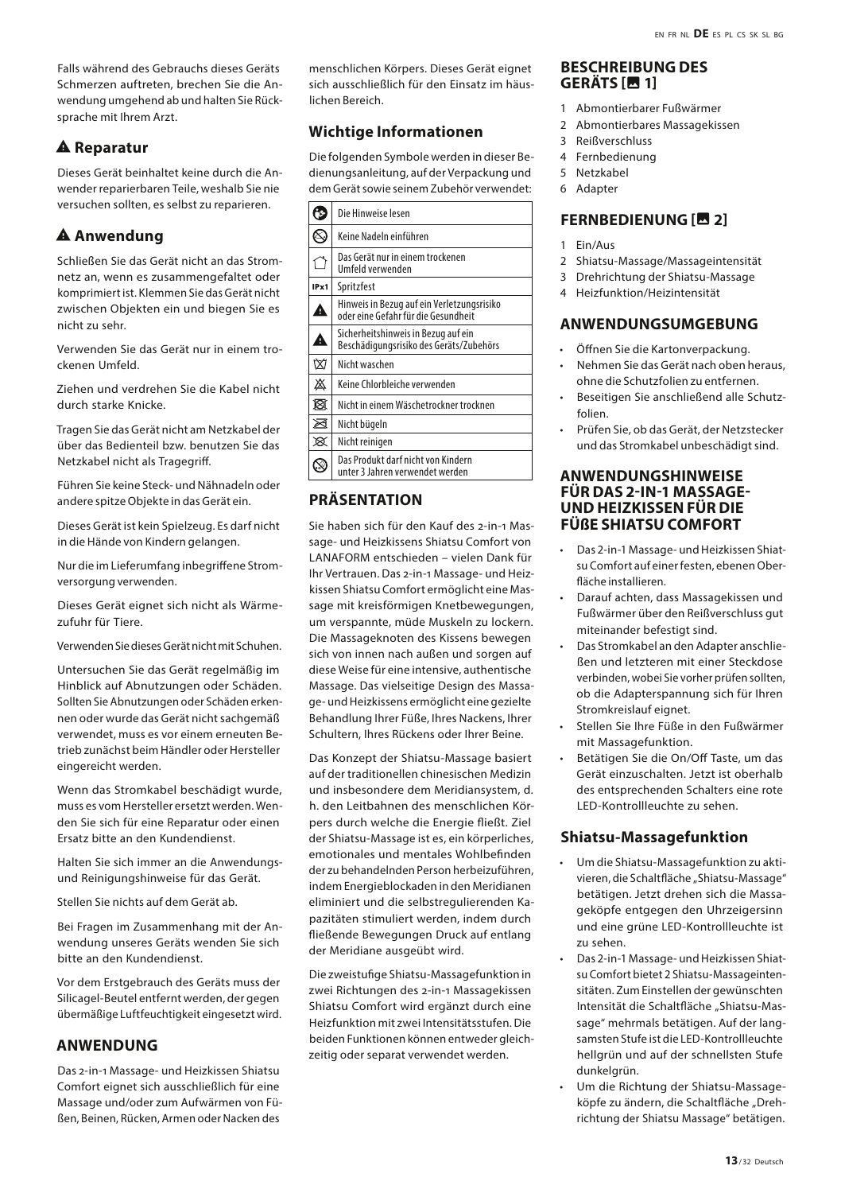Falls während des Gebrauchs dieses Geräts Schmerzen auftreten, brechen Sie die Anwendung umgehend ab und halten Sie Rücksprache mit Ihrem Arzt.

# **A** Reparatur

Dieses Gerät beinhaltet keine durch die Anwender reparierbaren Teile, weshalb Sie nie versuchen sollten, es selbst zu reparieren.

# $A$  Anwendung

Schließen Sie das Gerät nicht an das Stromnetz an, wenn es zusammengefaltet oder komprimiert ist. Klemmen Sie das Gerät nicht zwischen Objekten ein und biegen Sie es nicht zu sehr.

Verwenden Sie das Gerät nur in einem trockenen Umfeld.

Ziehen und verdrehen Sie die Kabel nicht durch starke Knicke.

Tragen Sie das Gerät nicht am Netzkabel der über das Bedienteil bzw. benutzen Sie das Netzkabel nicht als Tragegriff.

Führen Sie keine Steck- und Nähnadeln oder andere spitze Objekte in das Gerät ein.

Dieses Gerät ist kein Spielzeug. Es darf nicht in die Hände von Kindern gelangen.

Nur die im Lieferumfang inbegriffene Stromversorgung verwenden.

Dieses Gerät eignet sich nicht als Wärmezufuhr für Tiere.

Verwenden Sie dieses Gerät nicht mit Schuhen.

Untersuchen Sie das Gerät regelmäßig im Hinblick auf Abnutzungen oder Schäden. Sollten Sie Abnutzungen oder Schäden erkennen oder wurde das Gerät nicht sachgemäß verwendet, muss es vor einem erneuten Betrieb zunächst beim Händler oder Hersteller eingereicht werden.

Wenn das Stromkabel beschädigt wurde, muss es vom Hersteller ersetzt werden. Wenden Sie sich für eine Reparatur oder einen Ersatz bitte an den Kundendienst.

Halten Sie sich immer an die Anwendungsund Reinigungshinweise für das Gerät.

Stellen Sie nichts auf dem Gerät ab.

Bei Fragen im Zusammenhang mit der Anwendung unseres Geräts wenden Sie sich bitte an den Kundendienst.

Vor dem Erstgebrauch des Geräts muss der Silicagel-Beutel entfernt werden, der gegen übermäßige Luftfeuchtigkeit eingesetzt wird.

# **ANWENDUNG**

Das 2-in-1 Massage- und Heizkissen Shiatsu Comfort eignet sich ausschließlich für eine Massage und/oder zum Aufwärmen von Füßen, Beinen, Rücken, Armen oder Nacken des

menschlichen Körpers. Dieses Gerät eignet sich ausschließlich für den Einsatz im häuslichen Bereich.

# **Wichtige Informationen**

Die folgenden Symbole werden in dieser Bedienungsanleitung, auf der Verpackung und dem Gerät sowie seinem Zubehör verwendet:

| ۰,   | Die Hinweise lesen                                                                |
|------|-----------------------------------------------------------------------------------|
|      | Keine Nadeln einführen                                                            |
|      | Das Gerät nur in einem trockenen<br>Umfeld verwenden                              |
| IPx1 | Spritzfest                                                                        |
| A    | Hinweis in Bezug auf ein Verletzungsrisiko<br>oder eine Gefahr für die Gesundheit |
| A    | Sicherheitshinweis in Bezug auf ein<br>Beschädigungsrisiko des Geräts/Zubehörs    |
| ₩    | Nicht waschen                                                                     |
| 惢    | Keine Chlorbleiche verwenden                                                      |
| Ñ    | Nicht in einem Wäschetrockner trocknen                                            |
| ⊠    | Nicht bügeln                                                                      |
| ⊠    | Nicht reinigen                                                                    |
|      | Das Produkt darf nicht von Kindern<br>unter 3 Jahren verwendet werden             |
|      |                                                                                   |

# **PRÄSENTATION**

Sie haben sich für den Kauf des 2-in-1 Massage- und Heizkissens Shiatsu Comfort von LANAFORM entschieden – vielen Dank für Ihr Vertrauen. Das 2-in-1 Massage- und Heizkissen Shiatsu Comfort ermöglicht eine Massage mit kreisförmigen Knetbewegungen, um verspannte, müde Muskeln zu lockern. Die Massageknoten des Kissens bewegen sich von innen nach außen und sorgen auf diese Weise für eine intensive, authentische Massage. Das vielseitige Design des Massage- und Heizkissens ermöglicht eine gezielte Behandlung Ihrer Füße, Ihres Nackens, Ihrer Schultern, Ihres Rückens oder Ihrer Beine.

Das Konzept der Shiatsu-Massage basiert auf der traditionellen chinesischen Medizin und insbesondere dem Meridiansystem, d. h. den Leitbahnen des menschlichen Körpers durch welche die Energie fließt. Ziel der Shiatsu-Massage ist es, ein körperliches, emotionales und mentales Wohlbefinden der zu behandelnden Person herbeizuführen, indem Energieblockaden in den Meridianen eliminiert und die selbstregulierenden Kapazitäten stimuliert werden, indem durch fließende Bewegungen Druck auf entlang der Meridiane ausgeübt wird.

Die zweistufige Shiatsu-Massagefunktion in zwei Richtungen des 2-in-1 Massagekissen Shiatsu Comfort wird ergänzt durch eine Heizfunktion mit zwei Intensitätsstufen. Die beiden Funktionen können entweder gleichzeitig oder separat verwendet werden.

#### **BESCHREIBUNG DES GERÄTS [Mtd]**

- 1 Abmontierbarer Fußwärmer
- 2 Abmontierbares Massagekissen<br>3 Beißverschluss
- **Reißverschluss**
- 4 Fernbedienung
- 5 Netzkabel
- 6 Adapter

# **FERNBEDIENUNG [**insert\_photo **2]**

- 1 Ein/Aus
- 2 Shiatsu-Massage/Massageintensität
- 3 Drehrichtung der Shiatsu-Massage
- 4 Heizfunktion/Heizintensität

#### **ANWENDUNGSUMGEBUNG**

- Öffnen Sie die Kartonverpackung.
- Nehmen Sie das Gerät nach oben heraus, ohne die Schutzfolien zu entfernen.
- Beseitigen Sie anschließend alle Schutzfolien.
- Prüfen Sie, ob das Gerät, der Netzstecker und das Stromkabel unbeschädigt sind.

#### **ANWENDUNGSHINWEISE FÜR DAS 2-IN-1 MASSAGE-UND HEIZKISSEN FÜR DIE FÜSE SHIATSU COMFORT**

- Das 2-in-1 Massage- und Heizkissen Shiatsu Comfort auf einer festen, ebenen Oberfläche installieren.
- Darauf achten, dass Massagekissen und Fußwärmer über den Reißverschluss gut miteinander befestigt sind.
- Das Stromkabel an den Adapter anschließen und letzteren mit einer Steckdose verbinden, wobei Sie vorher prüfen sollten, ob die Adapterspannung sich für Ihren Stromkreislauf eignet.
- Stellen Sie Ihre Füße in den Fußwärmer mit Massagefunktion.
- Betätigen Sie die On/Off Taste, um das Gerät einzuschalten. Jetzt ist oberhalb des entsprechenden Schalters eine rote LED-Kontrollleuchte zu sehen.

#### **Shiatsu-Massagefunktion**

- Um die Shiatsu-Massagefunktion zu aktivieren, die Schaltfläche "Shiatsu-Massage" betätigen. Jetzt drehen sich die Massageköpfe entgegen den Uhrzeigersinn und eine grüne LED-Kontrollleuchte ist zu sehen.
- Das 2-in-1 Massage- und Heizkissen Shiatsu Comfort bietet 2 Shiatsu-Massageintensitäten. Zum Einstellen der gewünschten Intensität die Schaltfläche "Shiatsu-Massage" mehrmals betätigen. Auf der langsamsten Stufe ist die LED-Kontrollleuchte hellgrün und auf der schnellsten Stufe dunkelgrün.
- Um die Richtung der Shiatsu-Massageköpfe zu ändern, die Schaltfläche "Drehrichtung der Shiatsu Massage" betätigen.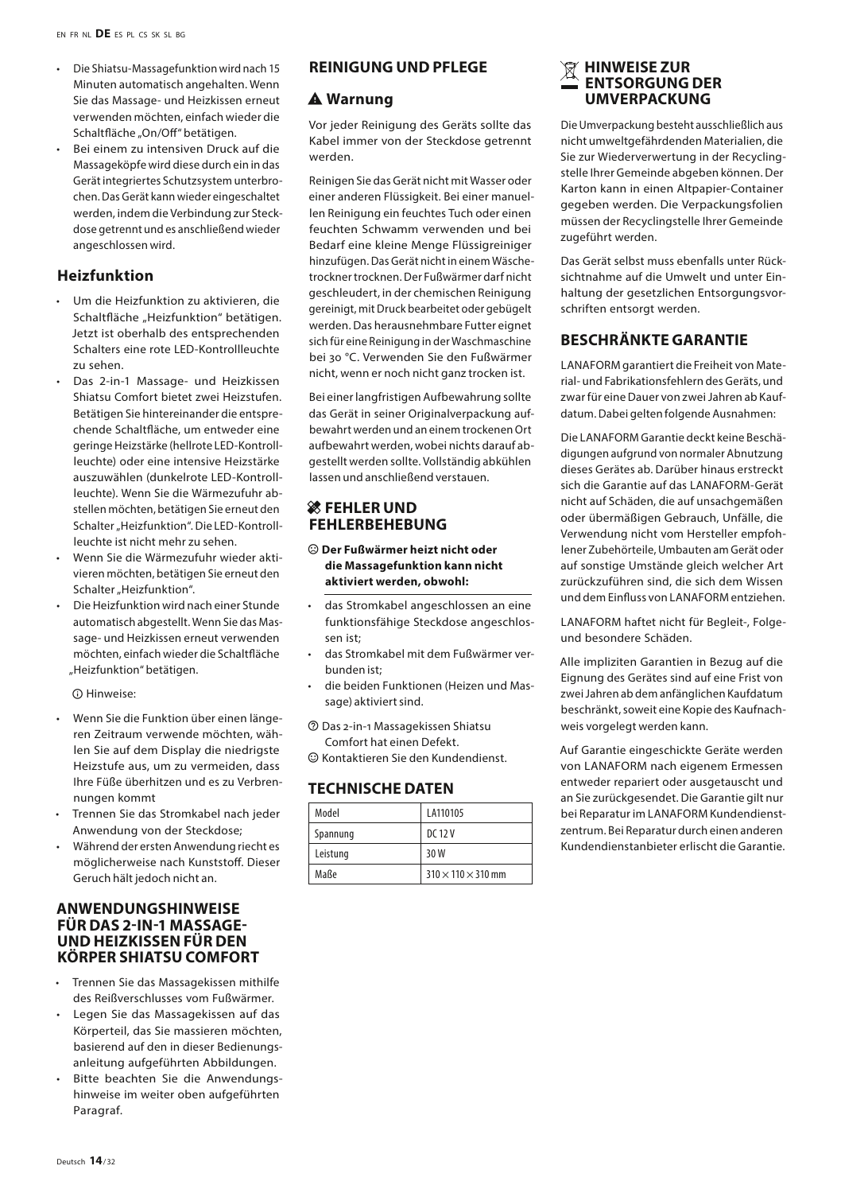- Die Shiatsu-Massagefunktion wird nach 15 Minuten automatisch angehalten. Wenn Sie das Massage- und Heizkissen erneut verwenden möchten, einfach wieder die Schaltfläche "On/Off" betätigen.
- Bei einem zu intensiven Druck auf die Massageköpfe wird diese durch ein in das Gerät integriertes Schutzsystem unterbrochen. Das Gerät kann wieder eingeschaltet werden, indem die Verbindung zur Steckdose getrennt und es anschließend wieder angeschlossen wird.

#### **Heizfunktion**

- Um die Heizfunktion zu aktivieren, die Schaltfläche "Heizfunktion" betätigen. Jetzt ist oberhalb des entsprechenden Schalters eine rote LED-Kontrollleuchte zu sehen.
- Das 2-in-1 Massage- und Heizkissen Shiatsu Comfort bietet zwei Heizstufen. Betätigen Sie hintereinander die entsprechende Schaltfläche, um entweder eine geringe Heizstärke (hellrote LED-Kontrollleuchte) oder eine intensive Heizstärke auszuwählen (dunkelrote LED-Kontrollleuchte). Wenn Sie die Wärmezufuhr abstellen möchten, betätigen Sie erneut den Schalter "Heizfunktion". Die LED-Kontrollleuchte ist nicht mehr zu sehen.
- Wenn Sie die Wärmezufuhr wieder aktivieren möchten, betätigen Sie erneut den Schalter Heizfunktion"
- Die Heizfunktion wird nach einer Stunde automatisch abgestellt. Wenn Sie das Massage- und Heizkissen erneut verwenden möchten, einfach wieder die Schaltfläche "Heizfunktion" betätigen.

 $\Omega$  Hinweise:

- Wenn Sie die Funktion über einen längeren Zeitraum verwende möchten, wählen Sie auf dem Display die niedrigste Heizstufe aus, um zu vermeiden, dass Ihre Füße überhitzen und es zu Verbrennungen kommt
- Trennen Sie das Stromkabel nach jeder Anwendung von der Steckdose;
- Während der ersten Anwendung riecht es möglicherweise nach Kunststoff. Dieser Geruch hält jedoch nicht an.

#### **ANWENDUNGSHINWEISE FÜR DAS 2-IN-1 MASSAGE-UND HEIZKISSEN FÜR DEN KÖRPER SHIATSU COMFORT**

- Trennen Sie das Massagekissen mithilfe des Reißverschlusses vom Fußwärmer.
- Legen Sie das Massagekissen auf das Körperteil, das Sie massieren möchten, basierend auf den in dieser Bedienungsanleitung aufgeführten Abbildungen.
- Bitte beachten Sie die Anwendungshinweise im weiter oben aufgeführten Paragraf.

#### **REINIGUNG UND PFLEGE**

#### $A$  Warnung

Vor jeder Reinigung des Geräts sollte das Kabel immer von der Steckdose getrennt werden.

Reinigen Sie das Gerät nicht mit Wasser oder einer anderen Flüssigkeit. Bei einer manuellen Reinigung ein feuchtes Tuch oder einen feuchten Schwamm verwenden und bei Bedarf eine kleine Menge Flüssigreiniger hinzufügen. Das Gerät nicht in einem Wäschetrockner trocknen. Der Fußwärmer darf nicht geschleudert, in der chemischen Reinigung gereinigt, mit Druck bearbeitet oder gebügelt werden. Das herausnehmbare Futter eignet sich für eine Reinigung in der Waschmaschine bei 30 °C. Verwenden Sie den Fußwärmer nicht, wenn er noch nicht ganz trocken ist.

Bei einer langfristigen Aufbewahrung sollte das Gerät in seiner Originalverpackung aufbewahrt werden und an einem trockenen Ort aufbewahrt werden, wobei nichts darauf abgestellt werden sollte. Vollständig abkühlen lassen und anschließend verstauen.

#### **然 FEHLER UND FEHLERBEHEBUNG**

- $\odot$  Der Fußwärmer heizt nicht oder **die Massagefunktion kann nicht aktiviert werden, obwohl:**
- das Stromkabel angeschlossen an eine funktionsfähige Steckdose angeschlossen ist;
- das Stromkabel mit dem Fußwärmer verbunden ist;
- die beiden Funktionen (Heizen und Massage) aktiviert sind.
- **2** Das 2-in-1 Massagekissen Shiatsu Comfort hat einen Defekt.

 $\odot$  Kontaktieren Sie den Kundendienst.

#### **TECHNISCHE DATEN**

| Model    | LA110105                       |
|----------|--------------------------------|
| Spannung | DC 12 V                        |
| Leistung | 30 W                           |
| Maße     | $310 \times 110 \times 310$ mm |

#### **HINWEISE ZUR ENTSORGUNG DER UMVERPACKUNG**

Die Umverpackung besteht ausschließlich aus nicht umweltgefährdenden Materialien, die Sie zur Wiederverwertung in der Recyclingstelle Ihrer Gemeinde abgeben können. Der Karton kann in einen Altpapier-Container gegeben werden. Die Verpackungsfolien müssen der Recyclingstelle Ihrer Gemeinde zugeführt werden.

Das Gerät selbst muss ebenfalls unter Rücksichtnahme auf die Umwelt und unter Einhaltung der gesetzlichen Entsorgungsvorschriften entsorgt werden.

#### **BESCHRÄNKTE GARANTIE**

LANAFORM garantiert die Freiheit von Material- und Fabrikationsfehlern des Geräts, und zwar für eine Dauer von zwei Jahren ab Kaufdatum. Dabei gelten folgende Ausnahmen:

Die LANAFORM Garantie deckt keine Beschädigungen aufgrund von normaler Abnutzung dieses Gerätes ab. Darüber hinaus erstreckt sich die Garantie auf das LANAFORM-Gerät nicht auf Schäden, die auf unsachgemäßen oder übermäßigen Gebrauch, Unfälle, die Verwendung nicht vom Hersteller empfohlener Zubehörteile, Umbauten am Gerät oder auf sonstige Umstände gleich welcher Art zurückzuführen sind, die sich dem Wissen und dem Einfluss von LANAFORM entziehen.

LANAFORM haftet nicht für Begleit-, Folgeund besondere Schäden.

Alle impliziten Garantien in Bezug auf die Eignung des Gerätes sind auf eine Frist von zwei Jahren ab dem anfänglichen Kaufdatum beschränkt, soweit eine Kopie des Kaufnachweis vorgelegt werden kann.

Auf Garantie eingeschickte Geräte werden von LANAFORM nach eigenem Ermessen entweder repariert oder ausgetauscht und an Sie zurückgesendet. Die Garantie gilt nur bei Reparatur im LANAFORM Kundendienstzentrum. Bei Reparatur durch einen anderen Kundendienstanbieter erlischt die Garantie.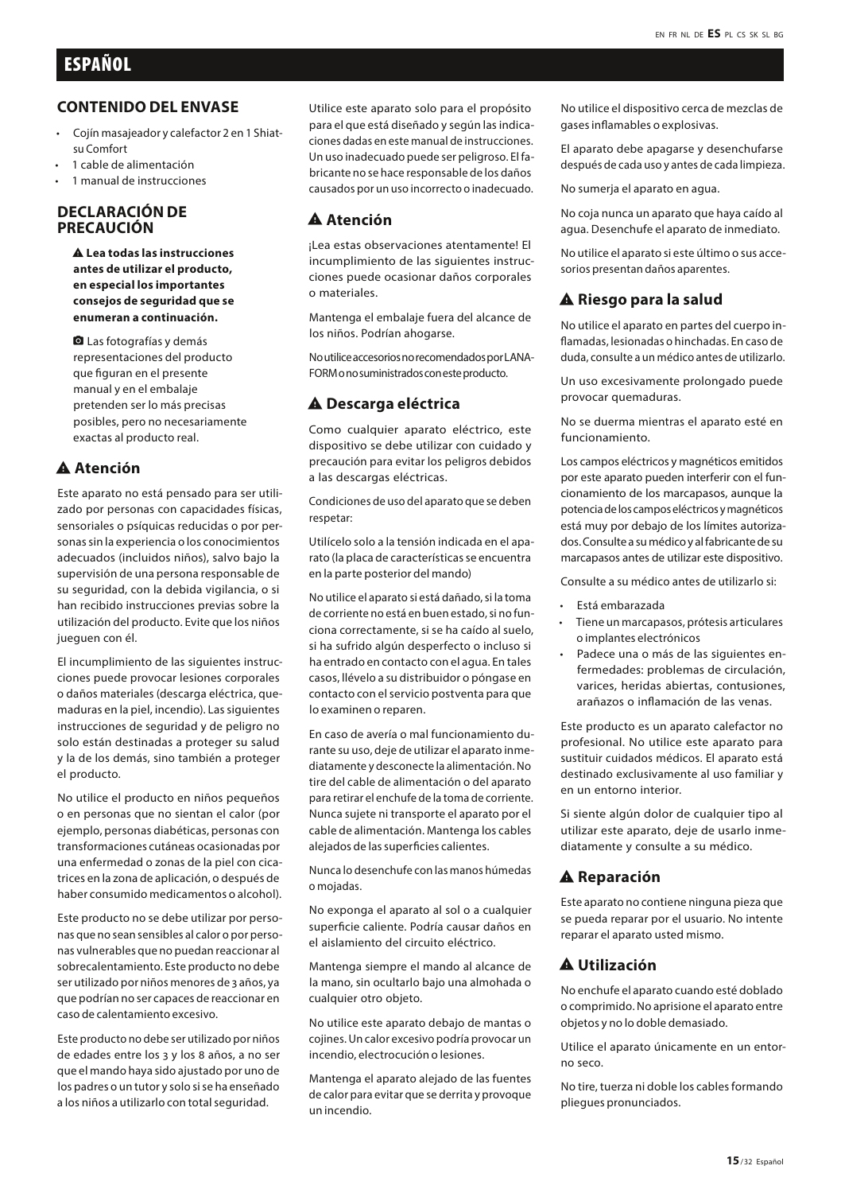#### **CONTENIDO DEL ENVASE**

- Cojín masajeador y calefactor 2 en 1 Shiatsu Comfort
- 1 cable de alimentación
- 1 manual de instrucciones

#### **DECLARACIÓN DE PRECAUCIÓN**

report\_problem **Lea todas las instrucciones antes de utilizar el producto, en especial los importantes consejos de seguridad que se enumeran a continuación.**

**Q** Las fotografías y demás representaciones del producto que figuran en el presente manual y en el embalaje pretenden ser lo más precisas posibles, pero no necesariamente exactas al producto real.

#### A Atención

Este aparato no está pensado para ser utilizado por personas con capacidades físicas, sensoriales o psíquicas reducidas o por personas sin la experiencia o los conocimientos adecuados (incluidos niños), salvo bajo la supervisión de una persona responsable de su seguridad, con la debida vigilancia, o si han recibido instrucciones previas sobre la utilización del producto. Evite que los niños jueguen con él.

El incumplimiento de las siguientes instrucciones puede provocar lesiones corporales o daños materiales (descarga eléctrica, quemaduras en la piel, incendio). Las siguientes instrucciones de seguridad y de peligro no solo están destinadas a proteger su salud y la de los demás, sino también a proteger el producto.

No utilice el producto en niños pequeños o en personas que no sientan el calor (por ejemplo, personas diabéticas, personas con transformaciones cutáneas ocasionadas por una enfermedad o zonas de la piel con cicatrices en la zona de aplicación, o después de haber consumido medicamentos o alcohol).

Este producto no se debe utilizar por personas que no sean sensibles al calor o por personas vulnerables que no puedan reaccionar al sobrecalentamiento. Este producto no debe ser utilizado por niños menores de 3 años, ya que podrían no ser capaces de reaccionar en caso de calentamiento excesivo.

Este producto no debe ser utilizado por niños de edades entre los 3 y los 8 años, a no ser que el mando haya sido ajustado por uno de los padres o un tutor y solo si se ha enseñado a los niños a utilizarlo con total seguridad.

Utilice este aparato solo para el propósito para el que está diseñado y según las indicaciones dadas en este manual de instrucciones. Un uso inadecuado puede ser peligroso. El fabricante no se hace responsable de los daños causados por un uso incorrecto o inadecuado.

#### A Atención

¡Lea estas observaciones atentamente! El incumplimiento de las siguientes instrucciones puede ocasionar daños corporales o materiales.

Mantenga el embalaje fuera del alcance de los niños. Podrían ahogarse.

No utilice accesorios no recomendados por LANA-FORM o no suministrados con este producto.

#### $\triangle$  Descarga eléctrica

Como cualquier aparato eléctrico, este dispositivo se debe utilizar con cuidado y precaución para evitar los peligros debidos a las descargas eléctricas.

Condiciones de uso del aparato que se deben respetar:

Utilícelo solo a la tensión indicada en el aparato (la placa de características se encuentra en la parte posterior del mando)

No utilice el aparato si está dañado, si la toma de corriente no está en buen estado, si no funciona correctamente, si se ha caído al suelo, si ha sufrido algún desperfecto o incluso si ha entrado en contacto con el agua. En tales casos, llévelo a su distribuidor o póngase en contacto con el servicio postventa para que lo examinen o reparen.

En caso de avería o mal funcionamiento durante su uso, deje de utilizar el aparato inmediatamente y desconecte la alimentación. No tire del cable de alimentación o del aparato para retirar el enchufe de la toma de corriente. Nunca sujete ni transporte el aparato por el cable de alimentación. Mantenga los cables alejados de las superficies calientes.

Nunca lo desenchufe con las manos húmedas o mojadas.

No exponga el aparato al sol o a cualquier superficie caliente. Podría causar daños en el aislamiento del circuito eléctrico.

Mantenga siempre el mando al alcance de la mano, sin ocultarlo bajo una almohada o cualquier otro objeto.

No utilice este aparato debajo de mantas o cojines. Un calor excesivo podría provocar un incendio, electrocución o lesiones.

Mantenga el aparato alejado de las fuentes de calor para evitar que se derrita y provoque un incendio.

No utilice el dispositivo cerca de mezclas de gases inflamables o explosivas.

El aparato debe apagarse y desenchufarse después de cada uso y antes de cada limpieza.

No sumerja el aparato en agua.

No coja nunca un aparato que haya caído al agua. Desenchufe el aparato de inmediato.

No utilice el aparato si este último o sus accesorios presentan daños aparentes.

#### $\triangle$  Riesgo para la salud

No utilice el aparato en partes del cuerpo inflamadas, lesionadas o hinchadas. En caso de duda, consulte a un médico antes de utilizarlo.

Un uso excesivamente prolongado puede provocar quemaduras.

No se duerma mientras el aparato esté en funcionamiento.

Los campos eléctricos y magnéticos emitidos por este aparato pueden interferir con el funcionamiento de los marcapasos, aunque la potencia de los campos eléctricos y magnéticos está muy por debajo de los límites autorizados. Consulte a su médico y al fabricante de su marcapasos antes de utilizar este dispositivo.

Consulte a su médico antes de utilizarlo si:

- Está embarazada
- Tiene un marcapasos, prótesis articulares o implantes electrónicos
- Padece una o más de las siguientes enfermedades: problemas de circulación, varices, heridas abiertas, contusiones, arañazos o inflamación de las venas.

Este producto es un aparato calefactor no profesional. No utilice este aparato para sustituir cuidados médicos. El aparato está destinado exclusivamente al uso familiar y en un entorno interior.

Si siente algún dolor de cualquier tipo al utilizar este aparato, deje de usarlo inmediatamente y consulte a su médico.

#### **A** Reparación

Este aparato no contiene ninguna pieza que se pueda reparar por el usuario. No intente reparar el aparato usted mismo.

# report\_problem **Utilización**

No enchufe el aparato cuando esté doblado o comprimido. No aprisione el aparato entre objetos y no lo doble demasiado.

Utilice el aparato únicamente en un entorno seco.

No tire, tuerza ni doble los cables formando pliegues pronunciados.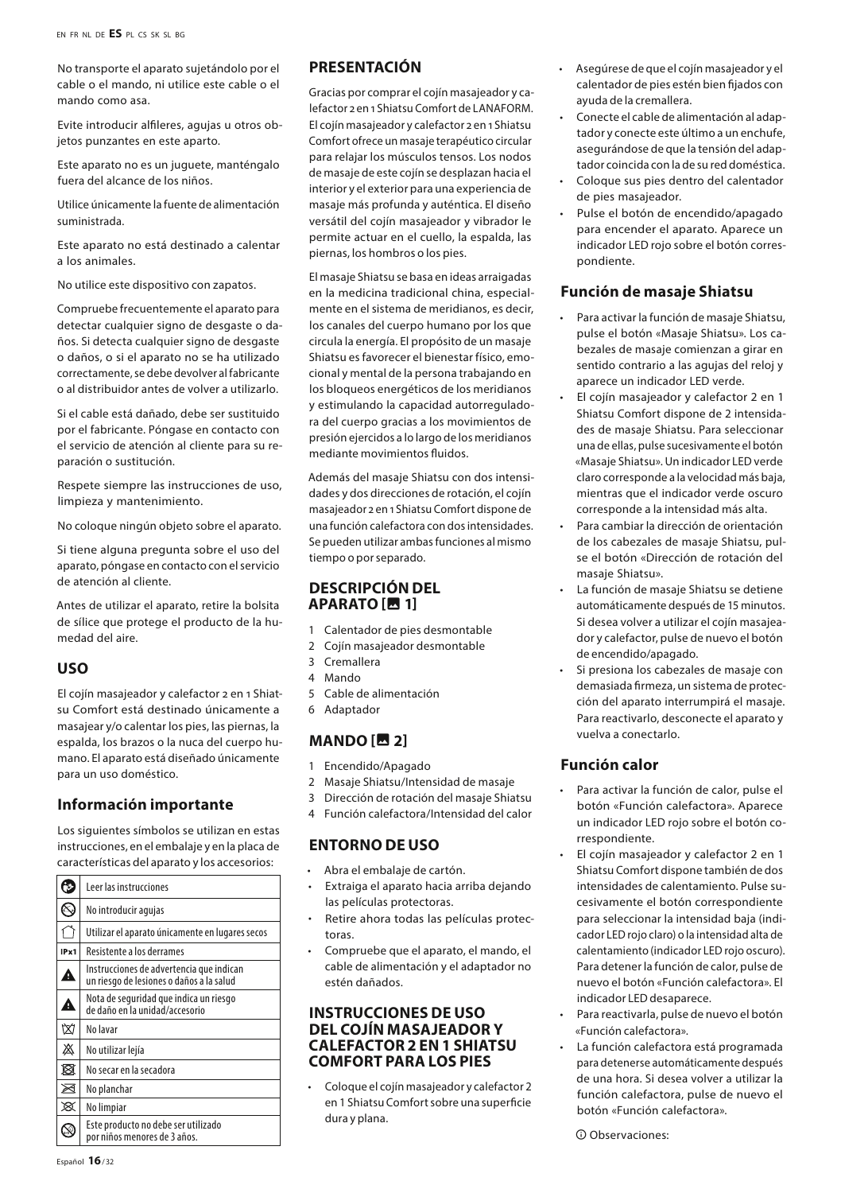No transporte el aparato sujetándolo por el cable o el mando, ni utilice este cable o el mando como asa.

Evite introducir alfileres, agujas u otros objetos punzantes en este aparto.

Este aparato no es un juguete, manténgalo fuera del alcance de los niños.

Utilice únicamente la fuente de alimentación suministrada.

Este aparato no está destinado a calentar a los animales.

No utilice este dispositivo con zapatos.

Compruebe frecuentemente el aparato para detectar cualquier signo de desgaste o daños. Si detecta cualquier signo de desgaste o daños, o si el aparato no se ha utilizado correctamente, se debe devolver al fabricante o al distribuidor antes de volver a utilizarlo.

Si el cable está dañado, debe ser sustituido por el fabricante. Póngase en contacto con el servicio de atención al cliente para su reparación o sustitución.

Respete siempre las instrucciones de uso, limpieza y mantenimiento.

No coloque ningún objeto sobre el aparato.

Si tiene alguna pregunta sobre el uso del aparato, póngase en contacto con el servicio de atención al cliente.

Antes de utilizar el aparato, retire la bolsita de sílice que protege el producto de la humedad del aire.

#### **USO**

El cojín masajeador y calefactor 2 en 1 Shiatsu Comfort está destinado únicamente a masajear y/o calentar los pies, las piernas, la espalda, los brazos o la nuca del cuerpo humano. El aparato está diseñado únicamente para un uso doméstico.

#### **Información importante**

Los siguientes símbolos se utilizan en estas instrucciones, en el embalaje y en la placa de características del aparato y los accesorios:

|      | Leer las instrucciones                                                               |
|------|--------------------------------------------------------------------------------------|
|      | No introducir agujas                                                                 |
|      | Utilizar el aparato únicamente en lugares secos                                      |
| IPx1 | Resistente a los derrames                                                            |
| D    | Instrucciones de advertencia que indican<br>un riesgo de lesiones o daños a la salud |
| A    | Nota de seguridad que indica un riesgo<br>de daño en la unidad/accesorio             |
| ₥    | No lavar                                                                             |
| 盗    | No utilizar lejía                                                                    |
| 図    | No secar en la secadora                                                              |
| ⊠    | No planchar                                                                          |
| x    | No limpiar                                                                           |
|      | Este producto no debe ser utilizado<br>por niños menores de 3 años.                  |

# **PRESENTACIÓN**

Gracias por comprar el cojín masajeador y calefactor 2 en 1 Shiatsu Comfort de LANAFORM. El cojín masajeador y calefactor 2 en 1 Shiatsu Comfort ofrece un masaje terapéutico circular para relajar los músculos tensos. Los nodos de masaje de este cojín se desplazan hacia el interior y el exterior para una experiencia de masaje más profunda y auténtica. El diseño versátil del cojín masajeador y vibrador le permite actuar en el cuello, la espalda, las piernas, los hombros o los pies.

El masaje Shiatsu se basa en ideas arraigadas en la medicina tradicional china, especialmente en el sistema de meridianos, es decir, los canales del cuerpo humano por los que circula la energía. El propósito de un masaje Shiatsu es favorecer el bienestar físico, emocional y mental de la persona trabajando en los bloqueos energéticos de los meridianos y estimulando la capacidad autorreguladora del cuerpo gracias a los movimientos de presión ejercidos a lo largo de los meridianos mediante movimientos fluidos.

Además del masaje Shiatsu con dos intensidades y dos direcciones de rotación, el cojín masajeador 2 en 1 Shiatsu Comfort dispone de una función calefactora con dos intensidades. Se pueden utilizar ambas funciones al mismo tiempo o por separado.

#### **DESCRIPCIÓN DEL APARATO [图 1]**

- 1 Calentador de pies desmontable
- 2 Cojín masajeador desmontable
- 3 Cremallera
- 4 Mando
- 5 Cable de alimentación
- 6 Adaptador

# **MANDO [■ 2]**

- 1 Encendido/Apagado
- 2 Masaje Shiatsu/Intensidad de masaje
- 3 Dirección de rotación del masaje Shiatsu
- 4 Función calefactora/Intensidad del calor

# **ENTORNO DE USO**

- Abra el embalaje de cartón.
- Extraiga el aparato hacia arriba dejando las películas protectoras.
- Retire ahora todas las películas protectoras.
- Compruebe que el aparato, el mando, el cable de alimentación y el adaptador no estén dañados.

#### **INSTRUCCIONES DE USO DEL COJÍN MASAJEADOR Y CALEFACTOR 2 EN 1 SHIATSU COMFORT PARA LOS PIES**

• Coloque el cojín masajeador y calefactor 2 en 1 Shiatsu Comfort sobre una superficie dura y plana.

- Asegúrese de que el cojín masajeador y el calentador de pies estén bien fijados con ayuda de la cremallera.
- Conecte el cable de alimentación al adaptador y conecte este último a un enchufe, asegurándose de que la tensión del adaptador coincida con la de su red doméstica.
- Coloque sus pies dentro del calentador de pies masajeador.
- Pulse el botón de encendido/apagado para encender el aparato. Aparece un indicador LED rojo sobre el botón correspondiente.

#### **Función de masaje Shiatsu**

- Para activar la función de masaje Shiatsu, pulse el botón «Masaje Shiatsu». Los cabezales de masaje comienzan a girar en sentido contrario a las agujas del reloj y aparece un indicador LED verde.
- El cojín masajeador y calefactor 2 en 1 Shiatsu Comfort dispone de 2 intensidades de masaje Shiatsu. Para seleccionar una de ellas, pulse sucesivamente el botón «Masaje Shiatsu». Un indicador LED verde claro corresponde a la velocidad más baja, mientras que el indicador verde oscuro corresponde a la intensidad más alta.
- Para cambiar la dirección de orientación de los cabezales de masaje Shiatsu, pulse el botón «Dirección de rotación del masaje Shiatsu».
- La función de masaje Shiatsu se detiene automáticamente después de 15 minutos. Si desea volver a utilizar el cojín masajeador y calefactor, pulse de nuevo el botón de encendido/apagado.
- Si presiona los cabezales de masaje con demasiada firmeza, un sistema de protección del aparato interrumpirá el masaje. Para reactivarlo, desconecte el aparato y vuelva a conectarlo.

#### **Función calor**

- Para activar la función de calor, pulse el botón «Función calefactora». Aparece un indicador LED rojo sobre el botón correspondiente.
- El cojín masajeador y calefactor 2 en 1 Shiatsu Comfort dispone también de dos intensidades de calentamiento. Pulse sucesivamente el botón correspondiente para seleccionar la intensidad baja (indicador LED rojo claro) o la intensidad alta de calentamiento (indicador LED rojo oscuro). Para detener la función de calor, pulse de nuevo el botón «Función calefactora». El indicador LED desaparece.
- Para reactivarla, pulse de nuevo el botón «Función calefactora».
- La función calefactora está programada para detenerse automáticamente después de una hora. Si desea volver a utilizar la función calefactora, pulse de nuevo el botón «Función calefactora».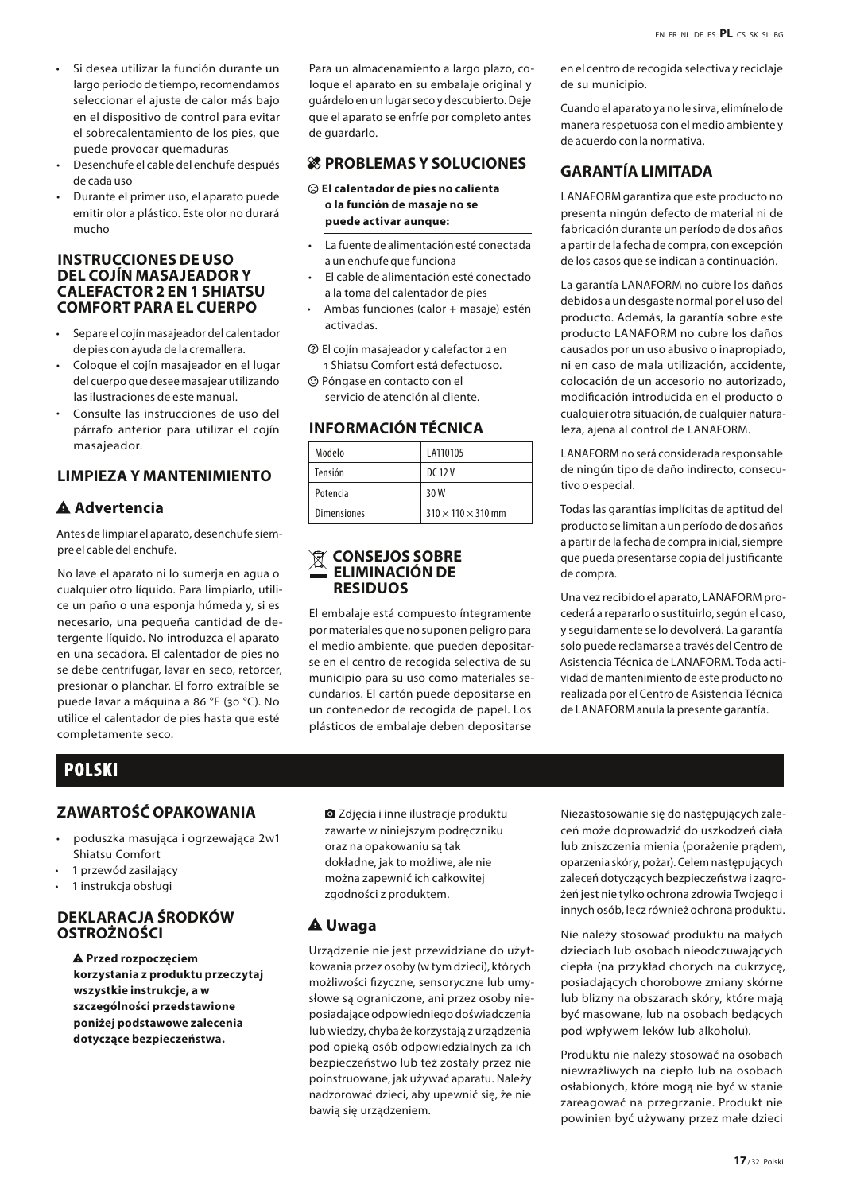- Si desea utilizar la función durante un largo periodo de tiempo, recomendamos seleccionar el ajuste de calor más bajo en el dispositivo de control para evitar el sobrecalentamiento de los pies, que puede provocar quemaduras
- Desenchufe el cable del enchufe después de cada uso
- Durante el primer uso, el aparato puede emitir olor a plástico. Este olor no durará mucho

#### **INSTRUCCIONES DE USO DEL COJÍN MASAJEADOR Y CALEFACTOR 2 EN 1 SHIATSU COMFORT PARA EL CUERPO**

- Separe el cojín masajeador del calentador de pies con ayuda de la cremallera.
- Coloque el cojín masajeador en el lugar del cuerpo que desee masajear utilizando las ilustraciones de este manual.
- Consulte las instrucciones de uso del párrafo anterior para utilizar el cojín masajeador.

# **LIMPIEZA Y MANTENIMIENTO**

#### A Advertencia

Antes de limpiar el aparato, desenchufe siempre el cable del enchufe.

No lave el aparato ni lo sumerja en agua o cualquier otro líquido. Para limpiarlo, utilice un paño o una esponja húmeda y, si es necesario, una pequeña cantidad de detergente líquido. No introduzca el aparato en una secadora. El calentador de pies no se debe centrifugar, lavar en seco, retorcer, presionar o planchar. El forro extraíble se puede lavar a máquina a 86 °F (30 °C). No utilice el calentador de pies hasta que esté completamente seco.

#### Para un almacenamiento a largo plazo, coloque el aparato en su embalaje original y guárdelo en un lugar seco y descubierto. Deje que el aparato se enfríe por completo antes de guardarlo.

#### **28 PROBLEMAS Y SOLUCIONES**

- $\odot$  El calentador de pies no calienta **o la función de masaje no se puede activar aunque:**
- La fuente de alimentación esté conectada a un enchufe que funciona
- El cable de alimentación esté conectado a la toma del calentador de pies
- Ambas funciones (calor + masaje) estén activadas.
- $\circledR$  El cojín masajeador y calefactor 2 en 1 Shiatsu Comfort está defectuoso.
- $\odot$  Póngase en contacto con el servicio de atención al cliente.

## **INFORMACIÓN TÉCNICA**

| Modelo             | LA110105                       |
|--------------------|--------------------------------|
| Tensión            | DC 12 V                        |
| Potencia           | 30 W                           |
| <b>Dimensiones</b> | $310 \times 110 \times 310$ mm |

#### **CONSEJOS SOBRE ELIMINACIÓN DE RESIDUOS**

El embalaje está compuesto íntegramente por materiales que no suponen peligro para el medio ambiente, que pueden depositarse en el centro de recogida selectiva de su municipio para su uso como materiales secundarios. El cartón puede depositarse en un contenedor de recogida de papel. Los plásticos de embalaje deben depositarse

en el centro de recogida selectiva y reciclaje de su municipio.

Cuando el aparato ya no le sirva, elimínelo de manera respetuosa con el medio ambiente y de acuerdo con la normativa.

# **GARANTÍA LIMITADA**

LANAFORM garantiza que este producto no presenta ningún defecto de material ni de fabricación durante un período de dos años a partir de la fecha de compra, con excepción de los casos que se indican a continuación.

La garantía LANAFORM no cubre los daños debidos a un desgaste normal por el uso del producto. Además, la garantía sobre este producto LANAFORM no cubre los daños causados por un uso abusivo o inapropiado, ni en caso de mala utilización, accidente, colocación de un accesorio no autorizado, modificación introducida en el producto o cualquier otra situación, de cualquier naturaleza, ajena al control de LANAFORM.

LANAFORM no será considerada responsable de ningún tipo de daño indirecto, consecutivo o especial.

Todas las garantías implícitas de aptitud del producto se limitan a un período de dos años a partir de la fecha de compra inicial, siempre que pueda presentarse copia del justificante de compra.

Una vez recibido el aparato, LANAFORM procederá a repararlo o sustituirlo, según el caso, y seguidamente se lo devolverá. La garantía solo puede reclamarse a través del Centro de Asistencia Técnica de LANAFORM. Toda actividad de mantenimiento de este producto no realizada por el Centro de Asistencia Técnica de LANAFORM anula la presente garantía.

# POLSKI

# **ZAWARTOŚĆ OPAKOWANIA**

- poduszka masująca i ogrzewająca 2w1 Shiatsu Comfort
- 1 przewód zasilający
- 1 instrukcja obsługi

#### **DEKLARACJA ŚRODKÓW OSTROŻNOŚCI**

report\_problem **Przed rozpoczęciem korzystania z produktu przeczytaj wszystkie instrukcje, a w szczególności przedstawione poniżej podstawowe zalecenia dotyczące bezpieczeństwa.**

**a** Zdjęcia i inne ilustracje produktu zawarte w niniejszym podręczniku oraz na opakowaniu są tak dokładne, jak to możliwe, ale nie można zapewnić ich całkowitej zgodności z produktem.

#### report\_problem **Uwaga**

Urządzenie nie jest przewidziane do użytkowania przez osoby (w tym dzieci), których możliwości fizyczne, sensoryczne lub umysłowe są ograniczone, ani przez osoby nieposiadające odpowiedniego doświadczenia lub wiedzy, chyba że korzystają z urządzenia pod opieką osób odpowiedzialnych za ich bezpieczeństwo lub też zostały przez nie poinstruowane, jak używać aparatu. Należy nadzorować dzieci, aby upewnić się, że nie bawią się urządzeniem.

Niezastosowanie się do następujących zaleceń może doprowadzić do uszkodzeń ciała lub zniszczenia mienia (porażenie prądem, oparzenia skóry, pożar). Celem następujących zaleceń dotyczących bezpieczeństwa i zagrożeń jest nie tylko ochrona zdrowia Twojego i innych osób, lecz również ochrona produktu.

Nie należy stosować produktu na małych dzieciach lub osobach nieodczuwających ciepła (na przykład chorych na cukrzycę, posiadających chorobowe zmiany skórne lub blizny na obszarach skóry, które mają być masowane, lub na osobach będących pod wpływem leków lub alkoholu).

Produktu nie należy stosować na osobach niewrażliwych na ciepło lub na osobach osłabionych, które mogą nie być w stanie zareagować na przegrzanie. Produkt nie powinien być używany przez małe dzieci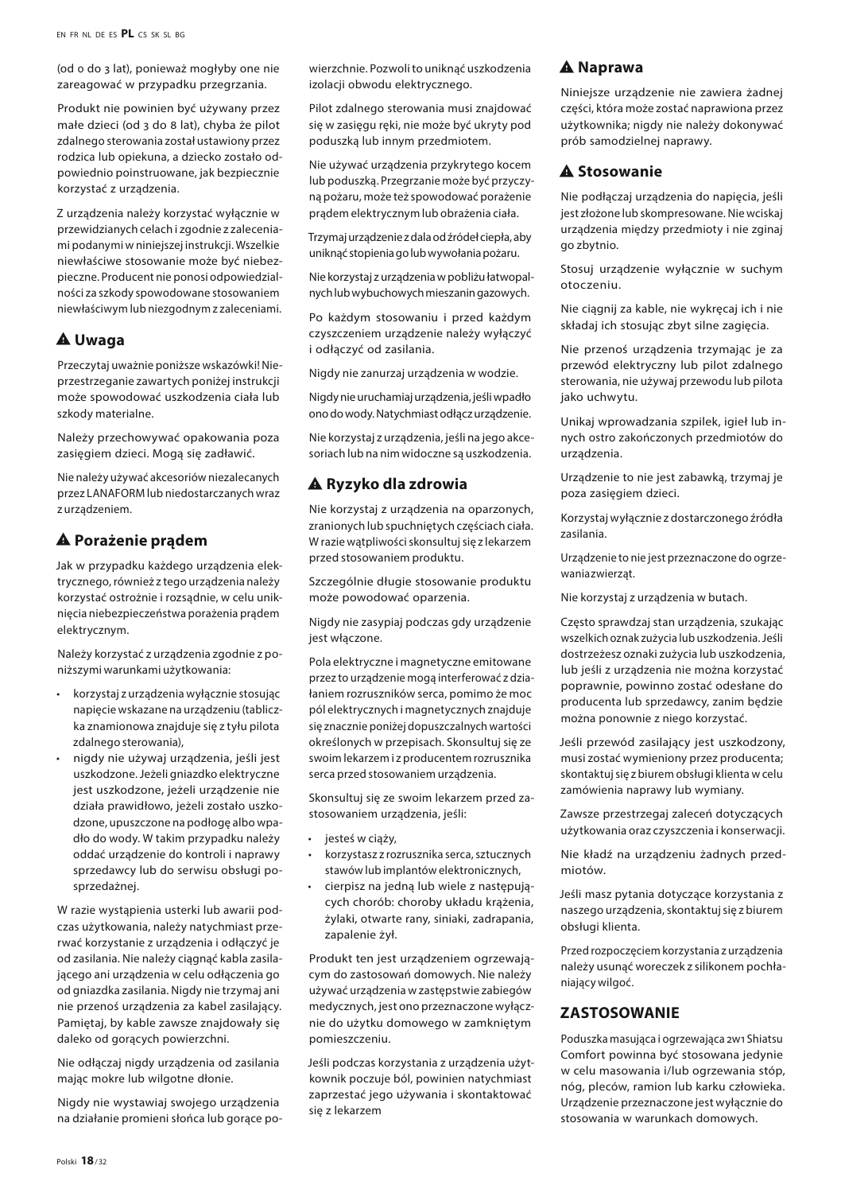(od 0 do 3 lat), ponieważ mogłyby one nie zareagować w przypadku przegrzania.

Produkt nie powinien być używany przez małe dzieci (od 3 do 8 lat), chyba że pilot zdalnego sterowania został ustawiony przez rodzica lub opiekuna, a dziecko zostało odpowiednio poinstruowane, jak bezpiecznie korzystać z urządzenia.

Z urządzenia należy korzystać wyłącznie w przewidzianych celach i zgodnie z zaleceniami podanymi w niniejszej instrukcji. Wszelkie niewłaściwe stosowanie może być niebezpieczne. Producent nie ponosi odpowiedzialności za szkody spowodowane stosowaniem niewłaściwym lub niezgodnym z zaleceniami.

# report\_problem **Uwaga**

Przeczytaj uważnie poniższe wskazówki! Nieprzestrzeganie zawartych poniżej instrukcji może spowodować uszkodzenia ciała lub szkody materialne.

Należy przechowywać opakowania poza zasięgiem dzieci. Mogą się zadławić.

Nie należy używać akcesoriów niezalecanych przez LANAFORM lub niedostarczanych wraz z urządzeniem.

# report\_problem **Porażenie prądem**

Jak w przypadku każdego urządzenia elektrycznego, również z tego urządzenia należy korzystać ostrożnie i rozsądnie, w celu uniknięcia niebezpieczeństwa porażenia prądem elektrycznym.

Należy korzystać z urządzenia zgodnie z poniższymi warunkami użytkowania:

- korzystaj z urządzenia wyłącznie stosując napięcie wskazane na urządzeniu (tabliczka znamionowa znajduje się z tyłu pilota zdalnego sterowania),
- nigdy nie używaj urządzenia, jeśli jest uszkodzone. Jeżeli gniazdko elektryczne jest uszkodzone, jeżeli urządzenie nie działa prawidłowo, jeżeli zostało uszkodzone, upuszczone na podłogę albo wpadło do wody. W takim przypadku należy oddać urządzenie do kontroli i naprawy sprzedawcy lub do serwisu obsługi posprzedażnej.

W razie wystąpienia usterki lub awarii podczas użytkowania, należy natychmiast przerwać korzystanie z urządzenia i odłączyć je od zasilania. Nie należy ciągnąć kabla zasilającego ani urządzenia w celu odłączenia go od gniazdka zasilania. Nigdy nie trzymaj ani nie przenoś urządzenia za kabel zasilający. Pamiętaj, by kable zawsze znajdowały się daleko od gorących powierzchni.

Nie odłączaj nigdy urządzenia od zasilania mając mokre lub wilgotne dłonie.

Nigdy nie wystawiaj swojego urządzenia na działanie promieni słońca lub gorące powierzchnie. Pozwoli to uniknąć uszkodzenia izolacji obwodu elektrycznego.

Pilot zdalnego sterowania musi znajdować się w zasięgu ręki, nie może być ukryty pod poduszką lub innym przedmiotem.

Nie używać urządzenia przykrytego kocem lub poduszką. Przegrzanie może być przyczyną pożaru, może też spowodować porażenie prądem elektrycznym lub obrażenia ciała.

Trzymaj urządzenie z dala od źródeł ciepła, aby uniknąć stopienia go lub wywołania pożaru.

Nie korzystaj z urządzenia w pobliżu łatwopalnych lub wybuchowych mieszanin gazowych.

Po każdym stosowaniu i przed każdym czyszczeniem urządzenie należy wyłączyć i odłączyć od zasilania.

Nigdy nie zanurzaj urządzenia w wodzie.

Nigdy nie uruchamiaj urządzenia, jeśli wpadło ono do wody. Natychmiast odłącz urządzenie.

Nie korzystaj z urządzenia, jeśli na jego akcesoriach lub na nim widoczne są uszkodzenia.

# report\_problem **Ryzyko dla zdrowia**

Nie korzystaj z urządzenia na oparzonych, zranionych lub spuchniętych częściach ciała. W razie wątpliwości skonsultuj się z lekarzem przed stosowaniem produktu.

Szczególnie długie stosowanie produktu może powodować oparzenia.

Nigdy nie zasypiaj podczas gdy urządzenie jest włączone.

Pola elektryczne i magnetyczne emitowane przez to urządzenie mogą interferować z działaniem rozruszników serca, pomimo że moc pól elektrycznych i magnetycznych znajduje się znacznie poniżej dopuszczalnych wartości określonych w przepisach. Skonsultuj się ze swoim lekarzem i z producentem rozrusznika serca przed stosowaniem urządzenia.

Skonsultuj się ze swoim lekarzem przed zastosowaniem urządzenia, jeśli:

- jesteś w ciąży,
- korzystasz z rozrusznika serca, sztucznych stawów lub implantów elektronicznych,
- cierpisz na jedną lub wiele z następujących chorób: choroby układu krążenia, żylaki, otwarte rany, siniaki, zadrapania, zapalenie żył.

Produkt ten jest urządzeniem ogrzewającym do zastosowań domowych. Nie należy używać urządzenia w zastępstwie zabiegów medycznych, jest ono przeznaczone wyłącznie do użytku domowego w zamkniętym pomieszczeniu.

Jeśli podczas korzystania z urządzenia użytkownik poczuje ból, powinien natychmiast zaprzestać jego używania i skontaktować się z lekarzem

# report\_problem **Naprawa**

Niniejsze urządzenie nie zawiera żadnej części, która może zostać naprawiona przez użytkownika; nigdy nie należy dokonywać prób samodzielnej naprawy.

# A Stosowanie

Nie podłączaj urządzenia do napięcia, jeśli jest złożone lub skompresowane. Nie wciskaj urządzenia między przedmioty i nie zginaj go zbytnio.

Stosuj urządzenie wyłącznie w suchym otoczeniu.

Nie ciągnij za kable, nie wykręcaj ich i nie składaj ich stosując zbyt silne zagięcia.

Nie przenoś urządzenia trzymając je za przewód elektryczny lub pilot zdalnego sterowania, nie używaj przewodu lub pilota jako uchwytu.

Unikaj wprowadzania szpilek, igieł lub innych ostro zakończonych przedmiotów do urządzenia.

Urządzenie to nie jest zabawką, trzymaj je poza zasięgiem dzieci.

Korzystaj wyłącznie z dostarczonego źródła zasilania.

Urządzenie to nie jest przeznaczone do ogrzewania zwierząt.

Nie korzystaj z urządzenia w butach.

Często sprawdzaj stan urządzenia, szukając wszelkich oznak zużycia lub uszkodzenia. Jeśli dostrzeżesz oznaki zużycia lub uszkodzenia, lub jeśli z urządzenia nie można korzystać poprawnie, powinno zostać odesłane do producenta lub sprzedawcy, zanim będzie można ponownie z niego korzystać.

Jeśli przewód zasilający jest uszkodzony, musi zostać wymieniony przez producenta; skontaktuj się z biurem obsługi klienta w celu zamówienia naprawy lub wymiany.

Zawsze przestrzegaj zaleceń dotyczących użytkowania oraz czyszczenia i konserwacji.

Nie kładź na urządzeniu żadnych przedmiotów.

Jeśli masz pytania dotyczące korzystania z naszego urządzenia, skontaktuj się z biurem obsługi klienta.

Przed rozpoczęciem korzystania z urządzenia należy usunąć woreczek z silikonem pochłaniający wilgoć.

#### **ZASTOSOWANIE**

Poduszka masująca i ogrzewająca 2w1 Shiatsu Comfort powinna być stosowana jedynie w celu masowania i/lub ogrzewania stóp, nóg, pleców, ramion lub karku człowieka. Urządzenie przeznaczone jest wyłącznie do stosowania w warunkach domowych.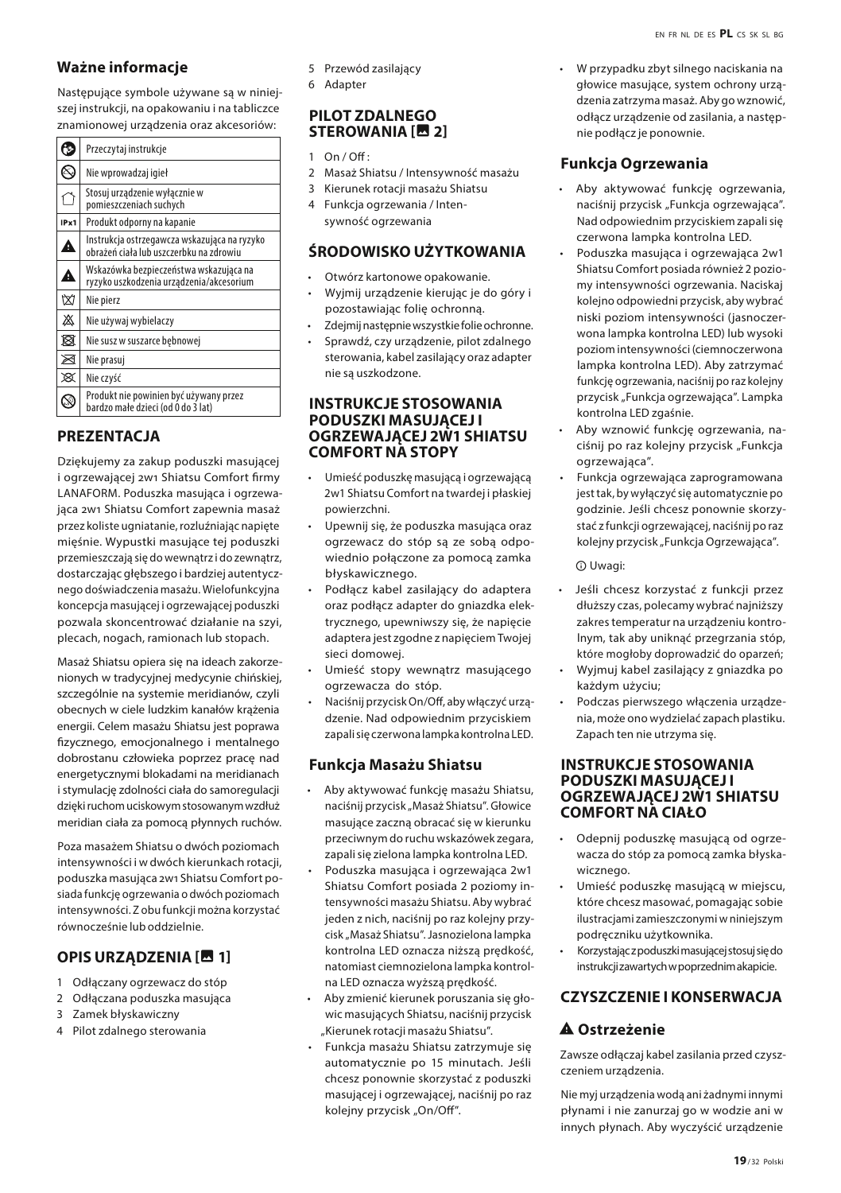Nastepujące symbole używane są w niniejszej instrukcji, na opakowaniu i na tabliczce znamionowej urządzenia oraz akcesoriów:

| Przeczytaj instrukcje                                                                   |  |
|-----------------------------------------------------------------------------------------|--|
| Nie wprowadzaj igieł                                                                    |  |
| Stosuj urządzenie wyłącznie w<br>pomieszczeniach suchych                                |  |
| IPx1<br>Produkt odporny na kapanie                                                      |  |
| Instrukcja ostrzegawcza wskazująca na ryzyko<br>obrażeń ciała lub uszczerbku na zdrowiu |  |
| Wskazówka bezpieczeństwa wskazująca na<br>ryzyko uszkodzenia urządzenia/akcesorium      |  |
| Nie pierz                                                                               |  |
| Nie używaj wybielaczy                                                                   |  |
| Nie susz w suszarce bębnowej                                                            |  |
| Nie prasuj                                                                              |  |
| Nie czyść                                                                               |  |
| Produkt nie powinien być używany przez<br>bardzo małe dzieci (od 0 do 3 lat)            |  |
|                                                                                         |  |

# **PREZENTACJA**

Dziękujemy za zakup poduszki masującej i ogrzewającej 2w1 Shiatsu Comfort firmy LANAFORM. Poduszka masująca i ogrzewająca 2w1 Shiatsu Comfort zapewnia masaż przez koliste ugniatanie, rozluźniając napięte mięśnie. Wypustki masujące tej poduszki przemieszczają się do wewnątrz i do zewnątrz, dostarczając głębszego i bardziej autentycznego doświadczenia masażu. Wielofunkcyjna koncepcja masującej i ogrzewającej poduszki pozwala skoncentrować działanie na szyi, plecach, nogach, ramionach lub stopach.

Masaż Shiatsu opiera się na ideach zakorzenionych w tradycyjnej medycynie chińskiej, szczególnie na systemie meridianów, czyli obecnych w ciele ludzkim kanałów krążenia energii. Celem masażu Shiatsu jest poprawa fizycznego, emocjonalnego i mentalnego dobrostanu człowieka poprzez pracę nad energetycznymi blokadami na meridianach i stymulację zdolności ciała do samoregulacji dzięki ruchom uciskowym stosowanym wzdłuż meridian ciała za pomocą płynnych ruchów.

Poza masażem Shiatsu o dwóch poziomach intensywności i w dwóch kierunkach rotacji, poduszka masująca 2w1 Shiatsu Comfort posiada funkcję ogrzewania o dwóch poziomach intensywności. Z obu funkcji można korzystać równocześnie lub oddzielnie.

# **OPIS URZĄDZENIA [图 1]**

- 1 Odłączany ogrzewacz do stóp
- 2 Odłaczana poduszka masująca
- 3 Zamek błyskawiczny
- 4 Pilot zdalnego sterowania
- 5 Przewód zasilający
- 6 Adapter

#### **PILOT ZDALNEGO STEROWANIA [四 2]**

- $1 \quad \text{On } I$  Off :
- 2 Masaż Shiatsu / Intensywność masażu
- 3 Kierunek rotacji masażu Shiatsu 4 Funkcja ogrzewania / Intensywność ogrzewania

# **ŚRODOWISKO UŻYTKOWANIA**

- Otwórz kartonowe opakowanie.
- Wyjmij urządzenie kierując je do góry i pozostawiając folię ochronną.
- Zdejmij następnie wszystkie folie ochronne.
- Sprawdź, czy urządzenie, pilot zdalnego sterowania, kabel zasilający oraz adapter nie są uszkodzone.

#### **INSTRUKCJE STOSOWANIA PODUSZKI MASUJĄCEJ I OGRZEWAJĄCEJ 2W1 SHIATSU COMFORT NA STOPY**

- Umieść poduszkę masującą i ogrzewającą 2w1 Shiatsu Comfort na twardej i płaskiej powierzchni.
- Upewnij się, że poduszka masująca oraz ogrzewacz do stóp są ze sobą odpowiednio połączone za pomocą zamka błyskawicznego.
- Podłącz kabel zasilający do adaptera oraz podłącz adapter do gniazdka elektrycznego, upewniwszy się, że napięcie adaptera jest zgodne z napięciem Twojej sieci domowej.
- Umieść stopy wewnątrz masującego ogrzewacza do stóp.
- Naciśnij przycisk On/Off, aby włączyć urządzenie. Nad odpowiednim przyciskiem zapali się czerwona lampka kontrolna LED.

#### **Funkcja Masażu Shiatsu**

- Aby aktywować funkcję masażu Shiatsu, naciśnii przycisk "Masaż Shiatsu". Głowice masujące zaczną obracać się w kierunku przeciwnym do ruchu wskazówek zegara, zapali się zielona lampka kontrolna LED.
- Poduszka masująca i ogrzewająca 2w1 Shiatsu Comfort posiada 2 poziomy intensywności masażu Shiatsu. Aby wybrać jeden z nich, naciśnij po raz kolejny przycisk "Masaż Shiatsu". Jasnozielona lampka kontrolna LED oznacza niższą prędkość, natomiast ciemnozielona lampka kontrolna LED oznacza wyższą prędkość.
- Aby zmienić kierunek poruszania się głowic masujących Shiatsu, naciśnij przycisk "Kierunek rotacji masażu Shiatsu".
- Funkcja masażu Shiatsu zatrzymuje się automatycznie po 15 minutach. Jeśli chcesz ponownie skorzystać z poduszki masującej i ogrzewającej, naciśnij po raz kolejny przycisk "On/Off".

• W przypadku zbyt silnego naciskania na głowice masujące, system ochrony urządzenia zatrzyma masaż. Aby go wznowić, odłącz urządzenie od zasilania, a następnie podłącz je ponownie.

# **Funkcja Ogrzewania**

- Aby aktywować funkcję ogrzewania, naciśnij przycisk "Funkcja ogrzewająca". Nad odpowiednim przyciskiem zapali się czerwona lampka kontrolna LED.
- Poduszka masująca i ogrzewająca 2w1 Shiatsu Comfort posiada również 2 poziomy intensywności ogrzewania. Naciskaj kolejno odpowiedni przycisk, aby wybrać niski poziom intensywności (jasnoczerwona lampka kontrolna LED) lub wysoki poziom intensywności (ciemnoczerwona lampka kontrolna LED). Aby zatrzymać funkcję ogrzewania, naciśnij po raz kolejny przycisk "Funkcja ogrzewająca". Lampka kontrolna LED zgaśnie.
- Aby wznowić funkcję ogrzewania, naciśnij po raz kolejny przycisk "Funkcja ogrzewająca".
- Funkcja ogrzewająca zaprogramowana jest tak, by wyłączyć się automatycznie po godzinie. Jeśli chcesz ponownie skorzystać z funkcji ogrzewającej, naciśnij po raz kolejny przycisk "Funkcja Ogrzewająca".

 $\Omega$  Uwagi:

- Jeśli chcesz korzystać z funkcji przez dłuższy czas, polecamy wybrać najniższy zakres temperatur na urządzeniu kontrolnym, tak aby uniknąć przegrzania stóp, które mogłoby doprowadzić do oparzeń;
- Wyjmuj kabel zasilający z gniazdka po każdym użyciu;
- Podczas pierwszego włączenia urządzenia, może ono wydzielać zapach plastiku. Zapach ten nie utrzyma się.

#### **INSTRUKCJE STOSOWANIA PODUSZKI MASUJĄCEJ I OGRZEWAJĄCEJ 2W1 SHIATSU COMFORT NA CIAŁO**

- Odepnij poduszkę masującą od ogrzewacza do stóp za pomocą zamka błyskawicznego.
- Umieść poduszkę masującą w miejscu, które chcesz masować, pomagając sobie ilustracjami zamieszczonymi w niniejszym podręczniku użytkownika.
- Korzystając z poduszki masującej stosuj się do instrukcji zawartych w poprzednim akapicie.

## **CZYSZCZENIE I KONSERWACJA**

# A Ostrzeżenie

Zawsze odłączaj kabel zasilania przed czyszczeniem urządzenia.

Nie myj urządzenia wodą ani żadnymi innymi płynami i nie zanurzaj go w wodzie ani w innych płynach. Aby wyczyścić urządzenie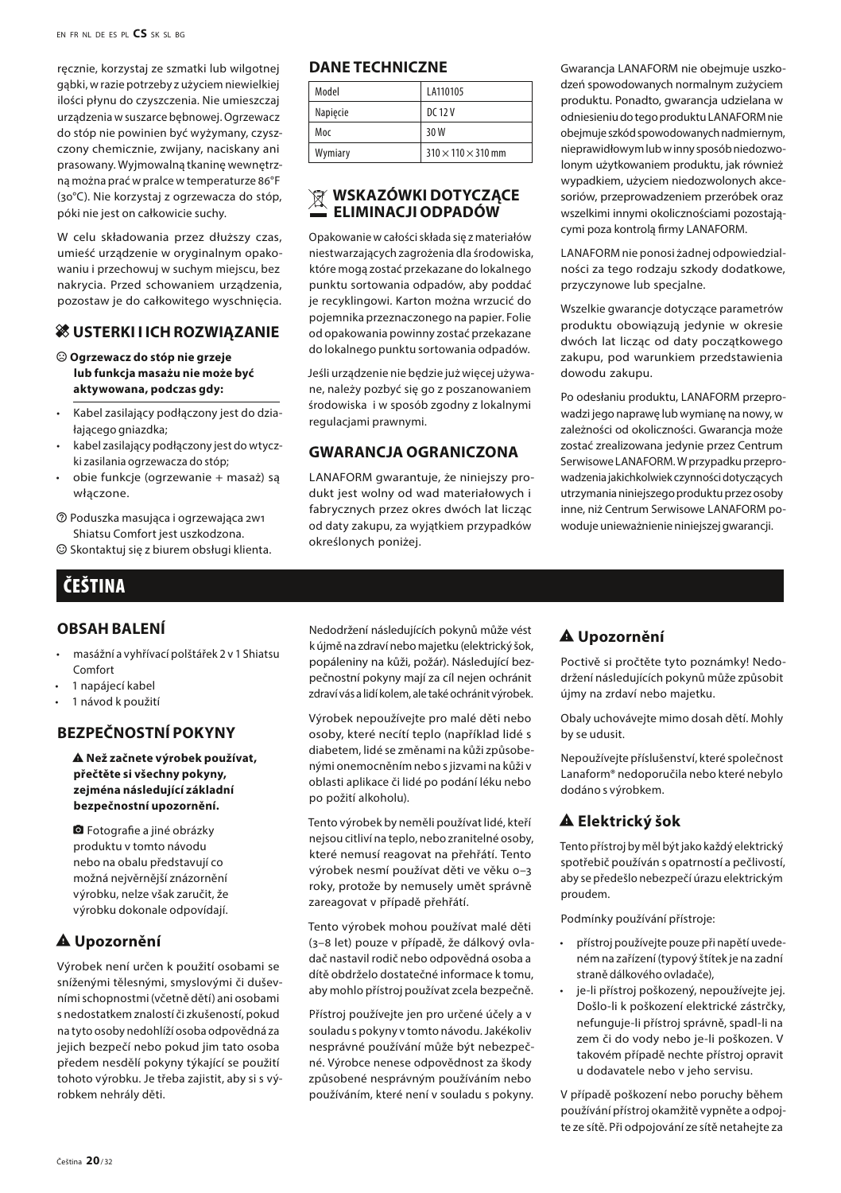ręcznie, korzystaj ze szmatki lub wilgotnej gąbki, w razie potrzeby z użyciem niewielkiej ilości płynu do czyszczenia. Nie umieszczaj urządzenia w suszarce bębnowej. Ogrzewacz do stóp nie powinien być wyżymany, czyszczony chemicznie, zwijany, naciskany ani prasowany. Wyjmowalną tkaninę wewnętrzną można prać w pralce w temperaturze 86°F (30°C). Nie korzystaj z ogrzewacza do stóp, póki nie jest on całkowicie suchy.

W celu składowania przez dłuższy czas, umieść urządzenie w oryginalnym opakowaniu i przechowuj w suchym miejscu, bez nakrycia. Przed schowaniem urządzenia, pozostaw je do całkowitego wyschnięcia.

#### **& USTERKI I ICH ROZWIĄZANIE**

#### $\odot$  Ogrzewacz do stóp nie grzeje **lub funkcja masażu nie może być aktywowana, podczas gdy:**

- Kabel zasilający podłączony jest do działającego gniazdka;
- kabel zasilający podłączony jest do wtyczki zasilania ogrzewacza do stóp;
- obie funkcje (ogrzewanie + masaż) są włączone.
- $\circledR$  Poduszka masująca i ogrzewająca 2w1 Shiatsu Comfort jest uszkodzona.

 $\odot$  Skontaktuj się z biurem obsługi klienta.

# ČEŠTINA

#### **OBSAH BALENÍ**

- masážní a vyhřívací polštářek 2 v 1 Shiatsu Comfort
- 1 napájecí kabel
- 1 návod k použití

#### **BEZPEČNOSTNÍ POKYNY**

report\_problem **Než začnete výrobek používat, přečtěte si všechny pokyny, zejména následující základní bezpečnostní upozornění.**

**O** Fotografie a jiné obrázky produktu v tomto návodu nebo na obalu představují co možná nejvěrnější znázornění výrobku, nelze však zaručit, že výrobku dokonale odpovídají.

#### report\_problem **Upozornění**

Výrobek není určen k použití osobami se sníženými tělesnými, smyslovými či duševními schopnostmi (včetně dětí) ani osobami s nedostatkem znalostí či zkušeností, pokud na tyto osoby nedohlíží osoba odpovědná za jejich bezpečí nebo pokud jim tato osoba předem nesdělí pokyny týkající se použití tohoto výrobku. Je třeba zajistit, aby si s výrobkem nehrály děti.

#### **DANE TECHNICZNE**

| Model    | LA110105                       |
|----------|--------------------------------|
| Napiecie | DC 12 V                        |
| Moc      | 30W                            |
| Wymiary  | $310 \times 110 \times 310$ mm |

#### **WSKAZÓWKI DOTYCZACE ELIMINACJI ODPADÓW**

Opakowanie w całości składa się z materiałów niestwarzających zagrożenia dla środowiska, które mogą zostać przekazane do lokalnego punktu sortowania odpadów, aby poddać je recyklingowi. Karton można wrzucić do pojemnika przeznaczonego na papier. Folie od opakowania powinny zostać przekazane do lokalnego punktu sortowania odpadów.

Jeśli urządzenie nie będzie już więcej używane, należy pozbyć się go z poszanowaniem środowiska i w sposób zgodny z lokalnymi regulacjami prawnymi.

#### **GWARANCJA OGRANICZONA**

LANAFORM gwarantuje, że niniejszy produkt jest wolny od wad materiałowych i fabrycznych przez okres dwóch lat licząc od daty zakupu, za wyjątkiem przypadków określonych poniżej.

Gwarancja LANAFORM nie obejmuje uszkodzeń spowodowanych normalnym zużyciem produktu. Ponadto, gwarancja udzielana w odniesieniu do tego produktu LANAFORM nie obejmuje szkód spowodowanych nadmiernym, nieprawidłowym lub w inny sposób niedozwolonym użytkowaniem produktu, jak również wypadkiem, użyciem niedozwolonych akcesoriów, przeprowadzeniem przeróbek oraz wszelkimi innymi okolicznościami pozostającymi poza kontrolą firmy LANAFORM.

LANAFORM nie ponosi żadnej odpowiedzialności za tego rodzaju szkody dodatkowe, przyczynowe lub specjalne.

Wszelkie gwarancje dotyczące parametrów produktu obowiązują jedynie w okresie dwóch lat licząc od daty początkowego zakupu, pod warunkiem przedstawienia dowodu zakupu.

Po odesłaniu produktu, LANAFORM przeprowadzi jego naprawę lub wymianę na nowy, w zależności od okoliczności. Gwarancja może zostać zrealizowana jedynie przez Centrum Serwisowe LANAFORM. W przypadku przeprowadzenia jakichkolwiek czynności dotyczących utrzymania niniejszego produktu przez osoby inne, niż Centrum Serwisowe LANAFORM powoduje unieważnienie niniejszej gwarancji.

Nedodržení následujících pokynů může vést k újmě na zdraví nebo majetku (elektrický šok, popáleniny na kůži, požár). Následující bezpečnostní pokyny mají za cíl nejen ochránit zdraví vás a lidí kolem, ale také ochránit výrobek.

Výrobek nepoužívejte pro malé děti nebo osoby, které necítí teplo (například lidé s diabetem, lidé se změnami na kůži způsobenými onemocněním nebo s jizvami na kůži v oblasti aplikace či lidé po podání léku nebo po požití alkoholu).

Tento výrobek by neměli používat lidé, kteří nejsou citliví na teplo, nebo zranitelné osoby, které nemusí reagovat na přehřátí. Tento výrobek nesmí používat děti ve věku 0–3 roky, protože by nemusely umět správně zareagovat v případě přehřátí.

Tento výrobek mohou používat malé děti (3–8 let) pouze v případě, že dálkový ovladač nastavil rodič nebo odpovědná osoba a dítě obdrželo dostatečné informace k tomu, aby mohlo přístroj používat zcela bezpečně.

Přístroj používejte jen pro určené účely a v souladu s pokyny v tomto návodu. Jakékoliv nesprávné používání může být nebezpečné. Výrobce nenese odpovědnost za škody způsobené nesprávným používáním nebo používáním, které není v souladu s pokyny.

# report\_problem **Upozornění**

Poctivě si pročtěte tyto poznámky! Nedodržení následujících pokynů může způsobit újmy na zrdaví nebo majetku.

Obaly uchovávejte mimo dosah dětí. Mohly by se udusit.

Nepoužívejte příslušenství, které společnost Lanaform® nedoporučila nebo které nebylo dodáno s výrobkem.

# **A** Elektrický šok

Tento přístroj by měl být jako každý elektrický spotřebič používán s opatrností a pečlivostí, aby se předešlo nebezpečí úrazu elektrickým proudem.

Podmínky používání přístroje:

- přístroj používejte pouze při napětí uvedeném na zařízení (typový štítek je na zadní straně dálkového ovladače),
- je-li přístroj poškozený, nepoužívejte jej. Došlo-li k poškození elektrické zástrčky, nefunguje-li přístroj správně, spadl-li na zem či do vody nebo je-li poškozen. V takovém případě nechte přístroj opravit u dodavatele nebo v jeho servisu.

V případě poškození nebo poruchy během používání přístroj okamžitě vypněte a odpojte ze sítě. Při odpojování ze sítě netahejte za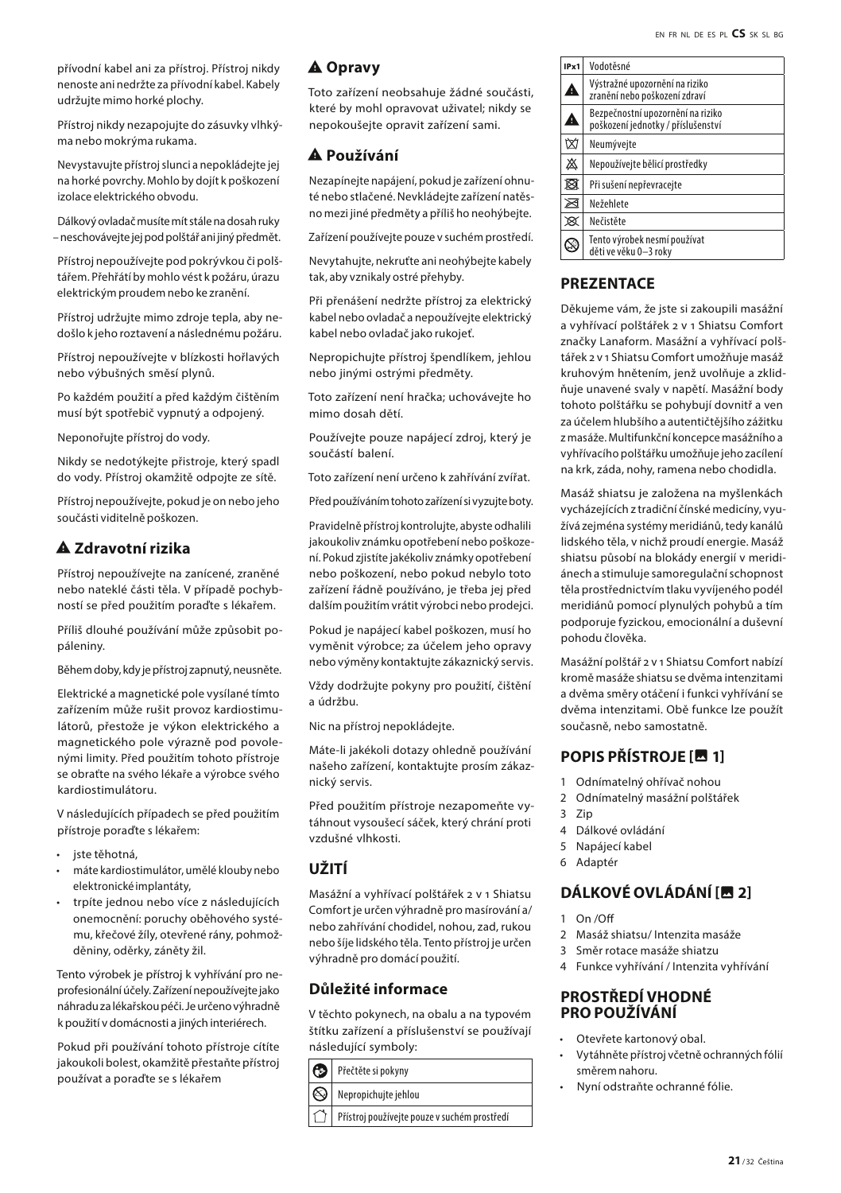přívodní kabel ani za přístroj. Přístroj nikdy nenoste ani nedržte za přívodní kabel. Kabely udržujte mimo horké plochy.

Přístroj nikdy nezapojujte do zásuvky vlhkýma nebo mokrýma rukama.

Nevystavujte přístroj slunci a nepokládejte jej na horké povrchy. Mohlo by dojít k poškození izolace elektrického obvodu.

Dálkový ovladač musíte mít stále na dosah ruky – neschovávejte jej pod polštář ani jiný předmět.

Přístroj nepoužívejte pod pokrývkou či polštářem. Přehřátí by mohlo vést k požáru, úrazu elektrickým proudem nebo ke zranění.

Přístroj udržujte mimo zdroje tepla, aby nedošlo k jeho roztavení a následnému požáru.

Přístroj nepoužívejte v blízkosti hořlavých nebo výbušných směsí plynů.

Po každém použití a před každým čištěním musí být spotřebič vypnutý a odpojený.

Neponořujte přístroj do vody.

Nikdy se nedotýkejte přistroje, který spadl do vody. Přístroj okamžitě odpojte ze sítě.

Přístroj nepoužívejte, pokud je on nebo jeho součásti viditelně poškozen.

# report\_problem **Zdravotní rizika**

Přístroj nepoužívejte na zanícené, zraněné nebo nateklé části těla. V případě pochybností se před použitím poraďte s lékařem.

Příliš dlouhé používání může způsobit popáleniny.

Během doby, kdy je přístroj zapnutý, neusněte.

Elektrické a magnetické pole vysílané tímto zařízením může rušit provoz kardiostimulátorů, přestože je výkon elektrického a magnetického pole výrazně pod povolenými limity. Před použitím tohoto přístroje se obraťte na svého lékaře a výrobce svého kardiostimulátoru.

V následujících případech se před použitím přístroje poraďte s lékařem:

- jste těhotná,
- máte kardiostimulátor, umělé klouby nebo elektronické implantáty,
- trpíte jednou nebo více z následujících onemocnění: poruchy oběhového systému, křečové žíly, otevřené rány, pohmožděniny, oděrky, záněty žil.

Tento výrobek je přístroj k vyhřívání pro neprofesionální účely. Zařízení nepoužívejte jako náhradu za lékařskou péči. Je určeno výhradně k použití v domácnosti a jiných interiérech.

Pokud při používání tohoto přístroje cítíte jakoukoli bolest, okamžitě přestaňte přístroj používat a poraďte se s lékařem

#### A Opravy

Toto zařízení neobsahuje žádné součásti, které by mohl opravovat uživatel; nikdy se nepokoušejte opravit zařízení sami.

#### report\_problem **Používání**

Nezapínejte napájení, pokud je zařízení ohnuté nebo stlačené. Nevkládejte zařízení natěsno mezi jiné předměty a příliš ho neohýbejte.

Zařízení používejte pouze v suchém prostředí.

Nevytahujte, nekruťte ani neohýbejte kabely tak, aby vznikaly ostré přehyby.

Při přenášení nedržte přístroj za elektrický kabel nebo ovladač a nepoužívejte elektrický kabel nebo ovladač jako rukojeť.

Nepropichujte přístroj špendlíkem, jehlou nebo jinými ostrými předměty.

Toto zařízení není hračka; uchovávejte ho mimo dosah dětí.

Používejte pouze napájecí zdroj, který je součástí balení.

Toto zařízení není určeno k zahřívání zvířat.

Před používáním tohoto zařízení si vyzujte boty.

Pravidelně přístroj kontrolujte, abyste odhalili jakoukoliv známku opotřebení nebo poškození. Pokud zjistíte jakékoliv známky opotřebení nebo poškození, nebo pokud nebylo toto zařízení řádně používáno, je třeba jej před dalším použitím vrátit výrobci nebo prodejci.

Pokud je napájecí kabel poškozen, musí ho vyměnit výrobce; za účelem jeho opravy nebo výměny kontaktujte zákaznický servis.

Vždy dodržujte pokyny pro použití, čištění a údržbu.

Nic na přístroj nepokládejte.

Máte-li jakékoli dotazy ohledně používání našeho zařízení, kontaktujte prosím zákaznický servis.

Před použitím přístroje nezapomeňte vytáhnout vysoušecí sáček, který chrání proti vzdušné vlhkosti.

# **UŽITÍ**

Masážní a vyhřívací polštářek 2 v 1 Shiatsu Comfort je určen výhradně pro masírování a/ nebo zahřívání chodidel, nohou, zad, rukou nebo šíje lidského těla. Tento přístroj je určen výhradně pro domácí použití.

#### **Důležité informace**

V těchto pokynech, na obalu a na typovém štítku zařízení a příslušenství se používají následující symboly:

|  | Přečtěte si pokyny<br>$ \mathbb{Q} $ Nepropichujte jehlou |  |
|--|-----------------------------------------------------------|--|
|  |                                                           |  |
|  | )   Přístroj používejte pouze v suchém prostředí          |  |

| IPx1 | Vodotěsné                                                                             |  |
|------|---------------------------------------------------------------------------------------|--|
| 4    | Výstražné upozornění na riziko<br>zranění nebo poškození zdraví                       |  |
| ≙    | Bezpečnostní upozornění na riziko<br>poškození jednotky / příslušenství<br>Neumývejte |  |
| 囟    |                                                                                       |  |
| ♨    | Nepoužíveite bělicí prostředky                                                        |  |
| Ø    | Při sušení nepřevracejte                                                              |  |
| ⊠    | Nežehlete                                                                             |  |
| ×    | Nečistěte                                                                             |  |
|      | Tento výrobek nesmí používat<br>děti ve věku 0-3 roky                                 |  |

# **PREZENTACE**

Děkujeme vám, že jste si zakoupili masážní a vyhřívací polštářek 2 v 1 Shiatsu Comfort značky Lanaform. Masážní a vyhřívací polštářek 2 v 1 Shiatsu Comfort umožňuje masáž kruhovým hnětením, jenž uvolňuje a zklidňuje unavené svaly v napětí. Masážní body tohoto polštářku se pohybují dovnitř a ven za účelem hlubšího a autentičtějšího zážitku z masáže. Multifunkční koncepce masážního a vyhřívacího polštářku umožňuje jeho zacílení na krk, záda, nohy, ramena nebo chodidla.

Masáž shiatsu je založena na myšlenkách vycházejících z tradiční čínské medicíny, využívá zejména systémy meridiánů, tedy kanálů lidského těla, v nichž proudí energie. Masáž shiatsu působí na blokády energií v meridiánech a stimuluje samoregulační schopnost těla prostřednictvím tlaku vyvíjeného podél meridiánů pomocí plynulých pohybů a tím podporuje fyzickou, emocionální a duševní pohodu člověka.

Masážní polštář 2 v 1 Shiatsu Comfort nabízí kromě masáže shiatsu se dvěma intenzitami a dvěma směry otáčení i funkci vyhřívání se dvěma intenzitami. Obě funkce lze použít současně, nebo samostatně.

# **POPIS PŘÍSTROJE [M]** 1]

- 1 Odnímatelný ohřívač nohou
- 2 Odnímatelný masážní polštářek
- 3 Zip
- 4 Dálkové ovládání
- 5 Napájecí kabel
- 6 Adaptér

# **DÁLKOVÉ OVLÁDÁNÍ [***in***]** 2]

- 1 On /Off
- 2 Masáž shiatsu/ Intenzita masáže
- 3 Směr rotace masáže shiatzu
- 4 Funkce vyhřívání / Intenzita vyhřívání

#### **PROSTŘEDÍ VHODNÉ PRO POUŽÍVÁNÍ**

- Otevřete kartonový obal.
- Vytáhněte přístroj včetně ochranných fólií směrem nahoru.
- Nyní odstraňte ochranné fólie.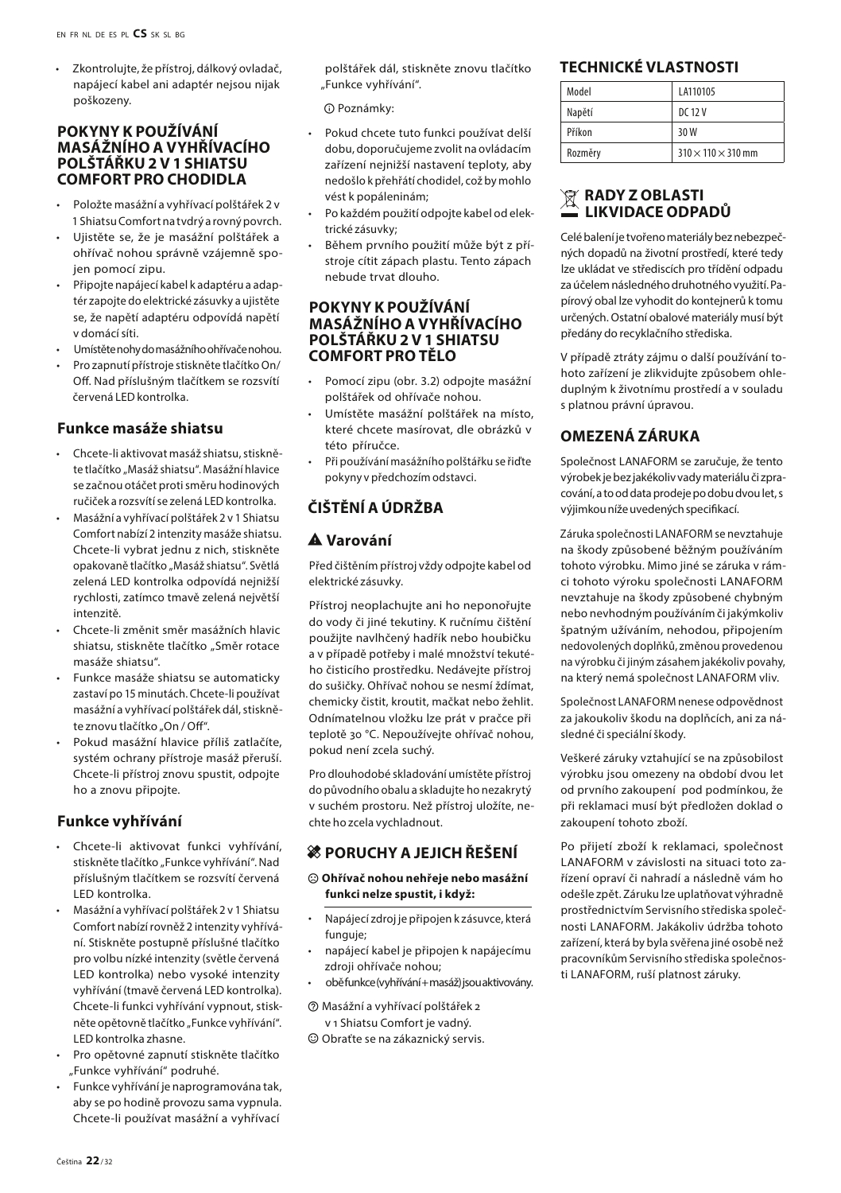• Zkontrolujte, že přístroj, dálkový ovladač, napájecí kabel ani adaptér nejsou nijak poškozeny.

#### **POKYNY K POUŽÍVÁNÍ MASÁŽNÍHO A VYHŘÍVACÍHO POLŠTÁŘKU 2 V 1 SHIATSU COMFORT PRO CHODIDLA**

- Položte masážní a vyhřívací polštářek 2 v 1 Shiatsu Comfort na tvdrý a rovný povrch.
- Ujistěte se, že je masážní polštářek a ohřívač nohou správně vzájemně spojen pomocí zipu.
- Připojte napájecí kabel k adaptéru a adaptér zapojte do elektrické zásuvky a ujistěte se, že napětí adaptéru odpovídá napětí v domácí síti.
- Umístěte nohy do masážního ohřívače nohou.
- Pro zapnutí přístroje stiskněte tlačítko On/ Off. Nad příslušným tlačítkem se rozsvítí červená LED kontrolka.

#### **Funkce masáže shiatsu**

- Chcete-li aktivovat masáž shiatsu, stiskněte tlačítko "Masáž shiatsu". Masážní hlavice se začnou otáčet proti směru hodinových ručiček a rozsvítí se zelená LED kontrolka.
- Masážní a vyhřívací polštářek 2 v 1 Shiatsu Comfort nabízí 2 intenzity masáže shiatsu. Chcete-li vybrat jednu z nich, stiskněte opakovaně tlačítko "Masáž shiatsu". Světlá zelená LED kontrolka odpovídá nejnižší rychlosti, zatímco tmavě zelená největší intenzitě.
- Chcete-li změnit směr masážních hlavic shiatsu, stiskněte tlačítko "Směr rotace masáže shiatsu".
- Funkce masáže shiatsu se automaticky zastaví po 15 minutách. Chcete-li používat masážní a vyhřívací polštářek dál, stiskněte znovu tlačítko "On / Off".
- Pokud masážní hlavice příliš zatlačíte, systém ochrany přístroje masáž přeruší. Chcete-li přístroj znovu spustit, odpojte ho a znovu připojte.

#### **Funkce vyhřívání**

- Chcete-li aktivovat funkci vyhřívání, stiskněte tlačítko "Funkce vyhřívání". Nad příslušným tlačítkem se rozsvítí červená LED kontrolka.
- Masážní a vyhřívací polštářek 2 v 1 Shiatsu Comfort nabízí rovněž 2 intenzity vyhřívání. Stiskněte postupně příslušné tlačítko pro volbu nízké intenzity (světle červená LED kontrolka) nebo vysoké intenzity vyhřívání (tmavě červená LED kontrolka). Chcete-li funkci vyhřívání vypnout, stiskněte opětovně tlačítko "Funkce vyhřívání". LED kontrolka zhasne.
- Pro opětovné zapnutí stiskněte tlačítko Funkce vyhřívání" podruhé
- Funkce vyhřívání je naprogramována tak, aby se po hodině provozu sama vypnula. Chcete-li používat masážní a vyhřívací

polštářek dál, stiskněte znovu tlačítko "Funkce vyhřívání".

 $\Omega$  Poznámky:

- Pokud chcete tuto funkci používat delší dobu, doporučujeme zvolit na ovládacím zařízení nejnižší nastavení teploty, aby nedošlo k přehřátí chodidel, což by mohlo vést k popáleninám;
- Po každém použití odpojte kabel od elektrické zásuvky;
- Během prvního použití může být z přístroje cítit zápach plastu. Tento zápach nebude trvat dlouho.

#### **POKYNY K POUŽÍVÁNÍ MASÁŽNÍHO A VYHŘÍVACÍHO POLŠTÁŘKU 2 V 1 SHIATSU COMFORT PRO TĚLO**

- Pomocí zipu (obr. 3.2) odpojte masážní polštářek od ohřívače nohou.
- Umístěte masážní polštářek na místo, které chcete masírovat, dle obrázků v této příručce.
- Při používání masážního polštářku se řiďte pokyny v předchozím odstavci.

# **ČIŠTĚNÍ A ÚDRŽBA**

# report\_problem **Varování**

Před čištěním přístroj vždy odpojte kabel od elektrické zásuvky.

Přístroj neoplachujte ani ho neponořujte do vody či jiné tekutiny. K ručnímu čištění použijte navlhčený hadřík nebo houbičku a v případě potřeby i malé množství tekutého čisticího prostředku. Nedávejte přístroj do sušičky. Ohřívač nohou se nesmí ždímat, chemicky čistit, kroutit, mačkat nebo žehlit. Odnímatelnou vložku lze prát v pračce při teplotě 30 °C. Nepoužívejte ohřívač nohou. pokud není zcela suchý.

Pro dlouhodobé skladování umístěte přístroj do původního obalu a skladujte ho nezakrytý v suchém prostoru. Než přístroj uložíte, nechte ho zcela vychladnout.

#### **28 PORUCHY A JEJICH ŘEŠENÍ**

#### $\odot$  Ohřívač nohou nehřeje nebo masážní **funkci nelze spustit, i když:**

- Napájecí zdroj je připojen k zásuvce, která funguje;
- napájecí kabel je připojen k napájecímu zdroji ohřívače nohou;
- obě funkce (vyhřívání + masáž) jsou aktivovány.

#### $\oslash$  Masážní a vyhřívací polštářek 2 v 1 Shiatsu Comfort je vadný.

 $\odot$  Obraťte se na zákaznický servis.

#### **TECHNICKÉ VLASTNOSTI**

| Model   | LA110105                       |
|---------|--------------------------------|
| Napětí  | DC 12 V                        |
| Příkon  | 30W                            |
| Rozměry | $310 \times 110 \times 310$ mm |

#### **RADY Z OBLASTI LIKVIDACE ODPADŮ**

Celé balení je tvořeno materiály bez nebezpečných dopadů na životní prostředí, které tedy lze ukládat ve střediscích pro třídění odpadu za účelem následného druhotného využití. Papírový obal lze vyhodit do kontejnerů k tomu určených. Ostatní obalové materiály musí být předány do recyklačního střediska.

V případě ztráty zájmu o další používání tohoto zařízení je zlikvidujte způsobem ohleduplným k životnímu prostředí a v souladu s platnou právní úpravou.

# **OMEZENÁ ZÁRUKA**

Společnost LANAFORM se zaručuje, že tento výrobek je bez jakékoliv vady materiálu či zpracování, a to od data prodeje po dobu dvou let, s výjimkou níže uvedených specifikací.

Záruka společnosti LANAFORM se nevztahuje na škody způsobené běžným používáním tohoto výrobku. Mimo jiné se záruka v rámci tohoto výroku společnosti LANAFORM nevztahuje na škody způsobené chybným nebo nevhodným používáním či jakýmkoliv špatným užíváním, nehodou, připojením nedovolených doplňků, změnou provedenou na výrobku či jiným zásahem jakékoliv povahy, na který nemá společnost LANAFORM vliv.

Společnost LANAFORM nenese odpovědnost za jakoukoliv škodu na doplňcích, ani za následné či speciální škody.

Veškeré záruky vztahující se na způsobilost výrobku jsou omezeny na období dvou let od prvního zakoupení pod podmínkou, že při reklamaci musí být předložen doklad o zakoupení tohoto zboží.

Po přijetí zboží k reklamaci, společnost LANAFORM v závislosti na situaci toto zařízení opraví či nahradí a následně vám ho odešle zpět. Záruku lze uplatňovat výhradně prostřednictvím Servisního střediska společnosti LANAFORM. Jakákoliv údržba tohoto zařízení, která by byla svěřena jiné osobě než pracovníkům Servisního střediska společnosti LANAFORM, ruší platnost záruky.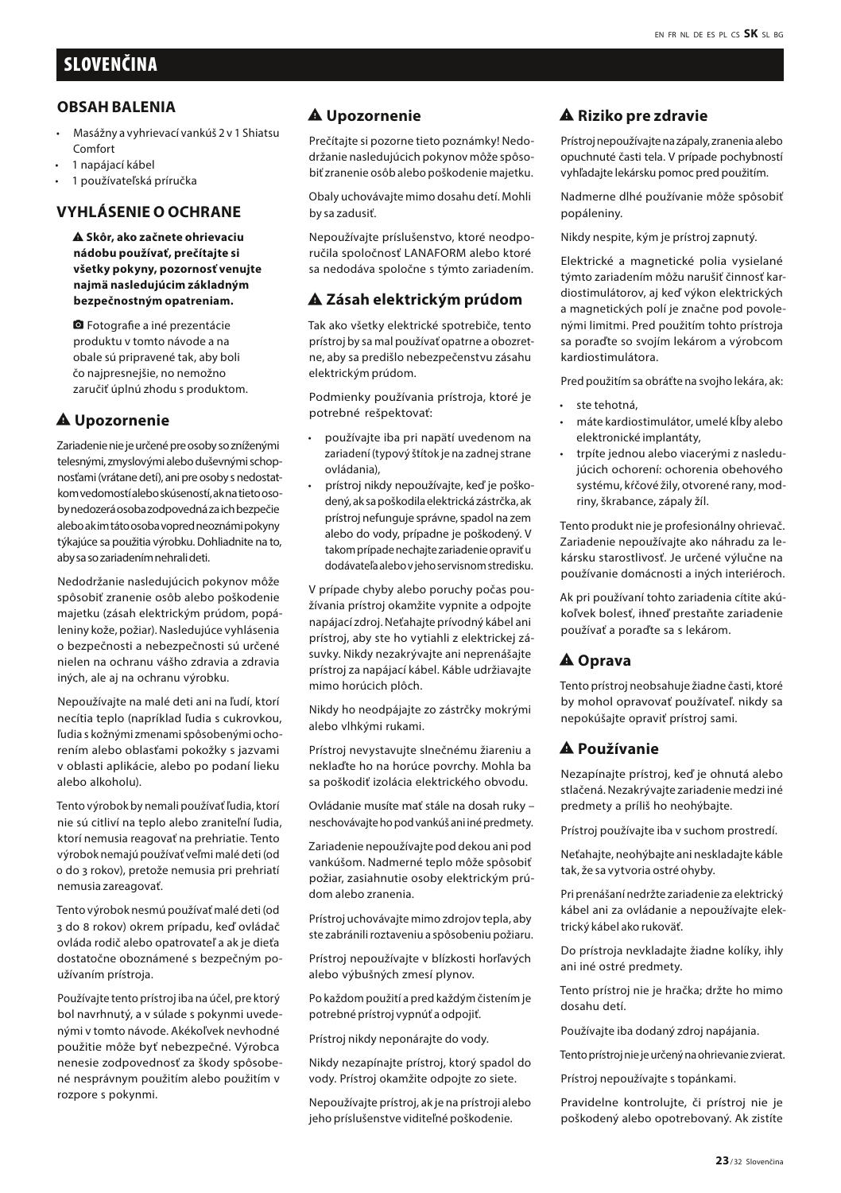#### **OBSAH BALENIA**

- Masážny a vyhrievací vankúš 2 v 1 Shiatsu Comfort
- 1 napájací kábel
- 1 používateľská príručka

#### **VYHLÁSENIE O OCHRANE**

report\_problem **Skôr, ako začnete ohrievaciu nádobu používať, prečítajte si všetky pokyny, pozornosť venujte najmä nasledujúcim základným bezpečnostným opatreniam.**

**a** Fotografie a iné prezentácie produktu v tomto návode a na obale sú pripravené tak, aby boli čo najpresnejšie, no nemožno zaručiť úplnú zhodu s produktom.

#### $A$  Upozornenie

Zariadenie nie je určené pre osoby so zníženými telesnými, zmyslovými alebo duševnými schopnosťami (vrátane detí), ani pre osoby s nedostatkom vedomostí alebo skúseností, ak na tieto osoby nedozerá osoba zodpovedná za ich bezpečie alebo ak im táto osoba vopred neoznámi pokyny týkajúce sa použitia výrobku. Dohliadnite na to, aby sa so zariadením nehrali deti.

Nedodržanie nasledujúcich pokynov môže spôsobiť zranenie osôb alebo poškodenie majetku (zásah elektrickým prúdom, popáleniny kože, požiar). Nasledujúce vyhlásenia o bezpečnosti a nebezpečnosti sú určené nielen na ochranu vášho zdravia a zdravia iných, ale aj na ochranu výrobku.

Nepoužívajte na malé deti ani na ľudí, ktorí necítia teplo (napríklad ľudia s cukrovkou, ľudia s kožnými zmenami spôsobenými ochorením alebo oblasťami pokožky s jazvami v oblasti aplikácie, alebo po podaní lieku alebo alkoholu).

Tento výrobok by nemali používať ľudia, ktorí nie sú citliví na teplo alebo zraniteľní ľudia, ktorí nemusia reagovať na prehriatie. Tento výrobok nemajú používať veľmi malé deti (od 0 do 3 rokov), pretože nemusia pri prehriatí nemusia zareagovať.

Tento výrobok nesmú používať malé deti (od 3 do 8 rokov) okrem prípadu, keď ovládač ovláda rodič alebo opatrovateľ a ak je dieťa dostatočne oboznámené s bezpečným používaním prístroja.

Používajte tento prístroj iba na účel, pre ktorý bol navrhnutý, a v súlade s pokynmi uvedenými v tomto návode. Akékoľvek nevhodné použitie môže byť nebezpečné. Výrobca nenesie zodpovednosť za škody spôsobené nesprávnym použitím alebo použitím v rozpore s pokynmi.

#### A Upozornenie

Prečítajte si pozorne tieto poznámky! Nedodržanie nasledujúcich pokynov môže spôsobiť zranenie osôb alebo poškodenie majetku.

Obaly uchovávajte mimo dosahu detí. Mohli by sa zadusiť.

Nepoužívajte príslušenstvo, ktoré neodporučila spoločnosť LANAFORM alebo ktoré sa nedodáva spoločne s týmto zariadením.

#### report\_problem **Zásah elektrickým prúdom**

Tak ako všetky elektrické spotrebiče, tento prístroj by sa mal používať opatrne a obozretne, aby sa predišlo nebezpečenstvu zásahu elektrickým prúdom.

Podmienky používania prístroja, ktoré je potrebné rešpektovať:

- používajte iba pri napätí uvedenom na zariadení (typový štítok je na zadnej strane ovládania),
- prístroj nikdy nepoužívajte, keď je poškodený, ak sa poškodila elektrická zástrčka, ak prístroj nefunguje správne, spadol na zem alebo do vody, prípadne je poškodený. V takom prípade nechajte zariadenie opraviť u dodávateľa alebo v jeho servisnom stredisku.

V prípade chyby alebo poruchy počas používania prístroj okamžite vypnite a odpojte napájací zdroj. Neťahajte prívodný kábel ani prístroj, aby ste ho vytiahli z elektrickej zásuvky. Nikdy nezakrývajte ani neprenášajte prístroj za napájací kábel. Káble udržiavajte mimo horúcich plôch.

Nikdy ho neodpájajte zo zástrčky mokrými alebo vlhkými rukami.

Prístroj nevystavujte slnečnému žiareniu a neklaďte ho na horúce povrchy. Mohla ba sa poškodiť izolácia elektrického obvodu.

Ovládanie musíte mať stále na dosah ruky – neschovávajte ho pod vankúš ani iné predmety.

Zariadenie nepoužívajte pod dekou ani pod vankúšom. Nadmerné teplo môže spôsobiť požiar, zasiahnutie osoby elektrickým prúdom alebo zranenia.

Prístroj uchovávajte mimo zdrojov tepla, aby ste zabránili roztaveniu a spôsobeniu požiaru.

Prístroj nepoužívajte v blízkosti horľavých alebo výbušných zmesí plynov.

Po každom použití a pred každým čistením je potrebné prístroj vypnúť a odpojiť.

Prístroj nikdy neponárajte do vody.

Nikdy nezapínajte prístroj, ktorý spadol do vody. Prístroj okamžite odpojte zo siete.

Nepoužívajte prístroj, ak je na prístroji alebo jeho príslušenstve viditeľné poškodenie.

#### **A Riziko pre zdravie**

Prístroj nepoužívajte na zápaly, zranenia alebo opuchnuté časti tela. V prípade pochybností vyhľadajte lekársku pomoc pred použitím.

Nadmerne dlhé používanie môže spôsobiť popáleniny.

Nikdy nespite, kým je prístroj zapnutý.

Elektrické a magnetické polia vysielané týmto zariadením môžu narušiť činnosť kardiostimulátorov, aj keď výkon elektrických a magnetických polí je značne pod povolenými limitmi. Pred použitím tohto prístroja sa poraďte so svojím lekárom a výrobcom kardiostimulátora.

Pred použitím sa obráťte na svojho lekára, ak:

- ste tehotná,
- máte kardiostimulátor, umelé kĺby alebo elektronické implantáty,
- trpíte jednou alebo viacerými z nasledujúcich ochorení: ochorenia obehového systému, kŕčové žily, otvorené rany, modriny, škrabance, zápaly žíl.

Tento produkt nie je profesionálny ohrievač. Zariadenie nepoužívajte ako náhradu za lekársku starostlivosť. Je určené výlučne na používanie domácnosti a iných interiéroch.

Ak pri používaní tohto zariadenia cítite akúkoľvek bolesť, ihneď prestaňte zariadenie používať a poraďte sa s lekárom.

#### A Oprava

Tento prístroj neobsahuje žiadne časti, ktoré by mohol opravovať používateľ. nikdy sa nepokúšajte opraviť prístroj sami.

#### report\_problem **Používanie**

Nezapínajte prístroj, keď je ohnutá alebo stlačená. Nezakrývajte zariadenie medzi iné predmety a príliš ho neohýbajte.

Prístroj používajte iba v suchom prostredí.

Neťahajte, neohýbajte ani neskladajte káble tak, že sa vytvoria ostré ohyby.

Pri prenášaní nedržte zariadenie za elektrický kábel ani za ovládanie a nepoužívajte elektrický kábel ako rukoväť.

Do prístroja nevkladajte žiadne kolíky, ihly ani iné ostré predmety.

Tento prístroj nie je hračka; držte ho mimo dosahu detí.

Používajte iba dodaný zdroj napájania.

Tento prístroj nie je určený na ohrievanie zvierat.

Prístroj nepoužívajte s topánkami.

Pravidelne kontrolujte, či prístroj nie je poškodený alebo opotrebovaný. Ak zistíte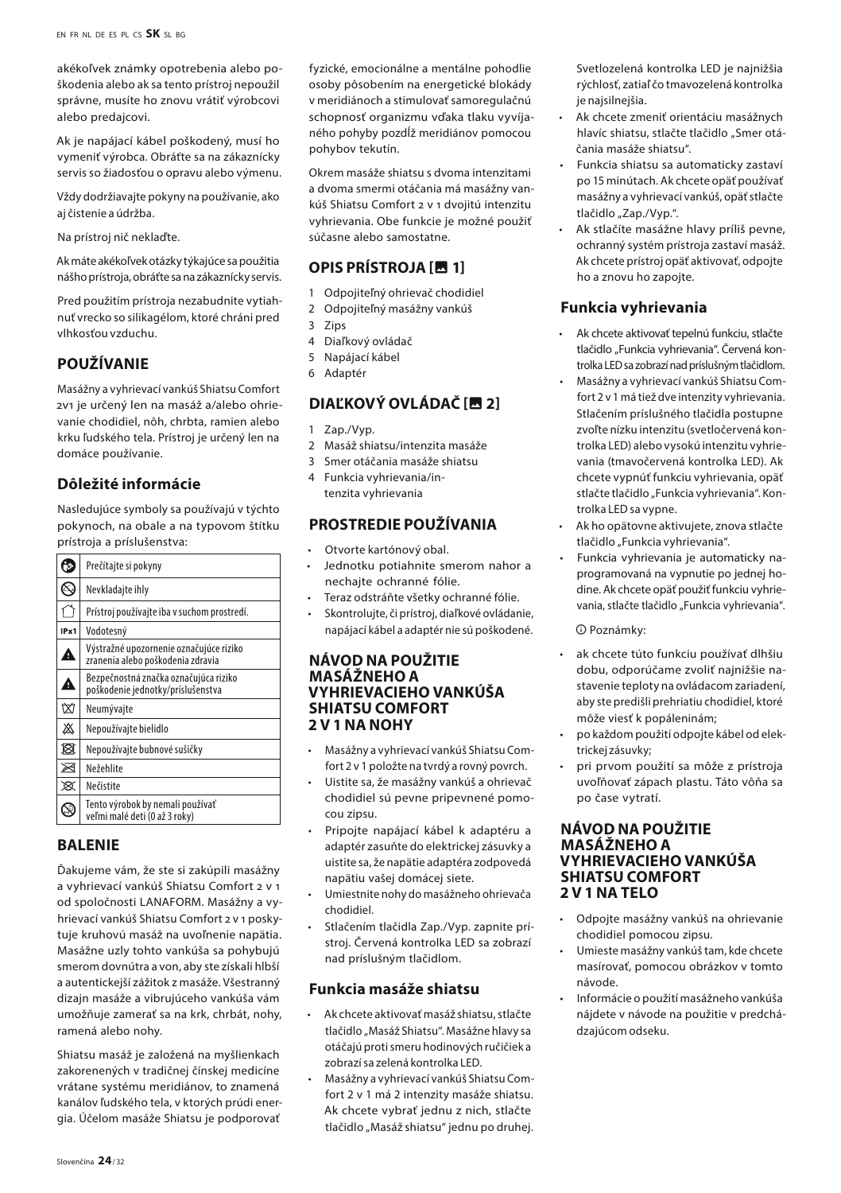akékoľvek známky opotrebenia alebo poškodenia alebo ak sa tento prístroj nepoužil správne, musíte ho znovu vrátiť výrobcovi alebo predajcovi.

Ak je napájací kábel poškodený, musí ho vymeniť výrobca. Obráťte sa na zákaznícky servis so žiadosťou o opravu alebo výmenu.

Vždy dodržiavajte pokyny na používanie, ako aj čistenie a údržba.

Na prístroj nič neklaďte.

Ak máte akékoľvek otázky týkajúce sa použitia nášho prístroja, obráťte sa na zákaznícky servis.

Pred použitím prístroja nezabudnite vytiahnuť vrecko so silikagélom, ktoré chráni pred vlhkosťou vzduchu.

# **POUŽÍVANIE**

Masážny a vyhrievací vankúš Shiatsu Comfort 2v1 je určený len na masáž a/alebo ohrievanie chodidiel, nôh, chrbta, ramien alebo krku ľudského tela. Prístroj je určený len na domáce používanie.

# **Dôležité informácie**

Nasledujúce symboly sa používajú v týchto pokynoch, na obale a na typovom štítku prístroja a príslušenstva:

|      | Prečítajte si pokyny                                                         |  |
|------|------------------------------------------------------------------------------|--|
| ℕ    | Nevkladajte ihly                                                             |  |
|      | Prístroj používajte iba v suchom prostredí.                                  |  |
| IPx1 | Vodotesný                                                                    |  |
| A    | Výstražné upozornenie označujúce riziko<br>zranenia alebo poškodenia zdravia |  |
| Δ    | Bezpečnostná značka označujúca riziko<br>poškodenie jednotky/príslušenstva   |  |
| 囟    | Neumývajte<br>Nepoužívajte bielidlo                                          |  |
| 盗    |                                                                              |  |
| R    | Nepoužívajte bubnové sušičky                                                 |  |
| ⊠    | Nežehlite                                                                    |  |
| x    | Nečistite                                                                    |  |
|      | Tento výrobok by nemali používať<br>veľmi malé deti (0 až 3 roky)            |  |

#### **BALENIE**

Ďakujeme vám, že ste si zakúpili masážny a vyhrievací vankúš Shiatsu Comfort 2 v 1 od spoločnosti LANAFORM. Masážny a vyhrievací vankúš Shiatsu Comfort 2 v 1 poskytuje kruhovú masáž na uvoľnenie napätia. Masážne uzly tohto vankúša sa pohybujú smerom dovnútra a von, aby ste získali hlbší a autentickejší zážitok z masáže. Všestranný dizajn masáže a vibrujúceho vankúša vám umožňuje zamerať sa na krk, chrbát, nohy, ramená alebo nohy.

Shiatsu masáž je založená na myšlienkach zakorenených v tradičnej čínskej medicíne vrátane systému meridiánov, to znamená kanálov ľudského tela, v ktorých prúdi energia. Účelom masáže Shiatsu je podporovať fyzické, emocionálne a mentálne pohodlie osoby pôsobením na energetické blokády v meridiánoch a stimulovať samoregulačnú schopnosť organizmu vďaka tlaku vyvíjaného pohyby pozdĺž meridiánov pomocou pohybov tekutín.

Okrem masáže shiatsu s dvoma intenzitami a dvoma smermi otáčania má masážny vankúš Shiatsu Comfort 2 v 1 dvojitú intenzitu vyhrievania. Obe funkcie je možné použiť súčasne alebo samostatne.

# **OPIS PRÍSTROJA [**insert\_photo **1]**

- 1 Odpojiteľný ohrievač chodidiel
- 2 Odpojiteľný masážny vankúš
- 3 Zips
- 4 Diaľkový ovládač
- 5 Napájací kábel
- 6 Adaptér

# **DIAĽKOVÝ OVLÁDAČ [四 2]**

- Zap./Vyp.
- 2 Masáž shiatsu/intenzita masáže
- 3 Smer otáčania masáže shiatsu
- 4 Funkcia vyhrievania/intenzita vyhrievania

# **PROSTREDIE POUŽÍVANIA**

- Otvorte kartónový obal.
- Jednotku potiahnite smerom nahor a nechajte ochranné fólie.
- Teraz odstráňte všetky ochranné fólie.
- Skontrolujte, či prístroj, diaľkové ovládanie, napájací kábel a adaptér nie sú poškodené.

#### **NÁVOD NA POUŽITIE MASÁŽNEHO A VYHRIEVACIEHO VANKÚŠA SHIATSU COMFORT 2 V 1 NA NOHY**

- Masážny a vyhrievací vankúš Shiatsu Comfort 2 v 1 položte na tvrdý a rovný povrch.
- Uistite sa, že masážny vankúš a ohrievač chodidiel sú pevne pripevnené pomocou zipsu.
- Pripojte napájací kábel k adaptéru a adaptér zasuňte do elektrickej zásuvky a uistite sa, že napätie adaptéra zodpovedá napätiu vašej domácej siete.
- Umiestnite nohy do masážneho ohrievača chodidiel.
- Stlačením tlačidla Zap./Vyp. zapnite prístroj. Červená kontrolka LED sa zobrazí nad príslušným tlačidlom.

# **Funkcia masáže shiatsu**

- Ak chcete aktivovať masáž shiatsu, stlačte tlačidlo "Masáž Shiatsu". Masážne hlavy sa otáčajú proti smeru hodinových ručičiek a zobrazí sa zelená kontrolka LED.
- Masážny a vyhrievací vankúš Shiatsu Comfort 2 v 1 má 2 intenzity masáže shiatsu. Ak chcete vybrať jednu z nich, stlačte tlačidlo "Masáž shiatsu" jednu po druhej.

Svetlozelená kontrolka LED je najnižšia rýchlosť, zatiaľ čo tmavozelená kontrolka je najsilnejšia.

- Ak chcete zmeniť orientáciu masážnych hlavíc shiatsu, stlačte tlačidlo "Smer otáčania masáže shiatsu".
- Funkcia shiatsu sa automaticky zastaví po 15 minútach. Ak chcete opäť používať masážny a vyhrievací vankúš, opäť stlačte tlačidlo "Zap./Vyp.".
- Ak stlačíte masážne hlavy príliš pevne, ochranný systém prístroja zastaví masáž. Ak chcete prístroj opäť aktivovať, odpojte ho a znovu ho zapojte.

# **Funkcia vyhrievania**

- Ak chcete aktivovať tepelnú funkciu, stlačte tlačidlo "Funkcia vyhrievania". Červená kontrolka LED sa zobrazí nad príslušným tlačidlom.
- Masážny a vyhrievací vankúš Shiatsu Comfort 2 v 1 má tiež dve intenzity vyhrievania. Stlačením príslušného tlačidla postupne zvoľte nízku intenzitu (svetločervená kontrolka LED) alebo vysokú intenzitu vyhrievania (tmavočervená kontrolka LED). Ak chcete vypnúť funkciu vyhrievania, opäť stlačte tlačidlo "Funkcia vyhrievania". Kontrolka LED sa vypne.
- Ak ho opätovne aktivujete, znova stlačte tlačidlo "Funkcia vyhrievania".
- Funkcia vyhrievania je automaticky naprogramovaná na vypnutie po jednej hodine. Ak chcete opäť použiť funkciu vyhrievania, stlačte tlačidlo "Funkcia vyhrievania".

#### $\Omega$  Poznámky:

- ak chcete túto funkciu používať dlhšiu dobu, odporúčame zvoliť najnižšie nastavenie teploty na ovládacom zariadení, aby ste predišli prehriatiu chodidiel, ktoré môže viesť k popáleninám;
- po každom použití odpojte kábel od elektrickej zásuvky;
- pri prvom použití sa môže z prístroja uvoľňovať zápach plastu. Táto vôňa sa po čase vytratí.

#### **NÁVOD NA POUŽITIE MASÁŽNEHO A VYHRIEVACIEHO VANKÚŠA SHIATSU COMFORT 2 V 1 NA TELO**

- Odpojte masážny vankúš na ohrievanie chodidiel pomocou zipsu.
- Umieste masážny vankúš tam, kde chcete masírovať, pomocou obrázkov v tomto návode.
- Informácie o použití masážneho vankúša nájdete v návode na použitie v predchádzajúcom odseku.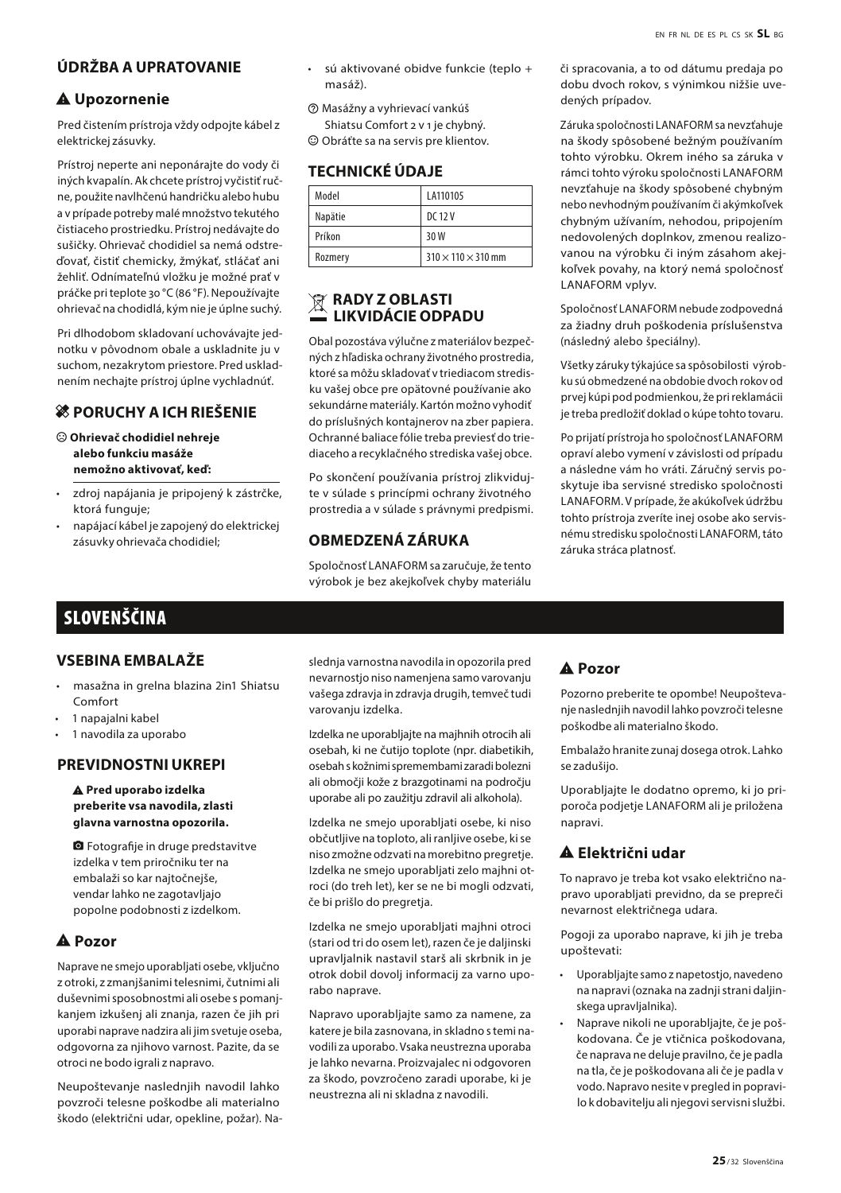# **ÚDRŽBA A UPRATOVANIE**

#### $A$  Upozornenie

Pred čistením prístroja vždy odpojte kábel z elektrickej zásuvky.

Prístroj neperte ani neponárajte do vody či iných kvapalín. Ak chcete prístroj vyčistiť ručne, použite navlhčenú handričku alebo hubu a v prípade potreby malé množstvo tekutého čistiaceho prostriedku. Prístroj nedávajte do sušičky. Ohrievač chodidiel sa nemá odstreďovať, čistiť chemicky, žmýkať, stláčať ani žehliť. Odnímateľnú vložku je možné prať v práčke pri teplote 30 °C (86 °F). Nepoužívajte ohrievač na chodidlá, kým nie je úplne suchý.

Pri dlhodobom skladovaní uchovávajte jednotku v pôvodnom obale a uskladnite ju v suchom, nezakrytom priestore. Pred uskladnením nechajte prístroj úplne vychladnúť.

#### $\frac{1}{26}$  **PORUCHY A ICH RIEŠENIE**

- $\odot$  Ohrievač chodidiel nehreje **alebo funkciu masáže nemožno aktivovať, keď:**
- zdroj napájania je pripojený k zástrčke, ktorá funguje;
- napájací kábel je zapojený do elektrickej zásuvky ohrievača chodidiel;
- sú aktivované obidve funkcie (teplo + masáž).
- $\circledR$  Masážny a vyhrievací vankúš

Shiatsu Comfort 2 v 1 je chybný.  $\odot$  Obráťte sa na servis pre klientov.

## **TECHNICKÉ ÚDAJE**

| Model   | LA110105                       |
|---------|--------------------------------|
| Napätie | DC 12 V                        |
| Príkon  | 30 W                           |
| Rozmery | $310 \times 110 \times 310$ mm |

#### **RADY Z OBLASTI LIKVIDÁCIE ODPADU**

Obal pozostáva výlučne z materiálov bezpečných z hľadiska ochrany životného prostredia, ktoré sa môžu skladovať v triediacom stredisku vašej obce pre opätovné používanie ako sekundárne materiály. Kartón možno vyhodiť do príslušných kontajnerov na zber papiera. Ochranné baliace fólie treba previesť do triediaceho a recyklačného strediska vašej obce.

Po skončení používania prístroj zlikvidujte v súlade s princípmi ochrany životného prostredia a v súlade s právnymi predpismi.

#### **OBMEDZENÁ ZÁRUKA**

Spoločnosť LANAFORM sa zaručuje, že tento výrobok je bez akejkoľvek chyby materiálu či spracovania, a to od dátumu predaja po dobu dvoch rokov, s výnimkou nižšie uvedených prípadov.

Záruka spoločnosti LANAFORM sa nevzťahuje na škody spôsobené bežným používaním tohto výrobku. Okrem iného sa záruka v rámci tohto výroku spoločnosti LANAFORM nevzťahuje na škody spôsobené chybným nebo nevhodným používaním či akýmkoľvek chybným užívaním, nehodou, pripojením nedovolených doplnkov, zmenou realizovanou na výrobku či iným zásahom akejkoľvek povahy, na ktorý nemá spoločnosť LANAFORM vplyv.

Spoločnosť LANAFORM nebude zodpovedná za žiadny druh poškodenia príslušenstva (následný alebo špeciálny).

Všetky záruky týkajúce sa spôsobilosti výrobku sú obmedzené na obdobie dvoch rokov od prvej kúpi pod podmienkou, že pri reklamácii je treba predložiť doklad o kúpe tohto tovaru.

Po prijatí prístroja ho spoločnosť LANAFORM opraví alebo vymení v závislosti od prípadu a následne vám ho vráti. Záručný servis poskytuje iba servisné stredisko spoločnosti LANAFORM. V prípade, že akúkoľvek údržbu tohto prístroja zveríte inej osobe ako servisnému stredisku spoločnosti LANAFORM, táto záruka stráca platnosť.

# SLOVENŠČINA

# **VSEBINA EMBALAŽE**

- masažna in grelna blazina 2in1 Shiatsu Comfort
- 1 napajalni kabel
- 1 navodila za uporabo

#### **PREVIDNOSTNI UKREPI**

#### $\triangle$  Pred uporabo izdelka **preberite vsa navodila, zlasti glavna varnostna opozorila.**

**a** Fotografije in druge predstavitve izdelka v tem priročniku ter na embalaži so kar najtočnejše, vendar lahko ne zagotavljajo popolne podobnosti z izdelkom.

#### A Pozor

Naprave ne smejo uporabljati osebe, vključno z otroki, z zmanjšanimi telesnimi, čutnimi ali duševnimi sposobnostmi ali osebe s pomanjkanjem izkušenj ali znanja, razen če jih pri uporabi naprave nadzira ali jim svetuje oseba, odgovorna za njihovo varnost. Pazite, da se otroci ne bodo igrali z napravo.

Neupoštevanje naslednjih navodil lahko povzroči telesne poškodbe ali materialno škodo (električni udar, opekline, požar). Naslednja varnostna navodila in opozorila pred nevarnostjo niso namenjena samo varovanju vašega zdravja in zdravja drugih, temveč tudi varovanju izdelka.

Izdelka ne uporabljajte na majhnih otrocih ali osebah, ki ne čutijo toplote (npr. diabetikih, osebah s kožnimi spremembami zaradi bolezni ali območji kože z brazgotinami na področju uporabe ali po zaužitju zdravil ali alkohola).

Izdelka ne smejo uporabljati osebe, ki niso občutljive na toploto, ali ranljive osebe, ki se niso zmožne odzvati na morebitno pregretje. Izdelka ne smejo uporabljati zelo majhni otroci (do treh let), ker se ne bi mogli odzvati, če bi prišlo do pregretja.

Izdelka ne smejo uporabljati majhni otroci (stari od tri do osem let), razen če je daljinski upravljalnik nastavil starš ali skrbnik in je otrok dobil dovolj informacij za varno uporabo naprave.

Napravo uporabljajte samo za namene, za katere je bila zasnovana, in skladno s temi navodili za uporabo. Vsaka neustrezna uporaba je lahko nevarna. Proizvajalec ni odgovoren za škodo, povzročeno zaradi uporabe, ki je neustrezna ali ni skladna z navodili.

#### A Pozor

Pozorno preberite te opombe! Neupoštevanje naslednjih navodil lahko povzroči telesne poškodbe ali materialno škodo.

Embalažo hranite zunaj dosega otrok. Lahko se zadušijo.

Uporabljajte le dodatno opremo, ki jo priporoča podjetje LANAFORM ali je priložena napravi.

#### report\_problem **Električni udar**

To napravo je treba kot vsako električno napravo uporabljati previdno, da se prepreči nevarnost električnega udara.

Pogoji za uporabo naprave, ki jih je treba upoštevati:

- Uporabljajte samo z napetostjo, navedeno na napravi (oznaka na zadnji strani daljinskega upravljalnika).
- Naprave nikoli ne uporabljajte, če je poškodovana. Če je vtičnica poškodovana, če naprava ne deluje pravilno, če je padla na tla, če je poškodovana ali če je padla v vodo. Napravo nesite v pregled in popravilo k dobavitelju ali njegovi servisni službi.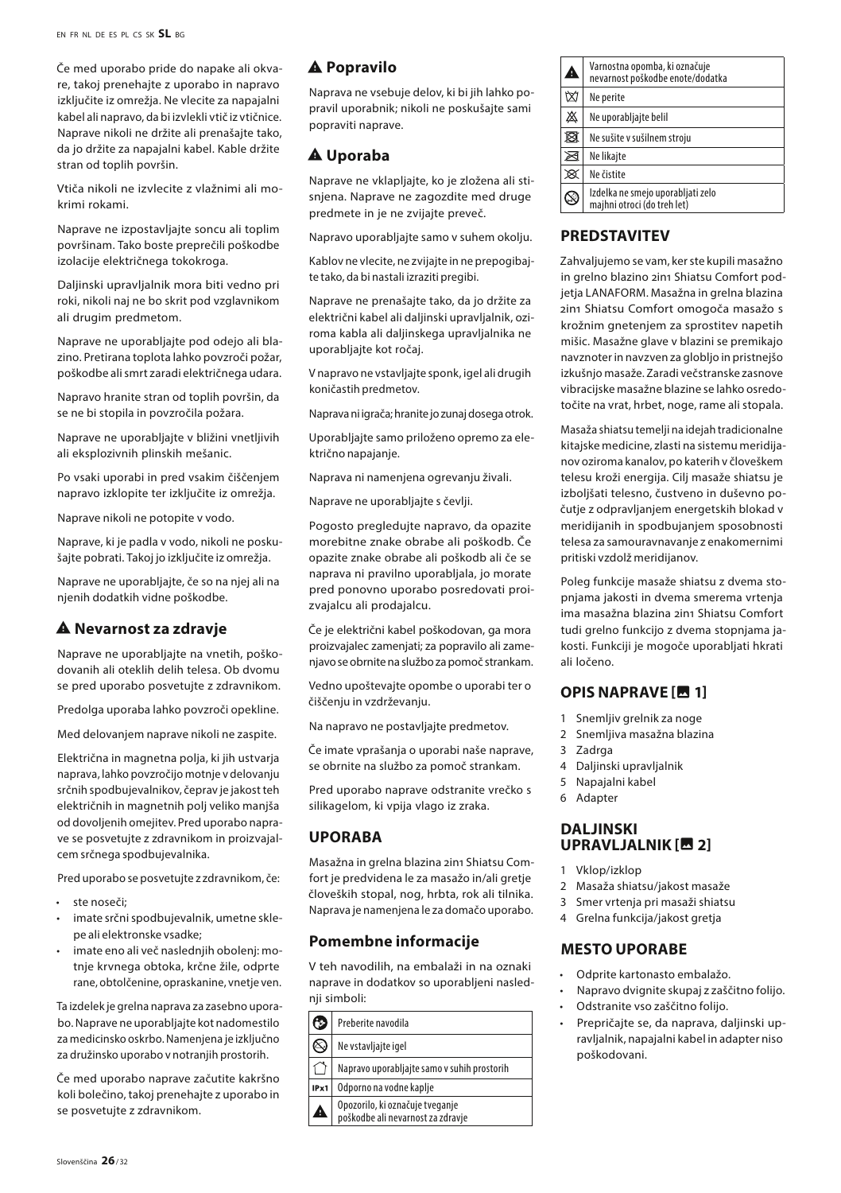Če med uporabo pride do napake ali okvare, takoj prenehajte z uporabo in napravo izključite iz omrežja. Ne vlecite za napajalni kabel ali napravo, da bi izvlekli vtič iz vtičnice. Naprave nikoli ne držite ali prenašajte tako, da jo držite za napajalni kabel. Kable držite stran od toplih površin.

Vtiča nikoli ne izvlecite z vlažnimi ali mokrimi rokami.

Naprave ne izpostavljajte soncu ali toplim površinam. Tako boste preprečili poškodbe izolacije električnega tokokroga.

Daljinski upravljalnik mora biti vedno pri roki, nikoli naj ne bo skrit pod vzglavnikom ali drugim predmetom.

Naprave ne uporabljajte pod odejo ali blazino. Pretirana toplota lahko povzroči požar, poškodbe ali smrt zaradi električnega udara.

Napravo hranite stran od toplih površin, da se ne bi stopila in povzročila požara.

Naprave ne uporabljajte v bližini vnetljivih ali eksplozivnih plinskih mešanic.

Po vsaki uporabi in pred vsakim čiščenjem napravo izklopite ter izključite iz omrežja.

Naprave nikoli ne potopite v vodo.

Naprave, ki je padla v vodo, nikoli ne poskušajte pobrati. Takoj jo izključite iz omrežja.

Naprave ne uporabljajte, če so na njej ali na njenih dodatkih vidne poškodbe.

#### **A** Nevarnost za zdravje

Naprave ne uporabljajte na vnetih, poškodovanih ali oteklih delih telesa. Ob dvomu se pred uporabo posvetujte z zdravnikom.

Predolga uporaba lahko povzroči opekline.

Med delovanjem naprave nikoli ne zaspite.

Električna in magnetna polja, ki jih ustvarja naprava, lahko povzročijo motnje v delovanju srčnih spodbujevalnikov, čeprav je jakost teh električnih in magnetnih polj veliko manjša od dovoljenih omejitev. Pred uporabo naprave se posvetujte z zdravnikom in proizvajalcem srčnega spodbujevalnika.

Pred uporabo se posvetujte z zdravnikom, če:

- ste noseči;
- imate srčni spodbujevalnik, umetne sklepe ali elektronske vsadke;
- imate eno ali več naslednjih obolenj: motnje krvnega obtoka, krčne žile, odprte rane, obtolčenine, opraskanine, vnetje ven.

Ta izdelek je grelna naprava za zasebno uporabo. Naprave ne uporabljajte kot nadomestilo za medicinsko oskrbo. Namenjena je izključno za družinsko uporabo v notranjih prostorih.

Če med uporabo naprave začutite kakršno koli bolečino, takoj prenehajte z uporabo in se posvetujte z zdravnikom.

#### A Popravilo

Naprava ne vsebuje delov, ki bi jih lahko popravil uporabnik; nikoli ne poskušajte sami popraviti naprave.

## A Uporaba

Naprave ne vklapljajte, ko je zložena ali stisnjena. Naprave ne zagozdite med druge predmete in je ne zvijajte preveč.

Napravo uporabljajte samo v suhem okolju.

Kablov ne vlecite, ne zvijajte in ne prepogibajte tako, da bi nastali izraziti pregibi.

Naprave ne prenašajte tako, da jo držite za električni kabel ali daljinski upravljalnik, oziroma kabla ali daljinskega upravljalnika ne uporabljajte kot ročaj.

V napravo ne vstavljajte sponk, igel ali drugih koničastih predmetov.

Naprava ni igrača; hranite jo zunaj dosega otrok.

Uporabljajte samo priloženo opremo za električno napajanje.

Naprava ni namenjena ogrevanju živali.

Naprave ne uporabljajte s čevlji.

Pogosto pregledujte napravo, da opazite morebitne znake obrabe ali poškodb. Če opazite znake obrabe ali poškodb ali če se naprava ni pravilno uporabljala, jo morate pred ponovno uporabo posredovati proizvajalcu ali prodajalcu.

Če je električni kabel poškodovan, ga mora proizvajalec zamenjati; za popravilo ali zamenjavo se obrnite na službo za pomoč strankam.

Vedno upoštevajte opombe o uporabi ter o čiščenju in vzdrževanju.

Na napravo ne postavljajte predmetov.

Če imate vprašanja o uporabi naše naprave, se obrnite na službo za pomoč strankam.

Pred uporabo naprave odstranite vrečko s silikagelom, ki vpija vlago iz zraka.

#### **UPORABA**

Masažna in grelna blazina 2in1 Shiatsu Comfort je predvidena le za masažo in/ali gretje človeških stopal, nog, hrbta, rok ali tilnika. Naprava je namenjena le za domačo uporabo.

#### **Pomembne informacije**

V teh navodilih, na embalaži in na oznaki naprave in dodatkov so uporabljeni naslednji simboli:

| ా    | Preberite navodila                                                                                                                                                    |  |
|------|-----------------------------------------------------------------------------------------------------------------------------------------------------------------------|--|
| X)   | Ne vstavljajte igel<br>Napravo uporabljajte samo v suhih prostorih<br>Odporno na vodne kaplje<br>Opozorilo, ki označuje tveganje<br>poškodbe ali nevarnost za zdravie |  |
|      |                                                                                                                                                                       |  |
| IPx1 |                                                                                                                                                                       |  |
|      |                                                                                                                                                                       |  |

| 4           | Varnostna opomba, ki označuje<br>nevarnost poškodbe enote/dodatka |  |
|-------------|-------------------------------------------------------------------|--|
| M           | Ne perite                                                         |  |
| ⋙           | Ne uporabljajte belil                                             |  |
| ⊠           | Ne sušite v sušilnem stroju                                       |  |
| ⊠           | Ne likaite                                                        |  |
| $\boxtimes$ | Ne čistite                                                        |  |
|             | Izdelka ne smejo uporabljati zelo<br>maihni otroci (do treh let)  |  |

# **PREDSTAVITEV**

Zahvaljujemo se vam, ker ste kupili masažno in grelno blazino 2in1 Shiatsu Comfort podjetja LANAFORM. Masažna in grelna blazina 2in1 Shiatsu Comfort omogoča masažo s krožnim gnetenjem za sprostitev napetih mišic. Masažne glave v blazini se premikajo navznoter in navzven za globljo in pristnejšo izkušnjo masaže. Zaradi večstranske zasnove vibracijske masažne blazine se lahko osredotočite na vrat, hrbet, noge, rame ali stopala.

Masaža shiatsu temelji na idejah tradicionalne kitajske medicine, zlasti na sistemu meridijanov oziroma kanalov, po katerih v človeškem telesu kroži energija. Cilj masaže shiatsu je izboljšati telesno, čustveno in duševno počutje z odpravljanjem energetskih blokad v meridijanih in spodbujanjem sposobnosti telesa za samouravnavanje z enakomernimi pritiski vzdolž meridijanov.

Poleg funkcije masaže shiatsu z dvema stopnjama jakosti in dvema smerema vrtenja ima masažna blazina 2in1 Shiatsu Comfort tudi grelno funkcijo z dvema stopnjama jakosti. Funkciji je mogoče uporabljati hkrati ali ločeno.

# **OPIS NAPRAVE [in 1]**

- 1 Snemljiv grelnik za noge
- 2 Snemljiva masažna blazina
- 3 Zadrga
- 4 Daljinski upravljalnik
- 5 Napajalni kabel
- 6 Adapter

#### **DAL JINSKI UPRAVLJALNIK [indext]**

- 1 Vklop/izklop
- 2 Masaža shiatsu/jakost masaže
- 3 Smer vrtenja pri masaži shiatsu
- 4 Grelna funkcija/jakost gretja

#### **MESTO UPORABE**

- Odprite kartonasto embalažo.
- Napravo dvignite skupaj z zaščitno folijo.
	- Odstranite vso zaščitno folijo.
	- Prepričajte se, da naprava, daljinski upravljalnik, napajalni kabel in adapter niso poškodovani.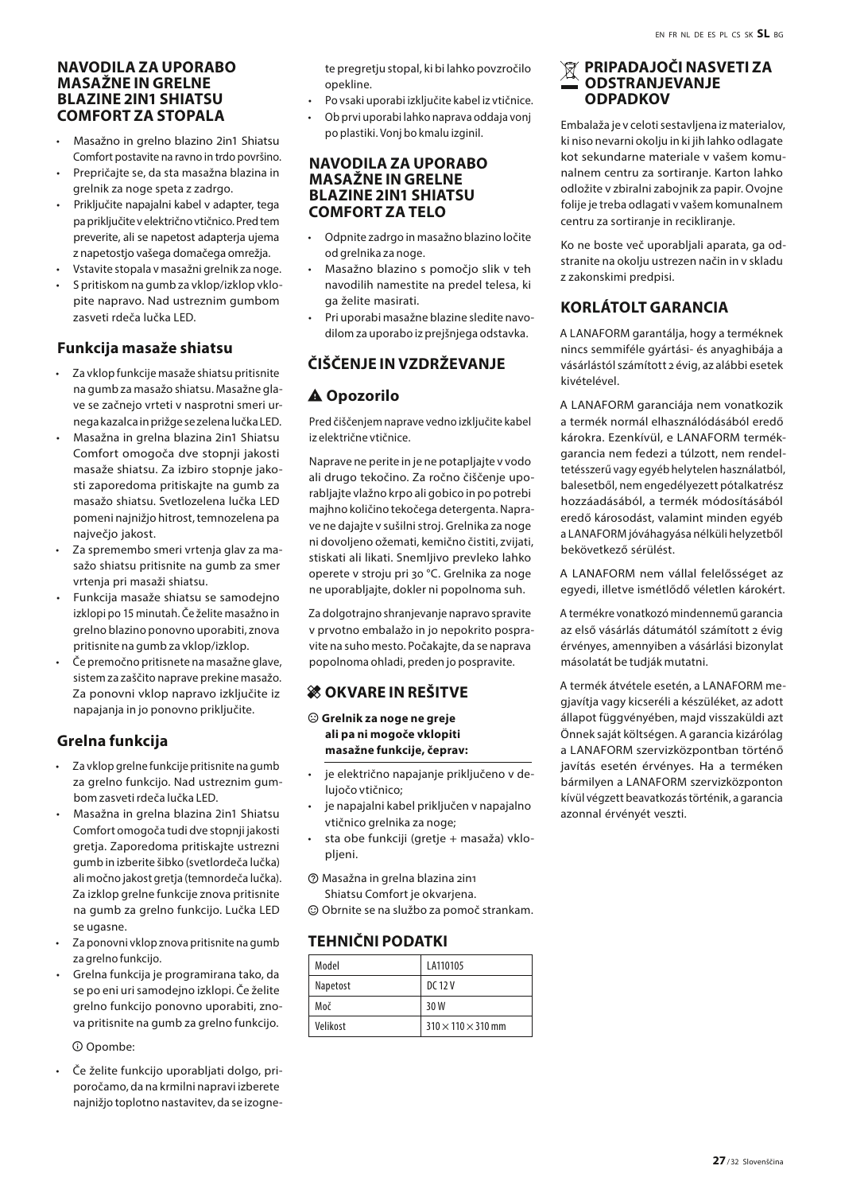#### **NAVODILA ZA UPORABO MASAŽNE IN GRELNE BLAZINE 2IN1 SHIATSU COMFORT ZA STOPALA**

- Masažno in grelno blazino 2in1 Shiatsu Comfort postavite na ravno in trdo površino.
- Prepričajte se, da sta masažna blazina in grelnik za noge speta z zadrgo.
- Priključite napajalni kabel v adapter, tega pa priključite v električno vtičnico. Pred tem preverite, ali se napetost adapterja ujema z napetostjo vašega domačega omrežja.
- Vstavite stopala v masažni grelnik za noge.
- S pritiskom na gumb za vklop/izklop vklopite napravo. Nad ustreznim gumbom zasveti rdeča lučka LED.

#### **Funkcija masaže shiatsu**

- Za vklop funkcije masaže shiatsu pritisnite na gumb za masažo shiatsu. Masažne glave se začnejo vrteti v nasprotni smeri urnega kazalca in prižge se zelena lučka LED.
- Masažna in grelna blazina 2in1 Shiatsu Comfort omogoča dve stopnji jakosti masaže shiatsu. Za izbiro stopnje jakosti zaporedoma pritiskajte na gumb za masažo shiatsu. Svetlozelena lučka LED pomeni najnižjo hitrost, temnozelena pa največjo jakost.
- Za spremembo smeri vrtenja glav za masažo shiatsu pritisnite na gumb za smer vrtenja pri masaži shiatsu.
- Funkcija masaže shiatsu se samodejno izklopi po 15 minutah. Če želite masažno in grelno blazino ponovno uporabiti, znova pritisnite na gumb za vklop/izklop.
- Če premočno pritisnete na masažne glave, sistem za zaščito naprave prekine masažo. Za ponovni vklop napravo izključite iz napajanja in jo ponovno priključite.

# **Grelna funkcija**

- Za vklop grelne funkcije pritisnite na gumb za grelno funkcijo. Nad ustreznim gumbom zasveti rdeča lučka LED.
- Masažna in grelna blazina 2in1 Shiatsu Comfort omogoča tudi dve stopnji jakosti gretja. Zaporedoma pritiskajte ustrezni gumb in izberite šibko (svetlordeča lučka) ali močno jakost gretja (temnordeča lučka). Za izklop grelne funkcije znova pritisnite na gumb za grelno funkcijo. Lučka LED se ugasne.
- Za ponovni vklop znova pritisnite na gumb za grelno funkcijo.
- Grelna funkcija je programirana tako, da se po eni uri samodejno izklopi. Če želite grelno funkcijo ponovno uporabiti, znova pritisnite na gumb za grelno funkcijo.

 $O$  Opombe:

• Če želite funkcijo uporabljati dolgo, priporočamo, da na krmilni napravi izberete najnižjo toplotno nastavitev, da se izognete pregretju stopal, ki bi lahko povzročilo opekline.

- Po vsaki uporabi izključite kabel iz vtičnice.
- Ob prvi uporabi lahko naprava oddaja vonj
- po plastiki. Vonj bo kmalu izginil.

#### **NAVODILA ZA UPORABO MASAŽNE IN GRELNE BLAZINE 2IN1 SHIATSU COMFORT ZA TELO**

- Odpnite zadrgo in masažno blazino ločite od grelnika za noge.
- Masažno blazino s pomočjo slik v teh navodilih namestite na predel telesa, ki ga želite masirati.
- Pri uporabi masažne blazine sledite navodilom za uporabo iz prejšnjega odstavka.

# **ČIŠČENJE IN VZDRŽEVANJE**

# A Opozorilo

Pred čiščenjem naprave vedno izključite kabel iz električne vtičnice.

Naprave ne perite in je ne potapljajte v vodo ali drugo tekočino. Za ročno čiščenje uporabljajte vlažno krpo ali gobico in po potrebi majhno količino tekočega detergenta. Naprave ne dajajte v sušilni stroj. Grelnika za noge ni dovoljeno ožemati, kemično čistiti, zvijati, stiskati ali likati. Snemljivo prevleko lahko operete v stroju pri 30 °C. Grelnika za noge ne uporabljajte, dokler ni popolnoma suh.

Za dolgotrajno shranjevanje napravo spravite v prvotno embalažo in jo nepokrito pospravite na suho mesto. Počakajte, da se naprava popolnoma ohladi, preden jo pospravite.

# $\frac{\partial f}{\partial x}$  **OKVARE IN REŠITVE**

- $\odot$  Grelnik za noge ne greje **ali pa ni mogoče vklopiti masažne funkcije, čeprav:**
- je električno napajanje priključeno v delujočo vtičnico;
- je napajalni kabel priključen v napajalno vtičnico grelnika za noge;
- sta obe funkciji (gretje + masaža) vklo-
- pljeni.
- $\circledR$  Masažna in grelna blazina 2in1 Shiatsu Comfort je okvarjena.
- $\odot$  Obrnite se na službo za pomoč strankam.

#### **TEHNIČNI PODATKI**

| Model    | LA110105                       |
|----------|--------------------------------|
| Napetost | DC 12 V                        |
| Moč      | 30 W                           |
| Velikost | $310 \times 110 \times 310$ mm |

#### **PRIPADAJOČI NASVETI ZA ODSTRANJEVANJE ODPADKOV**

Embalaža je v celoti sestavljena iz materialov, ki niso nevarni okolju in ki jih lahko odlagate kot sekundarne materiale v vašem komunalnem centru za sortiranje. Karton lahko odložite v zbiralni zabojnik za papir. Ovojne folije je treba odlagati v vašem komunalnem centru za sortiranje in recikliranje.

Ko ne boste več uporabljali aparata, ga odstranite na okolju ustrezen način in v skladu z zakonskimi predpisi.

# **KORLÁTOLT GARANCIA**

A LANAFORM garantálja, hogy a terméknek nincs semmiféle gyártási- és anyaghibája a vásárlástól számított 2 évig, az alábbi esetek kivételével.

A LANAFORM garanciája nem vonatkozik a termék normál elhasználódásából eredő károkra. Ezenkívül, e LANAFORM termékgarancia nem fedezi a túlzott, nem rendeltetésszerű vagy egyéb helytelen használatból, balesetből, nem engedélyezett pótalkatrész hozzáadásából, a termék módosításából eredő károsodást, valamint minden egyéb a LANAFORM jóváhagyása nélküli helyzetből bekövetkező sérülést.

A LANAFORM nem vállal felelősséget az egyedi, illetve ismétlődő véletlen károkért.

A termékre vonatkozó mindennemű garancia az első vásárlás dátumától számított 2 évig érvényes, amennyiben a vásárlási bizonylat másolatát be tudják mutatni.

A termék átvétele esetén, a LANAFORM megjavítja vagy kicseréli a készüléket, az adott állapot függvényében, majd visszaküldi azt Önnek saját költségen. A garancia kizárólag a LANAFORM szervizközpontban történő javítás esetén érvényes. Ha a terméken bármilyen a LANAFORM szervizközponton kívül végzett beavatkozás történik, a garancia azonnal érvényét veszti.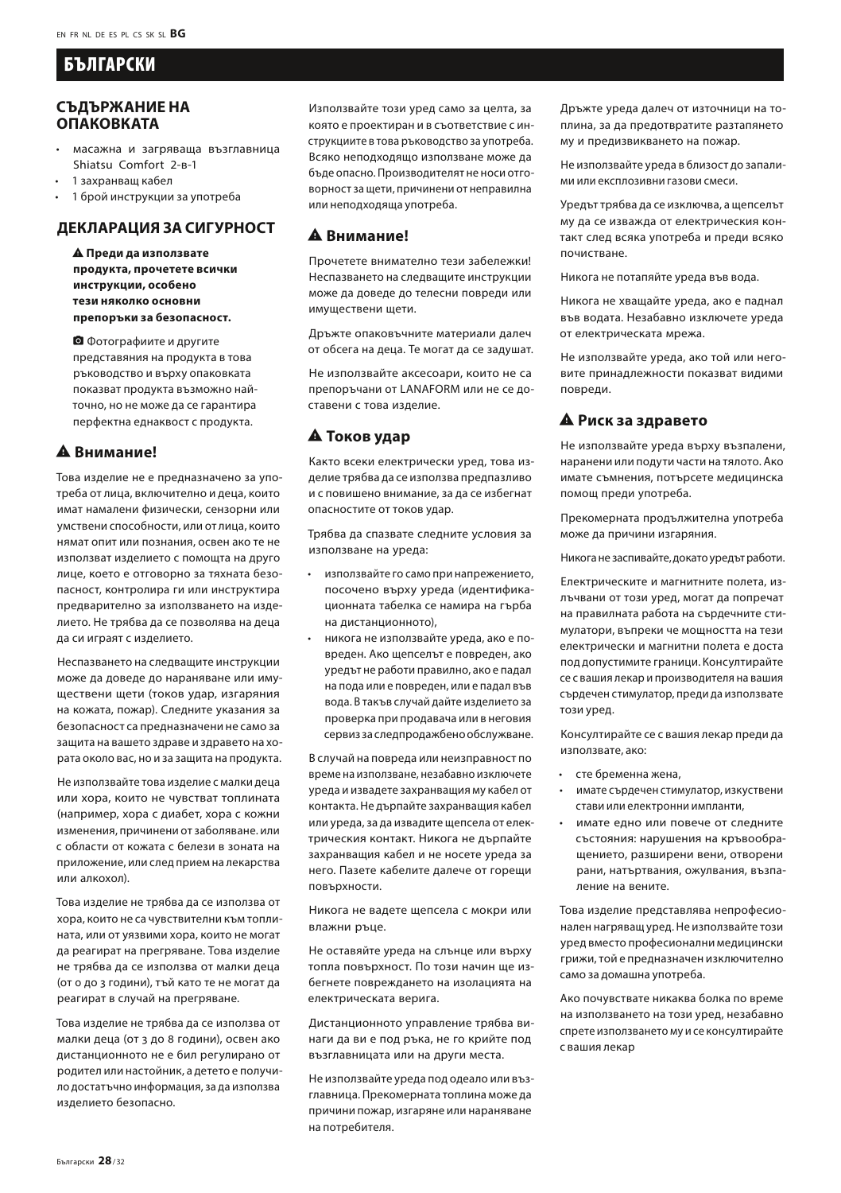# БЪЛГАРСКИ

#### **СЪДЪРЖАНИЕ НА ОПАКОВКАТА**

- масажна и загряваща възглавница Shiatsu Comfort 2-в-1
- 1 захранващ кабел
- 1 брой инструкции за употреба

# **ДЕКЛАРАЦИЯ ЗА СИГУРНОСТ**

report\_problem **Преди да използвате продукта, прочетете всички инструкции, особено тези няколко основни препоръки за безопасност.**

camera\_alt Фотографиите и другите представяния на продукта в това ръководство и върху опаковката показват продукта възможно найточно, но не може да се гарантира перфектна еднаквост с продукта.

#### $A$  Внимание!

Това изделие не е предназначено за употреба от лица, включително и деца, които имат намалени физически, сензорни или умствени способности, или от лица, които нямат опит или познания, освен ако те не използват изделието с помощта на друго лице, което е отговорно за тяхната безопасност, контролира ги или инструктира предварително за използването на изделието. Не трябва да се позволява на деца да си играят с изделието.

Неспазването на следващите инструкции може да доведе до нараняване или имуществени щети (токов удар, изгаряния на кожата, пожар). Следните указания за безопасност са предназначени не само за защита на вашето здраве и здравето на хората около вас, но и за защита на продукта.

Не използвайте това изделие с малки деца или хора, които не чувстват топлината (например, хора с диабет, хора с кожни изменения, причинени от заболяване. или с области от кожата с белези в зоната на приложение, или след прием на лекарства или алкохол).

Това изделие не трябва да се използва от хора, които не са чувствителни към топлината, или от уязвими хора, които не могат да реагират на прегряване. Това изделие не трябва да се използва от малки деца (от 0 до 3 години), тъй като те не могат да реагират в случай на прегряване.

Това изделие не трябва да се използва от малки деца (от 3 до 8 години), освен ако дистанционното не е бил регулирано от родител или настойник, а детето е получило достатъчно информация, за да използва изделието безопасно.

Използвайте този уред само за целта, за която е проектиран и в съответствие с инструкциите в това ръководство за употреба. Всяко неподходящо използване може да бъде опасно. Производителят не носи отговорност за щети, причинени от неправилна или неподходяща употреба.

#### report\_problem **Внимание!**

Прочетете внимателно тези забележки! Неспазването на следващите инструкции може да доведе до телесни повреди или имуществени щети.

Дръжте опаковъчните материали далеч от обсега на деца. Те могат да се задушат.

Не използвайте аксесоари, които не са препоръчани от LANAFORM или не се доставени с това изделие.

#### report\_problem **Токов удар**

Както всеки електрически уред, това изделие трябва да се използва предпазливо и с повишено внимание, за да се избегнат опасностите от токов удар.

Трябва да спазвате следните условия за използване на уреда:

- използвайте го само при напрежението, посочено върху уреда (идентификационната табелка се намира на гърба на дистанционното),
- никога не използвайте уреда, ако е повреден. Ако щепселът е повреден, ако уредът не работи правилно, ако е падал на пода или е повреден, или е падал във вода. В такъв случай дайте изделието за проверка при продавача или в неговия сервиз за следпродажбено обслужване.

В случай на повреда или неизправност по време на използване, незабавно изключете уреда и извадете захранващия му кабел от контакта. Не дърпайте захранващия кабел или уреда, за да извадите щепсела от електрическия контакт. Никога не дърпайте захранващия кабел и не носете уреда за него. Пазете кабелите далече от горещи повърхности.

Никога не вадете щепсела с мокри или влажни ръце.

Не оставяйте уреда на слънце или върху топла повърхност. По този начин ще избегнете повреждането на изолацията на електрическата верига.

Дистанционното управление трябва винаги да ви е под ръка, не го крийте под възглавницата или на други места.

Не използвайте уреда под одеало или възглавница. Прекомерната топлина може да причини пожар, изгаряне или нараняване на потребителя.

Дръжте уреда далеч от източници на топлина, за да предотвратите разтапянето му и предизвикването на пожар.

Не използвайте уреда в близост до запалими или експлозивни газови смеси.

Уредът трябва да се изключва, а щепселът му да се изважда от електрическия контакт след всяка употреба и преди всяко почистване.

Никога не потапяйте уреда във вода.

Никога не хващайте уреда, ако е паднал във водата. Незабавно изключете уреда от електрическата мрежа.

Не използвайте уреда, ако той или неговите принадлежности показват видими повреди.

#### report\_problem **Риск за здравето**

Не използвайте уреда върху възпалени, наранени или подути части на тялото. Ако имате съмнения, потърсете медицинска помощ преди употреба.

Прекомерната продължителна употреба може да причини изгаряния.

Никога не заспивайте, докато уредът работи.

Електрическите и магнитните полета, излъчвани от този уред, могат да попречат на правилната работа на сърдечните стимулатори, въпреки че мощността на тези електрически и магнитни полета е доста под допустимите граници. Консултирайте се с вашия лекар и производителя на вашия сърдечен стимулатор, преди да използвате този уред.

Консултирайте се с вашия лекар преди да използвате, ако:

- сте бременна жена,
- имате сърдечен стимулатор, изкуствени стави или електронни импланти,
- имате едно или повече от следните състояния: нарушения на кръвообращението, разширени вени, отворени рани, натъртвания, ожулвания, възпаление на вените.

Това изделие представлява непрофесионален нагряващ уред. Не използвайте този уред вместо професионални медицински грижи, той е предназначен изключително само за домашна употреба.

Ако почувствате никаква болка по време на използването на този уред, незабавно спрете използването му и се консултирайте с вашия лекар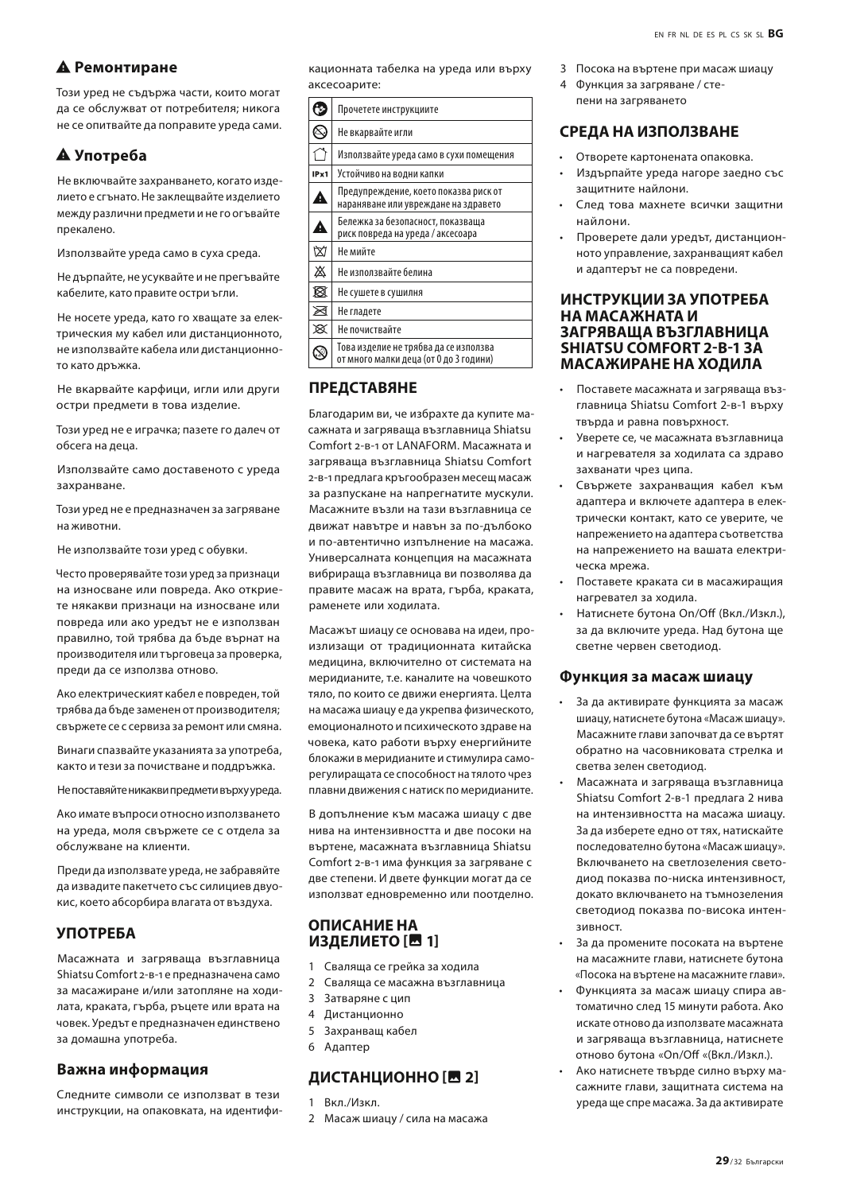#### report\_problem **Ремонтиране**

Този уред не съдържа части, които могат да се обслужват от потребителя; никога не се опитвайте да поправите уреда сами.

# report\_problem **Употреба**

Не включвайте захранването, когато изделието е сгънато. Не заклещвайте изделието между различни предмети и не го огъвайте прекалено.

Използвайте уреда само в суха среда.

Не дърпайте, не усуквайте и не прегъвайте кабелите, като правите остри ъгли.

Не носете уреда, като го хващате за електрическия му кабел или дистанционното, не използвайте кабела или дистанционното като дръжка.

Не вкарвайте карфици, игли или други остри предмети в това изделие.

Този уред не е играчка; пазете го далеч от обсега на деца.

Използвайте само доставеното с уреда захранване.

Този уред не е предназначен за загряване на животни.

Не използвайте този уред с обувки.

Често проверявайте този уред за признаци на износване или повреда. Ако откриете някакви признаци на износване или повреда или ако уредът не е използван правилно, той трябва да бъде върнат на производителя или търговеца за проверка, преди да се използва отново.

Ако електрическият кабел е повреден, той трябва да бъде заменен от производителя; свържете се с сервиза за ремонт или смяна.

Винаги спазвайте указанията за употреба, както и тези за почистване и поддръжка.

Не поставяйте никакви предмети върху уреда.

Ако имате въпроси относно използването на уреда, моля свържете се с отдела за обслужване на клиенти.

Преди да използвате уреда, не забравяйте да извадите пакетчето със силициев двуокис, което абсорбира влагата от въздуха.

# **УПОТРЕБА**

Масажната и загряваща възглавница Shiatsu Comfort 2-в-1 е предназначена само за масажиране и/или затопляне на ходилата, краката, гърба, ръцете или врата на човек. Уредът е предназначен единствено за домашна употреба.

#### **Важна информация**

Следните символи се използват в тези инструкции, на опаковката, на идентификационната табелка на уреда или върху аксесоарите:

|      | Прочетете инструкциите                                                          |  |
|------|---------------------------------------------------------------------------------|--|
|      | Не вкарвайте игли                                                               |  |
|      | Използвайте уреда само в сухи помещения                                         |  |
| IPx1 | Устойчиво на водни капки                                                        |  |
| Â    | Предупреждение, което показва риск от<br>нараняване или увреждане на здравето   |  |
| Δ    | Бележка за безопасност, показваша<br>риск повреда на уреда / аксесоара          |  |
| 囟    | Не мийте                                                                        |  |
| 焱    | Не използвайте белина                                                           |  |
| ⊠    | Не сушете в сушилня                                                             |  |
| ⊠    | Не гладете                                                                      |  |
| x    | Не почиствайте                                                                  |  |
|      | Това изделие не трябва да се използва<br>от много малки деца (от 0 до 3 години) |  |

#### **ПРЕДСТАВЯНЕ**

Благодарим ви, че избрахте да купите масажната и загряваща възглавница Shiatsu Comfort 2-в-1 от LANAFORM. Масажната и загряваща възглавница Shiatsu Comfort 2-в-1 предлага кръгообразен месещ масаж за разпускане на напрегнатите мускули. Масажните възли на тази възглавница се движат навътре и навън за по-дълбоко и по-автентично изпълнение на масажа. Универсалната концепция на масажната вибрираща възглавница ви позволява да правите масаж на врата, гърба, краката, раменете или ходилата.

Масажът шиацу се основава на идеи, произлизащи от традиционната китайска медицина, включително от системата на меридианите, т.е. каналите на човешкото тяло, по които се движи енергията. Целта на масажа шиацу е да укрепва физическото, емоционалното и психическото здраве на човека, като работи върху енергийните блокажи в меридианите и стимулира саморегулиращата се способност на тялото чрез плавни движения с натиск по меридианите.

В допълнение към масажа шиацу с две нива на интензивността и две посоки на въртене, масажната възглавница Shiatsu Comfort 2-в-1 има функция за загряване с две степени. И двете функции могат да се използват едновременно или поотделно.

#### **ОПИСАНИЕ НА ИЗДЕЛИЕТО** [<sup>11</sup>

- 1 Сваляща се грейка за ходила
- 2 Сваляща се масажна възглавница
- 3 Затваряне с цип
- 4 Дистанционно
- 5 Захранващ кабел
- 6 Адаптер

#### ДИСТАНЦИОННО [<sup>11</sup>]

- 1 Вкл./Изкл.
- 2 Масаж шиацу / сила на масажа
- 3 Посока на въртене при масаж шиацу
- 4 Функция за загряване / степени на загряването

#### **СРЕДА НА ИЗПОЛЗВАНЕ**

- Отворете картонената опаковка.
- Издърпайте уреда нагоре заедно със защитните найлони.
- След това махнете всички защитни найлони.
- Проверете дали уредът, дистанционното управление, захранващият кабел и адаптерът не са повредени.

#### **ИНСТРУКЦИИ ЗА УПОТРЕБА НА МАСАЖНАТА И ЗАГРЯВАЩА ВЪЗГЛАВНИЦА SHIATSU COMFORT 2-В-1 ЗА МАСАЖИРАНЕ НА ХОДИЛА**

- Поставете масажната и загряваща възглавница Shiatsu Comfort 2-в-1 върху твърда и равна повърхност.
- Уверете се, че масажната възглавница и нагревателя за ходилата са здраво захванати чрез ципа.
- Свържете захранващия кабел към адаптера и включете адаптера в електрически контакт, като се уверите, че напрежението на адаптера съответства на напрежението на вашата електрическа мрежа.
- Поставете краката си в масажиращия нагревател за ходила.
- Натиснете бутона On/Off (Вкл./Изкл.), за да включите уреда. Над бутона ще светне червен светодиод.

#### **Функция за масаж шиацу**

- За да активирате функцията за масаж шиацу, натиснете бутона «Масаж шиацу». Масажните глави започват да се въртят обратно на часовниковата стрелка и светва зелен светодиод.
- Масажната и загряваща възглавница Shiatsu Comfort 2-в-1 предлага 2 нива на интензивността на масажа шиацу. За да изберете едно от тях, натискайте последователно бутона «Масаж шиацу». Включването на светлозеления светодиод показва по-ниска интензивност, докато включването на тъмнозеления светодиод показва по-висока интензивност.
- За да промените посоката на въртене на масажните глави, натиснете бутона «Посока на въртене на масажните глави».
- Функцията за масаж шиацу спира автоматично след 15 минути работа. Ако искате отново да използвате масажната и загряваща възглавница, натиснете отново бутона «On/Off «(Вкл./Изкл.).
- Ако натиснете твърде силно върху масажните глави, защитната система на уреда ще спре масажа. За да активирате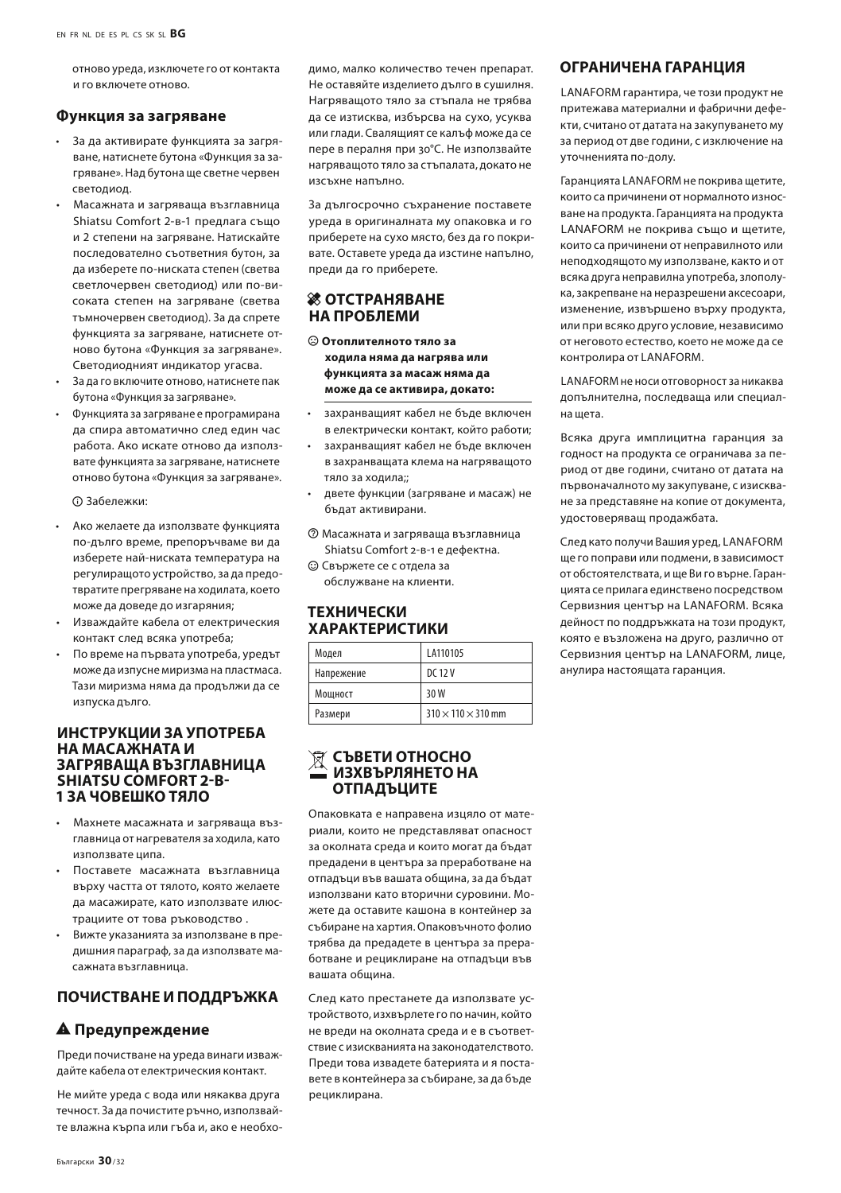отново уреда, изключете го от контакта и го включете отново.

#### **Функция за загряване**

- За да активирате функцията за загряване, натиснете бутона «Функция за загряване». Над бутона ще светне червен светодиод.
- Масажната и загряваща възглавница Shiatsu Comfort 2-в-1 предлага също и 2 степени на загряване. Натискайте последователно съответния бутон, за да изберете по-ниската степен (светва светлочервен светодиод) или по-високата степен на загряване (светва тъмночервен светодиод). За да спрете функцията за загряване, натиснете отново бутона «Функция за загряване». Светодиодният индикатор угасва.
- За да го включите отново, натиснете пак бутона «Функция за загряване».
- Функцията за загряване е програмирана да спира автоматично след един час работа. Ако искате отново да използвате функцията за загряване, натиснете отново бутона «Функция за загряване».

 $O$  Забележки:

- Ако желаете да използвате функцията по-дълго време, препоръчваме ви да изберете най-ниската температура на регулиращото устройство, за да предотвратите прегряване на ходилата, което може да доведе до изгаряния;
- Изваждайте кабела от електрическия контакт след всяка употреба;
- По време на първата употреба, уредът може да изпусне миризма на пластмаса. Тази миризма няма да продължи да се изпуска дълго.

#### **ИНСТРУКЦИИ ЗА УПОТРЕБА НА МАСАЖНАТА И ЗАГРЯВАЩА ВЪЗГЛАВНИЦА SHIATSU COMFORT 2-В-1 ЗА ЧОВЕШКО ТЯЛО**

- Махнете масажната и загряваща възглавница от нагревателя за ходила, като използвате ципа.
- Поставете масажната възглавница върху частта от тялото, която желаете да масажирате, като използвате илюстрациите от това ръководство .
- Вижте указанията за използване в предишния параграф, за да използвате масажната възглавница.

#### **ПОЧИСТВАНЕ И ПОДДРЪЖКА**

#### **А** Предупреждение

Преди почистване на уреда винаги изваждайте кабела от електрическия контакт.

Не мийте уреда с вода или някаква друга течност. За да почистите ръчно, използвайте влажна кърпа или гъба и, ако е необходимо, малко количество течен препарат. Не оставяйте изделието дълго в сушилня. Нагряващото тяло за стъпала не трябва да се изтисква, избърсва на сухо, усуква или глади. Свалящият се калъф може да се пере в пералня при 30°С. Не използвайте нагряващото тяло за стъпалата, докато не изсъхне напълно.

За дългосрочно съхранение поставете уреда в оригиналната му опаковка и го приберете на сухо място, без да го покривате. Оставете уреда да изстине напълно, преди да го приберете.

#### *<u><b>ЖОТСТРАНЯВАНЕ</u>* **НА ПРОБЛЕМИ**

- $\odot$  Отоплителното тяло за **ходила няма да нагрява или функцията за масаж няма да може да се активира, докато:**
- захранващият кабел не бъде включен в електрически контакт, който работи;
- захранващият кабел не бъде включен в захранващата клема на нагряващото тяло за ходила;;
- двете функции (загряване и масаж) не бъдат активирани.
- $\circledR$  Масажната и загряваща възглавница Shiatsu Comfort 2-в-1 е дефектна.
- $\odot$  Свържете се с отлела за обслужване на клиенти.

#### **ТЕХНИЧЕСКИ ХАРАКТЕРИСТИКИ**

| Модел      | LA110105                       |
|------------|--------------------------------|
| Напрежение | DC 12 V                        |
| Мошност    | 30 W                           |
| Размери    | $310 \times 110 \times 310$ mm |

#### **СЪВЕТИ ОТНОСНО ИЗХВЪРЛЯНЕТО НА ОТПАДЪЦИТЕ**

Опаковката е направена изцяло от материали, които не представляват опасност за околната среда и които могат да бъдат предадени в центъра за преработване на отпадъци във вашата община, за да бъдат използвани като вторични суровини. Можете да оставите кашона в контейнер за събиране на хартия. Опаковъчното фолио трябва да предадете в центъра за преработване и рециклиране на отпадъци във вашата община.

След като престанете да използвате устройството, изхвърлете го по начин, който не вреди на околната среда и е в съответствие с изискванията на законодателството. Преди това извадете батерията и я поставете в контейнера за събиране, за да бъде рециклирана.

#### **ОГРАНИЧЕНА ГАРАНЦИЯ**

LANAFORM гарантира, че този продукт не притежава материални и фабрични дефекти, считано от датата на закупуването му за период от две години, с изключение на уточненията по-долу.

Гаранцията LANAFORM не покрива щетите, които са причинени от нормалното износване на продукта. Гаранцията на продукта LANAFORM не покрива също и щетите, които са причинени от неправилното или неподходящото му използване, както и от всяка друга неправилна употреба, злополука, закрепване на неразрешени аксесоари, изменение, извършено върху продукта, или при всяко друго условие, независимо от неговото естество, което не може да се контролира от LANAFORM.

LANAFORM не носи отговорност за никаква допълнителна, последваща или специална щета.

Всяка друга имплицитна гаранция за годност на продукта се ограничава за период от две години, считано от датата на първоначалното му закупуване, с изискване за представяне на копие от документа, удостоверяващ продажбата.

След като получи Вашия уред, LANAFORM ще го поправи или подмени, в зависимост от обстоятелствата, и ще Ви го върне. Гаранцията се прилага единствено посредством Сервизния център на LANAFORM. Всяка дейност по поддръжката на този продукт, която е възложена на друго, различно от Сервизния център на LANAFORM, лице, анулира настоящата гаранция.